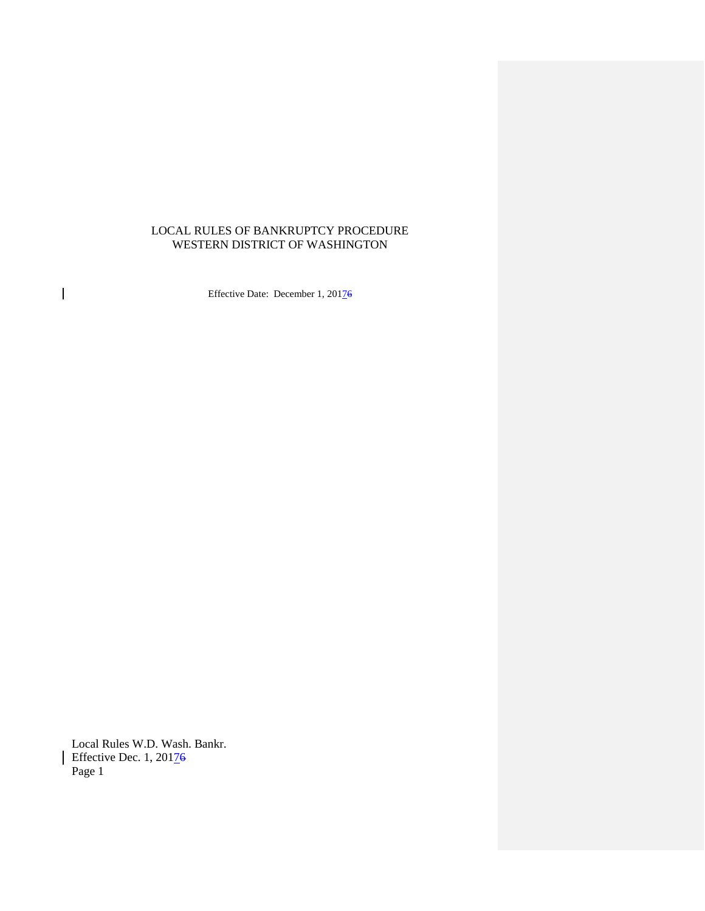# LOCAL RULES OF BANKRUPTCY PROCEDURE WESTERN DISTRICT OF WASHINGTON

Effective Date: December 1, 20176

Local Rules W.D. Wash. Bankr. Effective Dec. 1, 20176 Page 1

 $\overline{1}$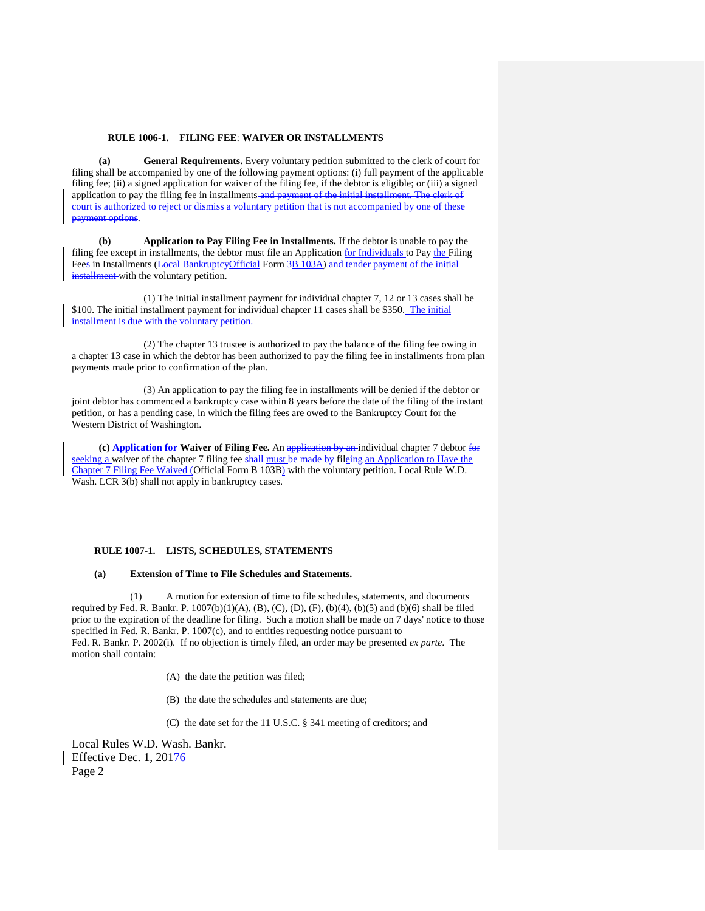## **RULE 1006-1. FILING FEE**: **WAIVER OR INSTALLMENTS**

**(a) General Requirements.** Every voluntary petition submitted to the clerk of court for filing shall be accompanied by one of the following payment options: (i) full payment of the applicable filing fee; (ii) a signed application for waiver of the filing fee, if the debtor is eligible; or (iii) a signed application to pay the filing fee in installments and payment of the initial installment. The clerk of court is authorized to reject or dismiss a voluntary petition that is not accompanied by one of these payment options.

**(b) Application to Pay Filing Fee in Installments.** If the debtor is unable to pay the filing fee except in installments, the debtor must file an Application for Individuals to Pay the Filing Fees in Installments (Local BankruptcyOfficial Form 3B 103A) and tender payment of the initial installment with the voluntary petition.

(1) The initial installment payment for individual chapter 7, 12 or 13 cases shall be \$100. The initial installment payment for individual chapter 11 cases shall be \$350. The initial installment is due with the voluntary petition.

(2) The chapter 13 trustee is authorized to pay the balance of the filing fee owing in a chapter 13 case in which the debtor has been authorized to pay the filing fee in installments from plan payments made prior to confirmation of the plan.

(3) An application to pay the filing fee in installments will be denied if the debtor or joint debtor has commenced a bankruptcy case within 8 years before the date of the filing of the instant petition, or has a pending case, in which the filing fees are owed to the Bankruptcy Court for the Western District of Washington.

**(c) Application for Waiver of Filing Fee.** An application by an individual chapter 7 debtor for seeking a waiver of the chapter 7 filing fee shall must be made by fileing an Application to Have the Chapter 7 Filing Fee Waived (Official Form B 103B) with the voluntary petition. Local Rule W.D. Wash. LCR 3(b) shall not apply in bankruptcy cases.

## **RULE 1007-1. LISTS, SCHEDULES, STATEMENTS**

#### **(a) Extension of Time to File Schedules and Statements.**

(1) A motion for extension of time to file schedules, statements, and documents required by Fed. R. Bankr. P.  $1007(b)(1)(A)$ , (B), (C), (D), (F), (b)(4), (b)(5) and (b)(6) shall be filed prior to the expiration of the deadline for filing. Such a motion shall be made on 7 days' notice to those specified in Fed. R. Bankr. P. 1007(c), and to entities requesting notice pursuant to Fed. R. Bankr. P. 2002(i). If no objection is timely filed, an order may be presented *ex parte*. The motion shall contain:

(A) the date the petition was filed;

(B) the date the schedules and statements are due;

(C) the date set for the 11 U.S.C. § 341 meeting of creditors; and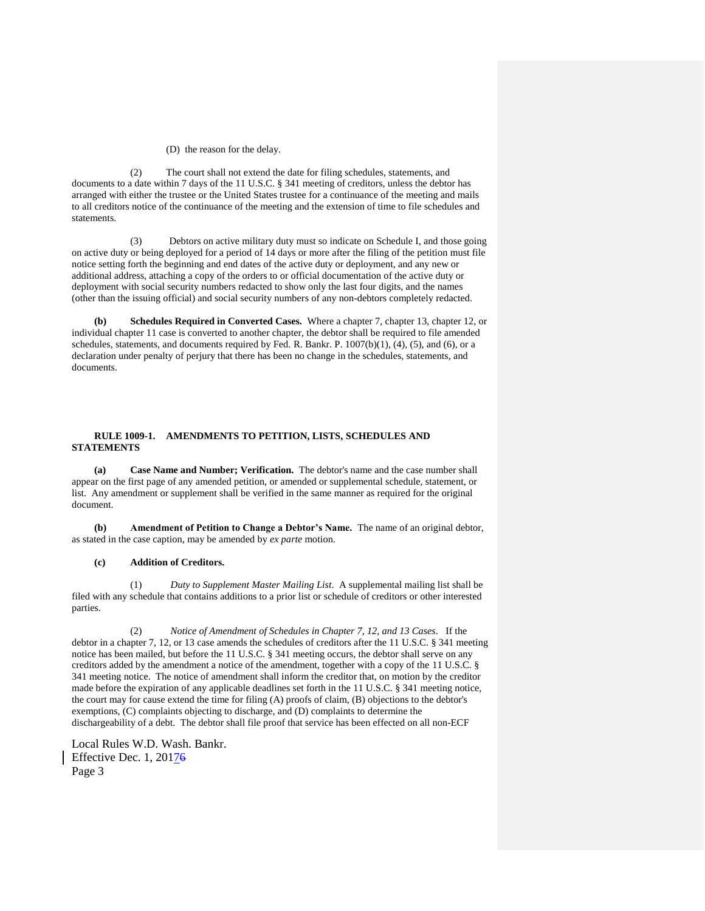## (D) the reason for the delay.

(2) The court shall not extend the date for filing schedules, statements, and documents to a date within 7 days of the 11 U.S.C. § 341 meeting of creditors, unless the debtor has arranged with either the trustee or the United States trustee for a continuance of the meeting and mails to all creditors notice of the continuance of the meeting and the extension of time to file schedules and statements.

(3) Debtors on active military duty must so indicate on Schedule I, and those going on active duty or being deployed for a period of 14 days or more after the filing of the petition must file notice setting forth the beginning and end dates of the active duty or deployment, and any new or additional address, attaching a copy of the orders to or official documentation of the active duty or deployment with social security numbers redacted to show only the last four digits, and the names (other than the issuing official) and social security numbers of any non-debtors completely redacted.

**(b) Schedules Required in Converted Cases.** Where a chapter 7, chapter 13, chapter 12, or individual chapter 11 case is converted to another chapter, the debtor shall be required to file amended schedules, statements, and documents required by Fed. R. Bankr. P. 1007(b)(1), (4), (5), and (6), or a declaration under penalty of perjury that there has been no change in the schedules, statements, and documents.

# **RULE 1009-1. AMENDMENTS TO PETITION, LISTS, SCHEDULES AND STATEMENTS**

**(a) Case Name and Number; Verification.** The debtor's name and the case number shall appear on the first page of any amended petition, or amended or supplemental schedule, statement, or list. Any amendment or supplement shall be verified in the same manner as required for the original document.

**(b) Amendment of Petition to Change a Debtor's Name.** The name of an original debtor, as stated in the case caption, may be amended by *ex parte* motion.

# **(c) Addition of Creditors.**

(1) *Duty to Supplement Master Mailing List*. A supplemental mailing list shall be filed with any schedule that contains additions to a prior list or schedule of creditors or other interested parties.

(2) *Notice of Amendment of Schedules in Chapter 7, 12, and 13 Cases*. If the debtor in a chapter 7, 12, or 13 case amends the schedules of creditors after the 11 U.S.C. § 341 meeting notice has been mailed, but before the 11 U.S.C. § 341 meeting occurs, the debtor shall serve on any creditors added by the amendment a notice of the amendment, together with a copy of the 11 U.S.C. § 341 meeting notice. The notice of amendment shall inform the creditor that, on motion by the creditor made before the expiration of any applicable deadlines set forth in the 11 U.S.C. § 341 meeting notice, the court may for cause extend the time for filing (A) proofs of claim, (B) objections to the debtor's exemptions, (C) complaints objecting to discharge, and (D) complaints to determine the dischargeability of a debt. The debtor shall file proof that service has been effected on all non-ECF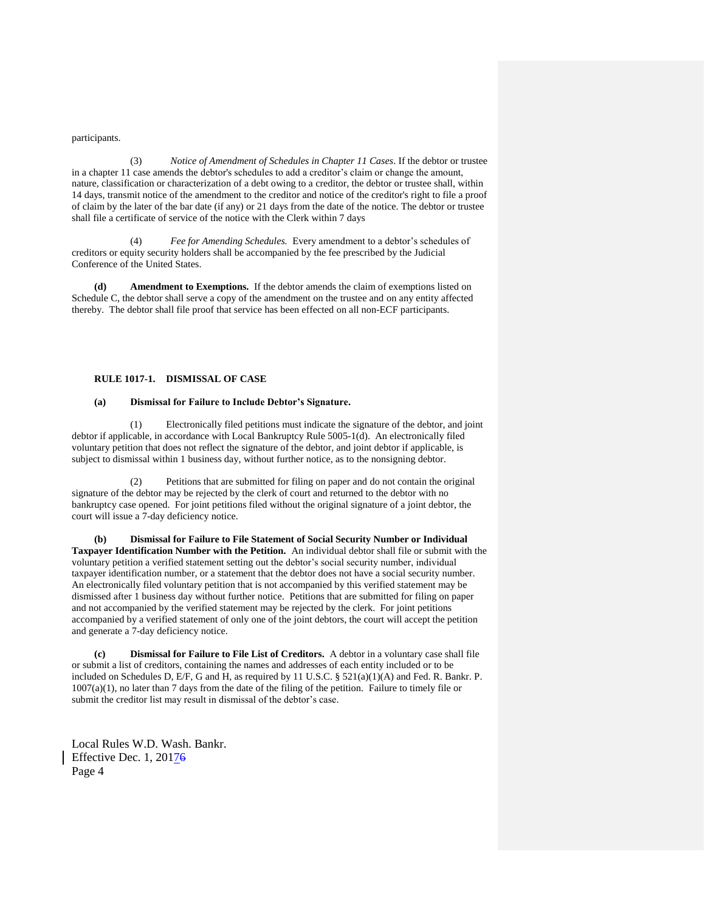participants.

(3) *Notice of Amendment of Schedules in Chapter 11 Cases*. If the debtor or trustee in a chapter 11 case amends the debtor's schedules to add a creditor's claim or change the amount, nature, classification or characterization of a debt owing to a creditor, the debtor or trustee shall, within 14 days, transmit notice of the amendment to the creditor and notice of the creditor's right to file a proof of claim by the later of the bar date (if any) or 21 days from the date of the notice. The debtor or trustee shall file a certificate of service of the notice with the Clerk within 7 days

Fee for Amending Schedules. Every amendment to a debtor's schedules of creditors or equity security holders shall be accompanied by the fee prescribed by the Judicial Conference of the United States.

**(d) Amendment to Exemptions.** If the debtor amends the claim of exemptions listed on Schedule C, the debtor shall serve a copy of the amendment on the trustee and on any entity affected thereby. The debtor shall file proof that service has been effected on all non-ECF participants.

# **RULE 1017-1. DISMISSAL OF CASE**

## **(a) Dismissal for Failure to Include Debtor's Signature.**

(1) Electronically filed petitions must indicate the signature of the debtor, and joint debtor if applicable, in accordance with Local Bankruptcy Rule 5005-1(d). An electronically filed voluntary petition that does not reflect the signature of the debtor, and joint debtor if applicable, is subject to dismissal within 1 business day, without further notice, as to the nonsigning debtor.

(2) Petitions that are submitted for filing on paper and do not contain the original signature of the debtor may be rejected by the clerk of court and returned to the debtor with no bankruptcy case opened. For joint petitions filed without the original signature of a joint debtor, the court will issue a 7-day deficiency notice.

**(b) Dismissal for Failure to File Statement of Social Security Number or Individual Taxpayer Identification Number with the Petition.** An individual debtor shall file or submit with the voluntary petition a verified statement setting out the debtor's social security number, individual taxpayer identification number, or a statement that the debtor does not have a social security number. An electronically filed voluntary petition that is not accompanied by this verified statement may be dismissed after 1 business day without further notice. Petitions that are submitted for filing on paper and not accompanied by the verified statement may be rejected by the clerk. For joint petitions accompanied by a verified statement of only one of the joint debtors, the court will accept the petition and generate a 7-day deficiency notice.

**(c) Dismissal for Failure to File List of Creditors.** A debtor in a voluntary case shall file or submit a list of creditors, containing the names and addresses of each entity included or to be included on Schedules D, E/F, G and H, as required by 11 U.S.C. § 521(a)(1)(A) and Fed. R. Bankr. P. 1007(a)(1), no later than 7 days from the date of the filing of the petition. Failure to timely file or submit the creditor list may result in dismissal of the debtor's case.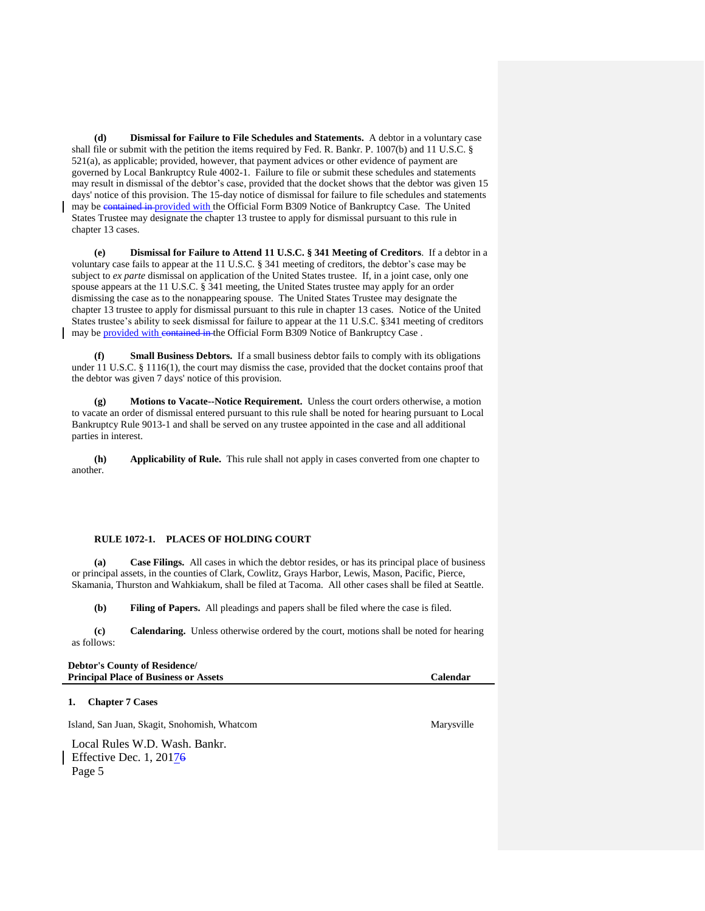**(d) Dismissal for Failure to File Schedules and Statements.** A debtor in a voluntary case shall file or submit with the petition the items required by Fed. R. Bankr. P. 1007(b) and 11 U.S.C. § 521(a), as applicable; provided, however, that payment advices or other evidence of payment are governed by Local Bankruptcy Rule 4002-1. Failure to file or submit these schedules and statements may result in dismissal of the debtor's case, provided that the docket shows that the debtor was given 15 days' notice of this provision. The 15-day notice of dismissal for failure to file schedules and statements may be contained in provided with the Official Form B309 Notice of Bankruptcy Case. The United States Trustee may designate the chapter 13 trustee to apply for dismissal pursuant to this rule in chapter 13 cases.

**(e) Dismissal for Failure to Attend 11 U.S.C. § 341 Meeting of Creditors**. If a debtor in a voluntary case fails to appear at the 11 U.S.C. § 341 meeting of creditors, the debtor's case may be subject to *ex parte* dismissal on application of the United States trustee. If, in a joint case, only one spouse appears at the 11 U.S.C. § 341 meeting, the United States trustee may apply for an order dismissing the case as to the nonappearing spouse. The United States Trustee may designate the chapter 13 trustee to apply for dismissal pursuant to this rule in chapter 13 cases. Notice of the United States trustee's ability to seek dismissal for failure to appear at the 11 U.S.C. §341 meeting of creditors may be provided with contained in the Official Form B309 Notice of Bankruptcy Case.

**(f) Small Business Debtors.** If a small business debtor fails to comply with its obligations under 11 U.S.C. § 1116(1), the court may dismiss the case, provided that the docket contains proof that the debtor was given 7 days' notice of this provision.

**(g) Motions to Vacate--Notice Requirement.** Unless the court orders otherwise, a motion to vacate an order of dismissal entered pursuant to this rule shall be noted for hearing pursuant to Local Bankruptcy Rule 9013-1 and shall be served on any trustee appointed in the case and all additional parties in interest.

**(h) Applicability of Rule.** This rule shall not apply in cases converted from one chapter to another.

# **RULE 1072-1. PLACES OF HOLDING COURT**

**(a) Case Filings.** All cases in which the debtor resides, or has its principal place of business or principal assets, in the counties of Clark, Cowlitz, Grays Harbor, Lewis, Mason, Pacific, Pierce, Skamania, Thurston and Wahkiakum, shall be filed at Tacoma. All other cases shall be filed at Seattle.

**(b) Filing of Papers.** All pleadings and papers shall be filed where the case is filed.

**(c) Calendaring.** Unless otherwise ordered by the court, motions shall be noted for hearing as follows:

| <b>Debtor's County of Residence/</b>         |                 |
|----------------------------------------------|-----------------|
| <b>Principal Place of Business or Assets</b> | <b>Calendar</b> |

## **1. Chapter 7 Cases**

Island, San Juan, Skagit, Snohomish, Whatcom Marysville Marysville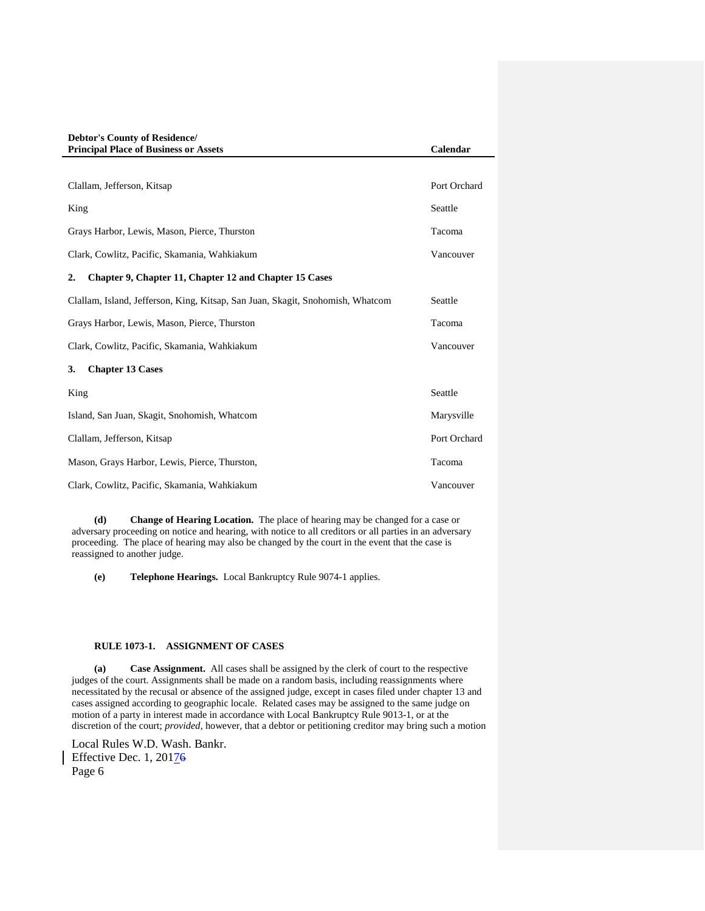| <b>Debtor's County of Residence/</b><br><b>Principal Place of Business or Assets</b> | Calendar     |
|--------------------------------------------------------------------------------------|--------------|
|                                                                                      |              |
| Clallam, Jefferson, Kitsap                                                           | Port Orchard |
| King                                                                                 | Seattle      |
| Grays Harbor, Lewis, Mason, Pierce, Thurston                                         | Tacoma       |
| Clark, Cowlitz, Pacific, Skamania, Wahkiakum                                         | Vancouver    |
| $\overline{2}$ .<br>Chapter 9, Chapter 11, Chapter 12 and Chapter 15 Cases           |              |
| Clallam, Island, Jefferson, King, Kitsap, San Juan, Skagit, Snohomish, Whatcom       | Seattle      |
| Grays Harbor, Lewis, Mason, Pierce, Thurston                                         | Tacoma       |
| Clark, Cowlitz, Pacific, Skamania, Wahkiakum                                         | Vancouver    |
| <b>Chapter 13 Cases</b><br>3.                                                        |              |
| King                                                                                 | Seattle      |
| Island, San Juan, Skagit, Snohomish, Whatcom                                         | Marysville   |
| Clallam, Jefferson, Kitsap                                                           | Port Orchard |
| Mason, Grays Harbor, Lewis, Pierce, Thurston,                                        | Tacoma       |
| Clark, Cowlitz, Pacific, Skamania, Wahkiakum                                         | Vancouver    |

**(d) Change of Hearing Location.** The place of hearing may be changed for a case or adversary proceeding on notice and hearing, with notice to all creditors or all parties in an adversary proceeding. The place of hearing may also be changed by the court in the event that the case is reassigned to another judge.

**(e) Telephone Hearings.** Local Bankruptcy Rule 9074-1 applies.

# **RULE 1073-1. ASSIGNMENT OF CASES**

**(a) Case Assignment.** All cases shall be assigned by the clerk of court to the respective judges of the court. Assignments shall be made on a random basis, including reassignments where necessitated by the recusal or absence of the assigned judge, except in cases filed under chapter 13 and cases assigned according to geographic locale. Related cases may be assigned to the same judge on motion of a party in interest made in accordance with Local Bankruptcy Rule 9013-1, or at the discretion of the court; *provided*, however, that a debtor or petitioning creditor may bring such a motion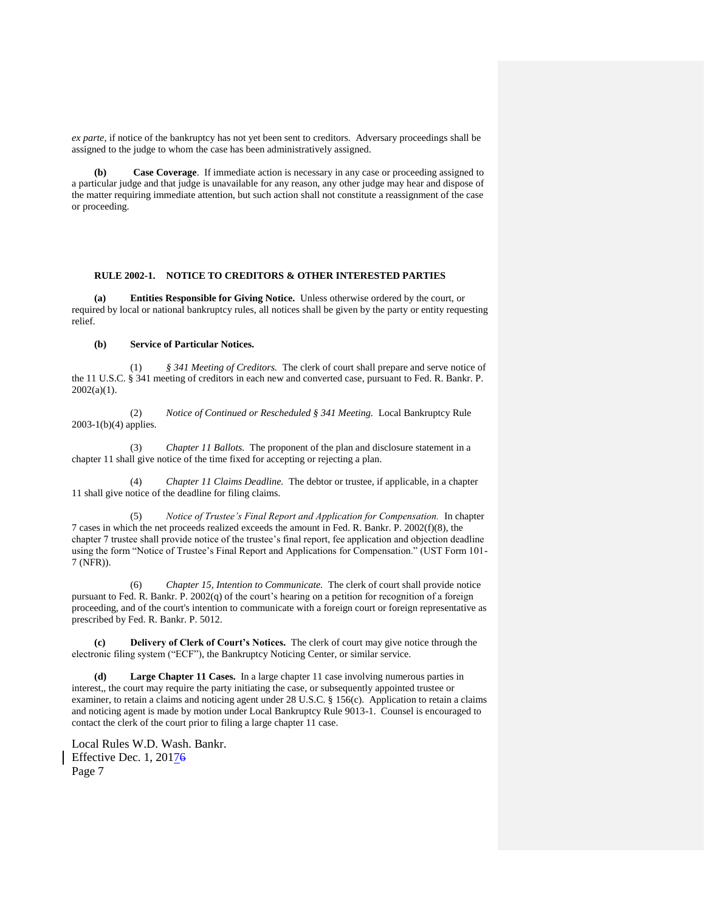*ex parte*, if notice of the bankruptcy has not yet been sent to creditors. Adversary proceedings shall be assigned to the judge to whom the case has been administratively assigned.

**(b) Case Coverage**. If immediate action is necessary in any case or proceeding assigned to a particular judge and that judge is unavailable for any reason, any other judge may hear and dispose of the matter requiring immediate attention, but such action shall not constitute a reassignment of the case or proceeding.

## **RULE 2002-1. NOTICE TO CREDITORS & OTHER INTERESTED PARTIES**

**(a) Entities Responsible for Giving Notice.** Unless otherwise ordered by the court, or required by local or national bankruptcy rules, all notices shall be given by the party or entity requesting relief.

## **(b) Service of Particular Notices.**

(1) *§ 341 Meeting of Creditors.* The clerk of court shall prepare and serve notice of the 11 U.S.C. § 341 meeting of creditors in each new and converted case, pursuant to Fed. R. Bankr. P.  $2002(a)(1)$ .

(2) *Notice of Continued or Rescheduled § 341 Meeting.* Local Bankruptcy Rule 2003-1(b)(4) applies.

(3) *Chapter 11 Ballots.* The proponent of the plan and disclosure statement in a chapter 11 shall give notice of the time fixed for accepting or rejecting a plan.

(4) *Chapter 11 Claims Deadline.* The debtor or trustee, if applicable, in a chapter 11 shall give notice of the deadline for filing claims.

(5) *Notice of Trustee's Final Report and Application for Compensation.* In chapter 7 cases in which the net proceeds realized exceeds the amount in Fed. R. Bankr. P. 2002(f)(8), the chapter 7 trustee shall provide notice of the trustee's final report, fee application and objection deadline using the form "Notice of Trustee's Final Report and Applications for Compensation." (UST Form 101- 7 (NFR)).

(6) *Chapter 15, Intention to Communicate.* The clerk of court shall provide notice pursuant to Fed. R. Bankr. P. 2002(q) of the court's hearing on a petition for recognition of a foreign proceeding, and of the court's intention to communicate with a foreign court or foreign representative as prescribed by Fed. R. Bankr. P. 5012.

**(c) Delivery of Clerk of Court's Notices.** The clerk of court may give notice through the electronic filing system ("ECF"), the Bankruptcy Noticing Center, or similar service.

Large Chapter 11 Cases. In a large chapter 11 case involving numerous parties in interest,, the court may require the party initiating the case, or subsequently appointed trustee or examiner, to retain a claims and noticing agent under 28 U.S.C. § 156(c). Application to retain a claims and noticing agent is made by motion under Local Bankruptcy Rule 9013-1. Counsel is encouraged to contact the clerk of the court prior to filing a large chapter 11 case.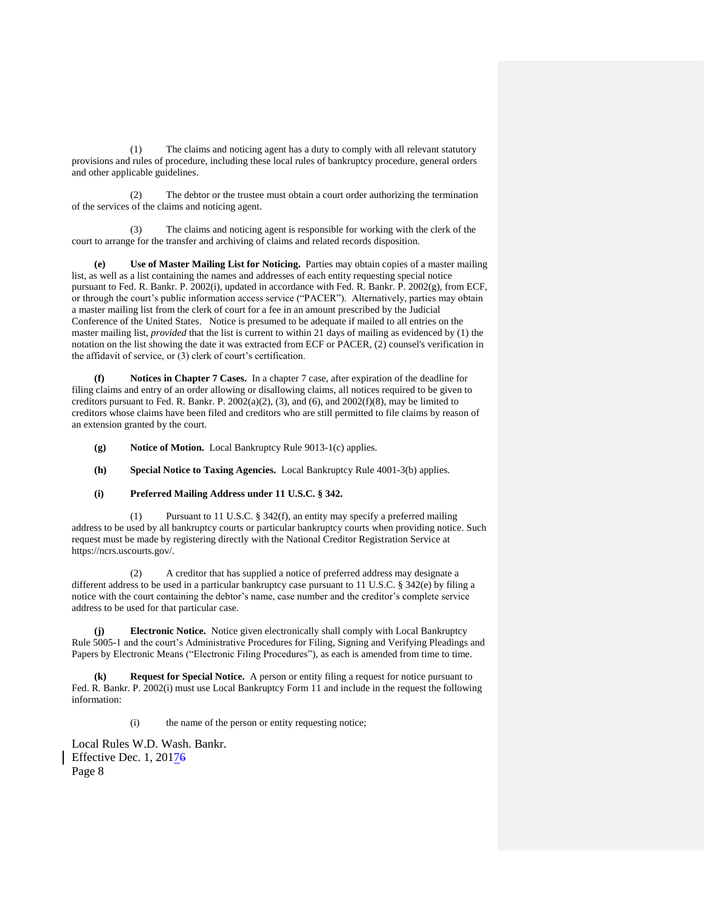(1) The claims and noticing agent has a duty to comply with all relevant statutory provisions and rules of procedure, including these local rules of bankruptcy procedure, general orders and other applicable guidelines.

(2) The debtor or the trustee must obtain a court order authorizing the termination of the services of the claims and noticing agent.

(3) The claims and noticing agent is responsible for working with the clerk of the court to arrange for the transfer and archiving of claims and related records disposition.

**(e) Use of Master Mailing List for Noticing.** Parties may obtain copies of a master mailing list, as well as a list containing the names and addresses of each entity requesting special notice pursuant to Fed. R. Bankr. P. 2002(i), updated in accordance with Fed. R. Bankr. P. 2002(g), from ECF, or through the court's public information access service ("PACER"). Alternatively, parties may obtain a master mailing list from the clerk of court for a fee in an amount prescribed by the Judicial Conference of the United States. Notice is presumed to be adequate if mailed to all entries on the master mailing list, *provided* that the list is current to within 21 days of mailing as evidenced by (1) the notation on the list showing the date it was extracted from ECF or PACER, (2) counsel's verification in the affidavit of service, or (3) clerk of court's certification.

**(f) Notices in Chapter 7 Cases.** In a chapter 7 case, after expiration of the deadline for filing claims and entry of an order allowing or disallowing claims, all notices required to be given to creditors pursuant to Fed. R. Bankr. P. 2002(a)(2), (3), and (6), and 2002(f)(8), may be limited to creditors whose claims have been filed and creditors who are still permitted to file claims by reason of an extension granted by the court.

**(g) Notice of Motion.** Local Bankruptcy Rule 9013-1(c) applies.

**(h) Special Notice to Taxing Agencies.** Local Bankruptcy Rule 4001-3(b) applies.

# **(i) Preferred Mailing Address under 11 U.S.C. § 342.**

(1) Pursuant to 11 U.S.C. § 342(f), an entity may specify a preferred mailing address to be used by all bankruptcy courts or particular bankruptcy courts when providing notice. Such request must be made by registering directly with the National Creditor Registration Service at https://ncrs.uscourts.gov/.

(2) A creditor that has supplied a notice of preferred address may designate a different address to be used in a particular bankruptcy case pursuant to 11 U.S.C. § 342(e) by filing a notice with the court containing the debtor's name, case number and the creditor's complete service address to be used for that particular case.

**(j) Electronic Notice.** Notice given electronically shall comply with Local Bankruptcy Rule 5005-1 and the court's Administrative Procedures for Filing, Signing and Verifying Pleadings and Papers by Electronic Means ("Electronic Filing Procedures"), as each is amended from time to time.

**(k) Request for Special Notice.** A person or entity filing a request for notice pursuant to Fed. R. Bankr. P. 2002(i) must use Local Bankruptcy Form 11 and include in the request the following information:

(i) the name of the person or entity requesting notice;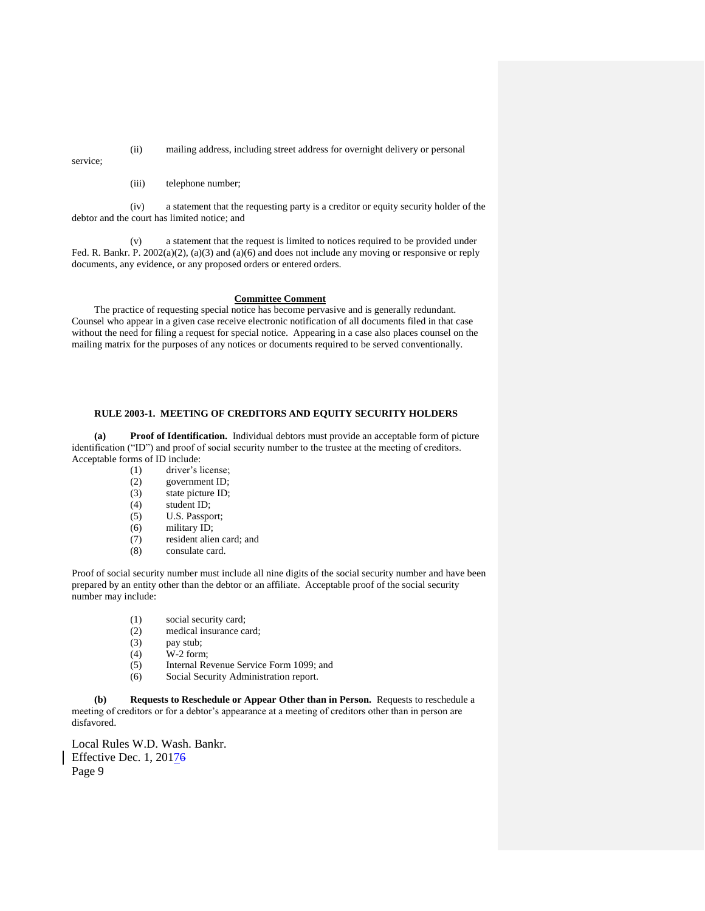(ii) mailing address, including street address for overnight delivery or personal

service;

(iii) telephone number;

(iv) a statement that the requesting party is a creditor or equity security holder of the debtor and the court has limited notice; and

(v) a statement that the request is limited to notices required to be provided under Fed. R. Bankr. P. 2002(a)(2), (a)(3) and (a)(6) and does not include any moving or responsive or reply documents, any evidence, or any proposed orders or entered orders.

#### **Committee Comment**

The practice of requesting special notice has become pervasive and is generally redundant. Counsel who appear in a given case receive electronic notification of all documents filed in that case without the need for filing a request for special notice. Appearing in a case also places counsel on the mailing matrix for the purposes of any notices or documents required to be served conventionally.

# **RULE 2003-1. MEETING OF CREDITORS AND EQUITY SECURITY HOLDERS**

**(a) Proof of Identification.** Individual debtors must provide an acceptable form of picture identification ("ID") and proof of social security number to the trustee at the meeting of creditors. Acceptable forms of ID include:

- (1) driver's license;
- (2) government ID;
- (3) state picture ID;
- (4) student ID;
- (5) U.S. Passport;
- (6) military ID;
- (7) resident alien card; and (8) consulate card.
- consulate card.

Proof of social security number must include all nine digits of the social security number and have been prepared by an entity other than the debtor or an affiliate. Acceptable proof of the social security number may include:

- (1) social security card;
- (2) medical insurance card;
- (3) pay stub;
- (4) W-2 form;
- (5) Internal Revenue Service Form 1099; and
- (6) Social Security Administration report.

**(b) Requests to Reschedule or Appear Other than in Person.** Requests to reschedule a meeting of creditors or for a debtor's appearance at a meeting of creditors other than in person are disfavored.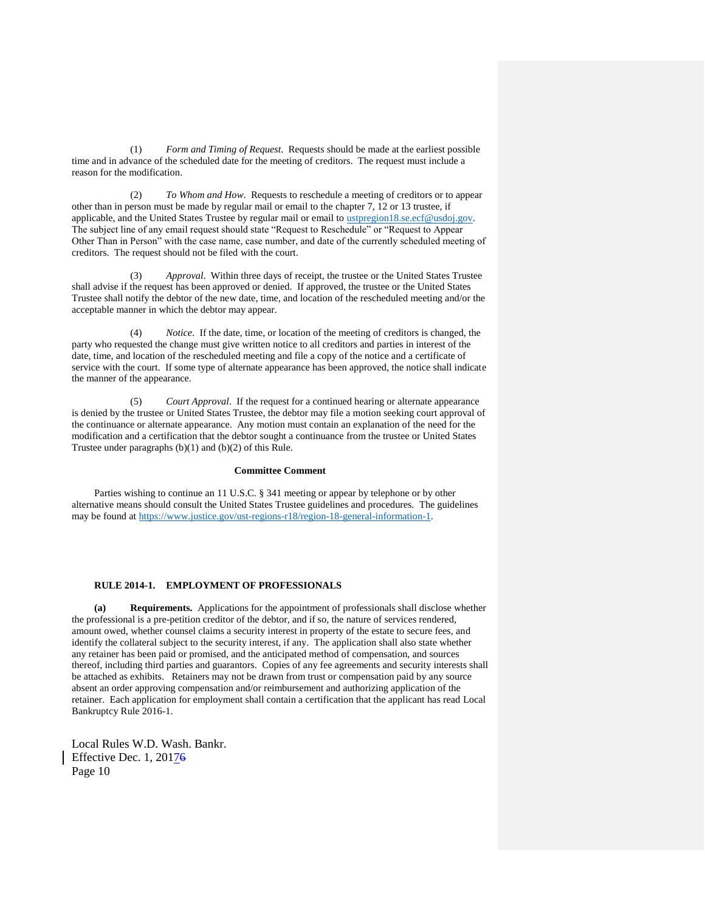(1) *Form and Timing of Request*. Requests should be made at the earliest possible time and in advance of the scheduled date for the meeting of creditors. The request must include a reason for the modification.

(2) *To Whom and How*. Requests to reschedule a meeting of creditors or to appear other than in person must be made by regular mail or email to the chapter 7, 12 or 13 trustee, if applicable, and the United States Trustee by regular mail or email to [ustpregion18.se.ecf@usdoj.gov.](mailto:ustpregion18.se.ecf@usdoj.gov)  The subject line of any email request should state "Request to Reschedule" or "Request to Appear Other Than in Person" with the case name, case number, and date of the currently scheduled meeting of creditors. The request should not be filed with the court.

(3) *Approval*. Within three days of receipt, the trustee or the United States Trustee shall advise if the request has been approved or denied. If approved, the trustee or the United States Trustee shall notify the debtor of the new date, time, and location of the rescheduled meeting and/or the acceptable manner in which the debtor may appear.

Notice. If the date, time, or location of the meeting of creditors is changed, the party who requested the change must give written notice to all creditors and parties in interest of the date, time, and location of the rescheduled meeting and file a copy of the notice and a certificate of service with the court. If some type of alternate appearance has been approved, the notice shall indicate the manner of the appearance.

(5) *Court Approval*. If the request for a continued hearing or alternate appearance is denied by the trustee or United States Trustee, the debtor may file a motion seeking court approval of the continuance or alternate appearance. Any motion must contain an explanation of the need for the modification and a certification that the debtor sought a continuance from the trustee or United States Trustee under paragraphs (b)(1) and (b)(2) of this Rule.

#### **Committee Comment**

Parties wishing to continue an 11 U.S.C. § 341 meeting or appear by telephone or by other alternative means should consult the United States Trustee guidelines and procedures. The guidelines may be found at [https://www.justice.gov/ust-regions-r18/region-18-general-information-1.](https://www.justice.gov/ust-regions-r18/region-18-general-information-1)

## **RULE 2014-1. EMPLOYMENT OF PROFESSIONALS**

**(a) Requirements.** Applications for the appointment of professionals shall disclose whether the professional is a pre-petition creditor of the debtor, and if so, the nature of services rendered, amount owed, whether counsel claims a security interest in property of the estate to secure fees, and identify the collateral subject to the security interest, if any. The application shall also state whether any retainer has been paid or promised, and the anticipated method of compensation, and sources thereof, including third parties and guarantors. Copies of any fee agreements and security interests shall be attached as exhibits. Retainers may not be drawn from trust or compensation paid by any source absent an order approving compensation and/or reimbursement and authorizing application of the retainer. Each application for employment shall contain a certification that the applicant has read Local Bankruptcy Rule 2016-1.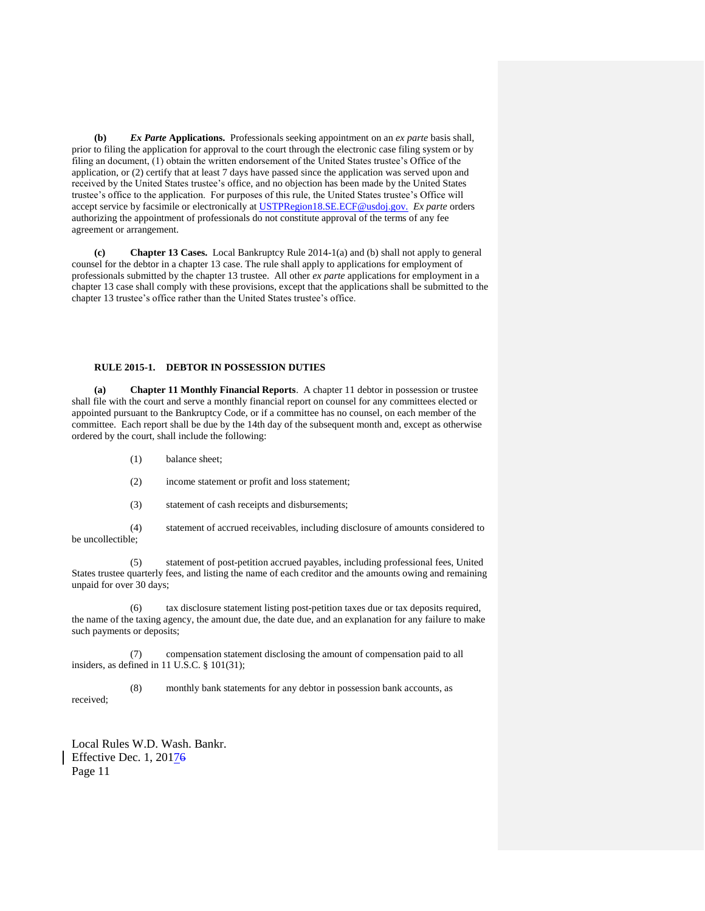**(b)** *Ex Parte* **Applications.** Professionals seeking appointment on an *ex parte* basis shall, prior to filing the application for approval to the court through the electronic case filing system or by filing an document, (1) obtain the written endorsement of the United States trustee's Office of the application, or (2) certify that at least 7 days have passed since the application was served upon and received by the United States trustee's office, and no objection has been made by the United States trustee's office to the application. For purposes of this rule, the United States trustee's Office will accept service by facsimile or electronically at [USTPRegion18.SE.ECF@usdoj.gov.](mailto:USTPRegion18.SE.ECF@usdoj.gov.) *Ex parte* orders authorizing the appointment of professionals do not constitute approval of the terms of any fee agreement or arrangement.

**(c) Chapter 13 Cases.** Local Bankruptcy Rule 2014-1(a) and (b) shall not apply to general counsel for the debtor in a chapter 13 case. The rule shall apply to applications for employment of professionals submitted by the chapter 13 trustee. All other *ex parte* applications for employment in a chapter 13 case shall comply with these provisions, except that the applications shall be submitted to the chapter 13 trustee's office rather than the United States trustee's office.

# **RULE 2015-1. DEBTOR IN POSSESSION DUTIES**

**(a) Chapter 11 Monthly Financial Reports**. A chapter 11 debtor in possession or trustee shall file with the court and serve a monthly financial report on counsel for any committees elected or appointed pursuant to the Bankruptcy Code, or if a committee has no counsel, on each member of the committee. Each report shall be due by the 14th day of the subsequent month and, except as otherwise ordered by the court, shall include the following:

- (1) balance sheet;
- (2) income statement or profit and loss statement;
- (3) statement of cash receipts and disbursements;

(4) statement of accrued receivables, including disclosure of amounts considered to be uncollectible;

(5) statement of post-petition accrued payables, including professional fees, United States trustee quarterly fees, and listing the name of each creditor and the amounts owing and remaining unpaid for over 30 days;

(6) tax disclosure statement listing post-petition taxes due or tax deposits required, the name of the taxing agency, the amount due, the date due, and an explanation for any failure to make such payments or deposits;

(7) compensation statement disclosing the amount of compensation paid to all insiders, as defined in 11 U.S.C. § 101(31);

(8) monthly bank statements for any debtor in possession bank accounts, as received;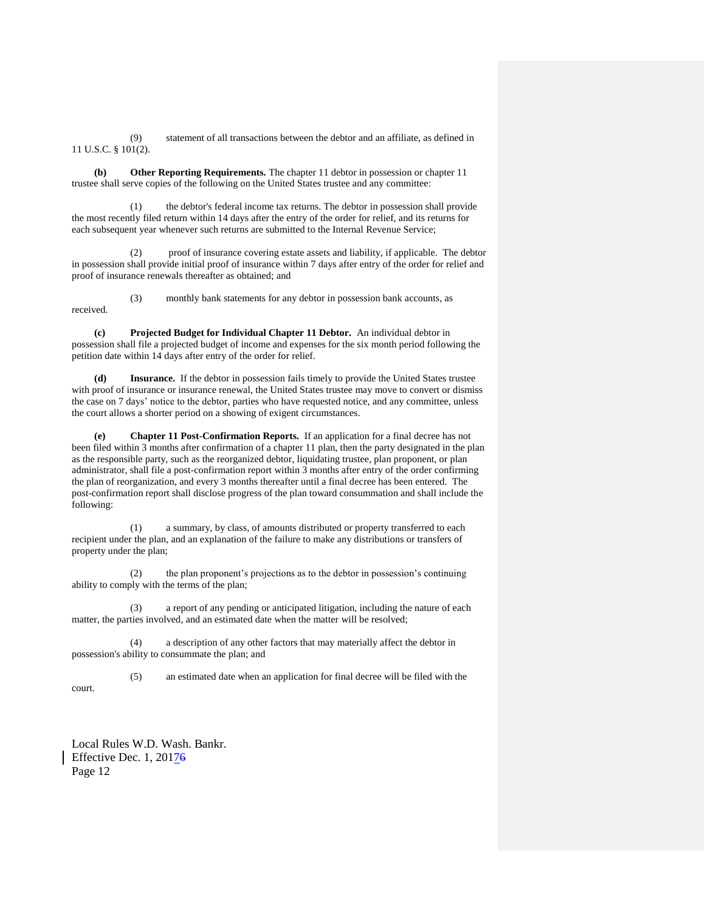(9) statement of all transactions between the debtor and an affiliate, as defined in 11 U.S.C. § 101(2).

**(b) Other Reporting Requirements.** The chapter 11 debtor in possession or chapter 11 trustee shall serve copies of the following on the United States trustee and any committee:

(1) the debtor's federal income tax returns. The debtor in possession shall provide the most recently filed return within 14 days after the entry of the order for relief, and its returns for each subsequent year whenever such returns are submitted to the Internal Revenue Service;

(2) proof of insurance covering estate assets and liability, if applicable. The debtor in possession shall provide initial proof of insurance within 7 days after entry of the order for relief and proof of insurance renewals thereafter as obtained; and

(3) monthly bank statements for any debtor in possession bank accounts, as received.

**(c) Projected Budget for Individual Chapter 11 Debtor.** An individual debtor in possession shall file a projected budget of income and expenses for the six month period following the petition date within 14 days after entry of the order for relief.

**(d) Insurance.** If the debtor in possession fails timely to provide the United States trustee with proof of insurance or insurance renewal, the United States trustee may move to convert or dismiss the case on 7 days' notice to the debtor, parties who have requested notice, and any committee, unless the court allows a shorter period on a showing of exigent circumstances.

**(e) Chapter 11 Post-Confirmation Reports.** If an application for a final decree has not been filed within 3 months after confirmation of a chapter 11 plan, then the party designated in the plan as the responsible party, such as the reorganized debtor, liquidating trustee, plan proponent, or plan administrator, shall file a post-confirmation report within 3 months after entry of the order confirming the plan of reorganization, and every 3 months thereafter until a final decree has been entered. The post-confirmation report shall disclose progress of the plan toward consummation and shall include the following:

(1) a summary, by class, of amounts distributed or property transferred to each recipient under the plan, and an explanation of the failure to make any distributions or transfers of property under the plan;

(2) the plan proponent's projections as to the debtor in possession's continuing ability to comply with the terms of the plan;

(3) a report of any pending or anticipated litigation, including the nature of each matter, the parties involved, and an estimated date when the matter will be resolved;

(4) a description of any other factors that may materially affect the debtor in possession's ability to consummate the plan; and

(5) an estimated date when an application for final decree will be filed with the court.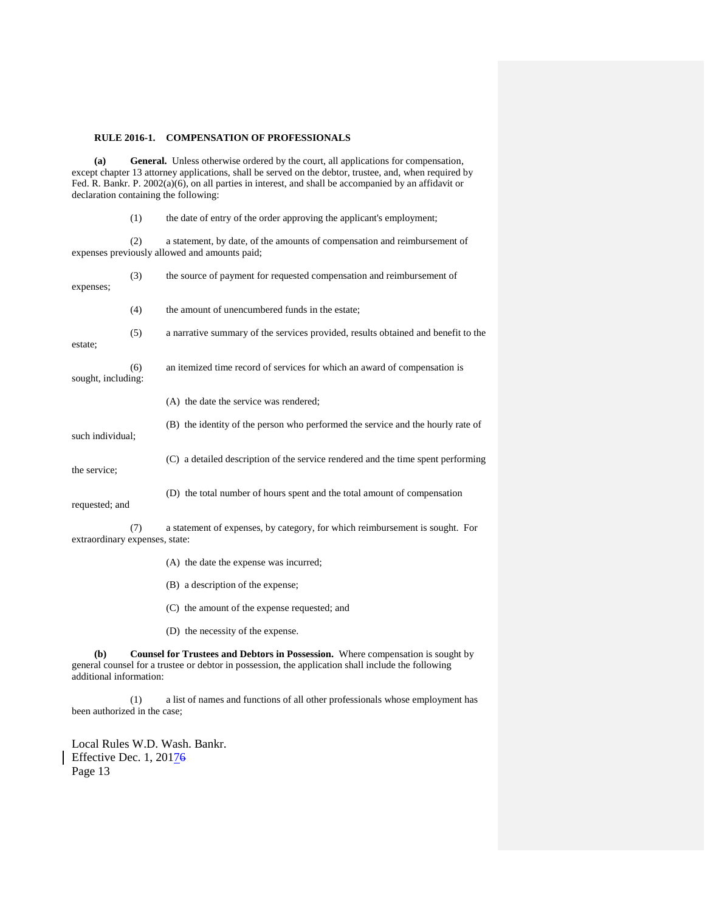## **RULE 2016-1. COMPENSATION OF PROFESSIONALS**

**(a) General.** Unless otherwise ordered by the court, all applications for compensation, except chapter 13 attorney applications, shall be served on the debtor, trustee, and, when required by Fed. R. Bankr. P. 2002(a)(6), on all parties in interest, and shall be accompanied by an affidavit or declaration containing the following:

(1) the date of entry of the order approving the applicant's employment;

(2) a statement, by date, of the amounts of compensation and reimbursement of expenses previously allowed and amounts paid;

| expenses;                      | (3) | the source of payment for requested compensation and reimbursement of             |
|--------------------------------|-----|-----------------------------------------------------------------------------------|
|                                | (4) | the amount of unencumbered funds in the estate;                                   |
| estate;                        | (5) | a narrative summary of the services provided, results obtained and benefit to the |
| (6)<br>sought, including:      |     | an itemized time record of services for which an award of compensation is         |
|                                |     | (A) the date the service was rendered;                                            |
| such individual;               |     | (B) the identity of the person who performed the service and the hourly rate of   |
| the service;                   |     | (C) a detailed description of the service rendered and the time spent performing  |
| requested; and                 |     | (D) the total number of hours spent and the total amount of compensation          |
| extraordinary expenses, state: | (7) | a statement of expenses, by category, for which reimbursement is sought. For      |
|                                |     | (A) the date the expense was incurred;                                            |
|                                |     | (B) a description of the expense;                                                 |

- (C) the amount of the expense requested; and
- (D) the necessity of the expense.

**(b) Counsel for Trustees and Debtors in Possession.** Where compensation is sought by general counsel for a trustee or debtor in possession, the application shall include the following additional information:

(1) a list of names and functions of all other professionals whose employment has been authorized in the case;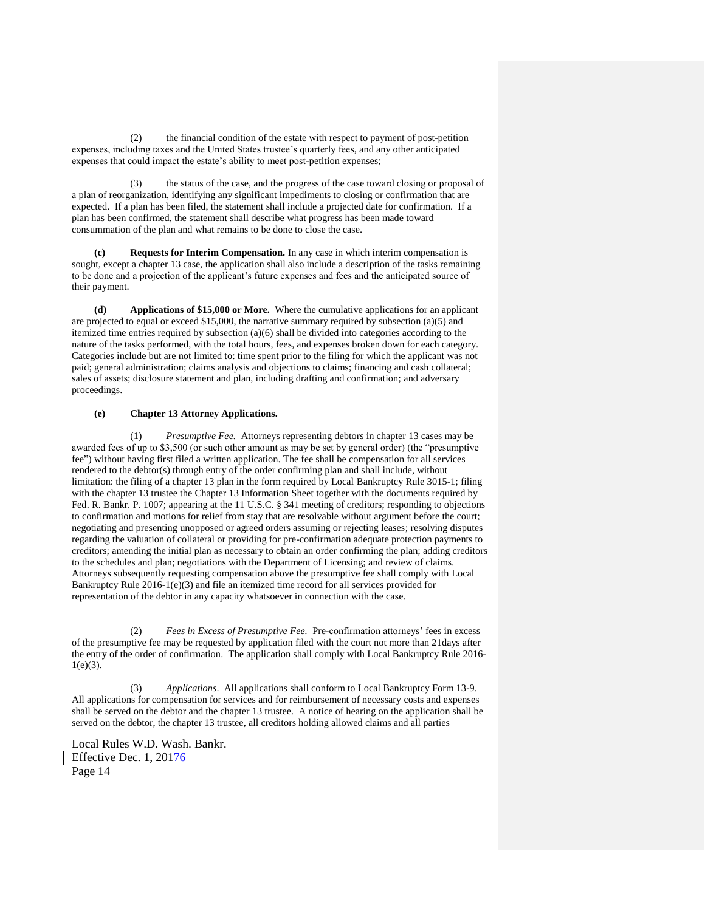(2) the financial condition of the estate with respect to payment of post-petition expenses, including taxes and the United States trustee's quarterly fees, and any other anticipated expenses that could impact the estate's ability to meet post-petition expenses;

(3) the status of the case, and the progress of the case toward closing or proposal of a plan of reorganization, identifying any significant impediments to closing or confirmation that are expected. If a plan has been filed, the statement shall include a projected date for confirmation. If a plan has been confirmed, the statement shall describe what progress has been made toward consummation of the plan and what remains to be done to close the case.

**(c) Requests for Interim Compensation.** In any case in which interim compensation is sought, except a chapter 13 case, the application shall also include a description of the tasks remaining to be done and a projection of the applicant's future expenses and fees and the anticipated source of their payment.

**(d) Applications of \$15,000 or More.** Where the cumulative applications for an applicant are projected to equal or exceed \$15,000, the narrative summary required by subsection (a)(5) and itemized time entries required by subsection (a)(6) shall be divided into categories according to the nature of the tasks performed, with the total hours, fees, and expenses broken down for each category. Categories include but are not limited to: time spent prior to the filing for which the applicant was not paid; general administration; claims analysis and objections to claims; financing and cash collateral; sales of assets; disclosure statement and plan, including drafting and confirmation; and adversary proceedings.

# **(e) Chapter 13 Attorney Applications.**

(1) *Presumptive Fee.* Attorneys representing debtors in chapter 13 cases may be awarded fees of up to \$3,500 (or such other amount as may be set by general order) (the "presumptive fee") without having first filed a written application. The fee shall be compensation for all services rendered to the debtor(s) through entry of the order confirming plan and shall include, without limitation: the filing of a chapter 13 plan in the form required by Local Bankruptcy Rule 3015-1; filing with the chapter 13 trustee the Chapter 13 Information Sheet together with the documents required by Fed. R. Bankr. P. 1007; appearing at the 11 U.S.C. § 341 meeting of creditors; responding to objections to confirmation and motions for relief from stay that are resolvable without argument before the court; negotiating and presenting unopposed or agreed orders assuming or rejecting leases; resolving disputes regarding the valuation of collateral or providing for pre-confirmation adequate protection payments to creditors; amending the initial plan as necessary to obtain an order confirming the plan; adding creditors to the schedules and plan; negotiations with the Department of Licensing; and review of claims. Attorneys subsequently requesting compensation above the presumptive fee shall comply with Local Bankruptcy Rule 2016-1(e)(3) and file an itemized time record for all services provided for representation of the debtor in any capacity whatsoever in connection with the case.

(2) *Fees in Excess of Presumptive Fee.* Pre-confirmation attorneys' fees in excess of the presumptive fee may be requested by application filed with the court not more than 21days after the entry of the order of confirmation. The application shall comply with Local Bankruptcy Rule 2016-  $1(e)(3)$ .

(3) *Applications*. All applications shall conform to Local Bankruptcy Form 13-9. All applications for compensation for services and for reimbursement of necessary costs and expenses shall be served on the debtor and the chapter 13 trustee. A notice of hearing on the application shall be served on the debtor, the chapter 13 trustee, all creditors holding allowed claims and all parties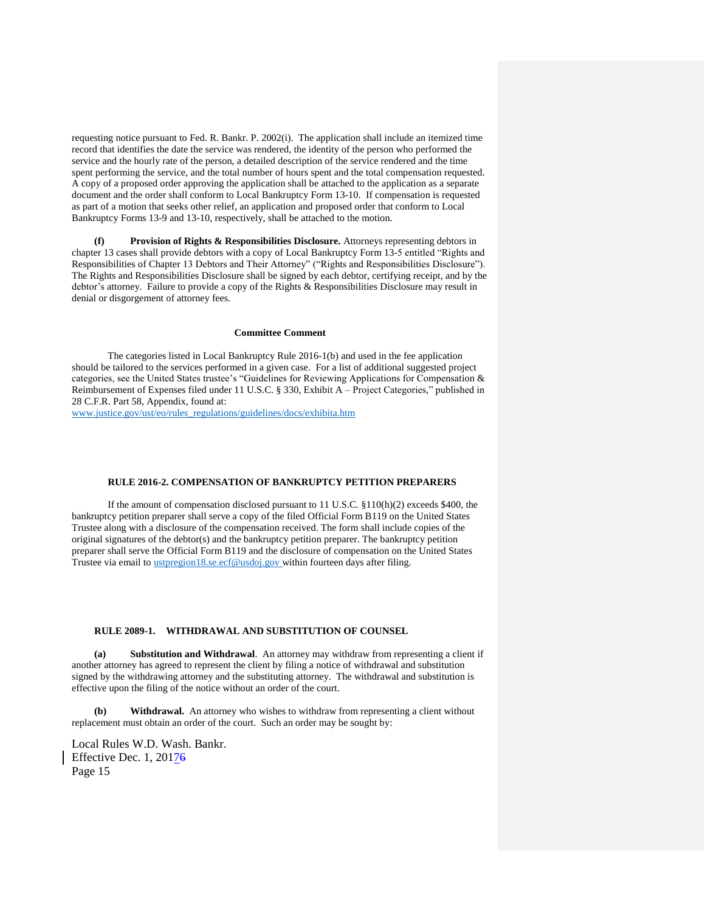requesting notice pursuant to Fed. R. Bankr. P. 2002(i). The application shall include an itemized time record that identifies the date the service was rendered, the identity of the person who performed the service and the hourly rate of the person, a detailed description of the service rendered and the time spent performing the service, and the total number of hours spent and the total compensation requested. A copy of a proposed order approving the application shall be attached to the application as a separate document and the order shall conform to Local Bankruptcy Form 13-10. If compensation is requested as part of a motion that seeks other relief, an application and proposed order that conform to Local Bankruptcy Forms 13-9 and 13-10, respectively, shall be attached to the motion.

**Provision of Rights & Responsibilities Disclosure.** Attorneys representing debtors in chapter 13 cases shall provide debtors with a copy of Local Bankruptcy Form 13-5 entitled "Rights and Responsibilities of Chapter 13 Debtors and Their Attorney" ("Rights and Responsibilities Disclosure"). The Rights and Responsibilities Disclosure shall be signed by each debtor, certifying receipt, and by the debtor's attorney. Failure to provide a copy of the Rights & Responsibilities Disclosure may result in denial or disgorgement of attorney fees.

#### **Committee Comment**

The categories listed in Local Bankruptcy Rule 2016-1(b) and used in the fee application should be tailored to the services performed in a given case. For a list of additional suggested project categories, see the United States trustee's "Guidelines for Reviewing Applications for Compensation & Reimbursement of Expenses filed under 11 U.S.C. § 330, Exhibit A – Project Categories," published in 28 C.F.R. Part 58, Appendix, found at:

[www.justice.gov/ust/eo/rules\\_regulations/guidelines/docs/exhibita.htm](http://www.justice.gov/ust/eo/rules_regulations/guidelines/docs/exhibita.htm)

## **RULE 2016-2. COMPENSATION OF BANKRUPTCY PETITION PREPARERS**

If the amount of compensation disclosed pursuant to 11 U.S.C. §110(h)(2) exceeds \$400, the bankruptcy petition preparer shall serve a copy of the filed Official Form B119 on the United States Trustee along with a disclosure of the compensation received. The form shall include copies of the original signatures of the debtor(s) and the bankruptcy petition preparer. The bankruptcy petition preparer shall serve the Official Form B119 and the disclosure of compensation on the United States Trustee via email to [ustpregion18.se.ecf@usdoj.gov](mailto:ustpregion18.se.ecf@usdoj.gov) within fourteen days after filing.

# **RULE 2089-1. WITHDRAWAL AND SUBSTITUTION OF COUNSEL**

**(a) Substitution and Withdrawal**. An attorney may withdraw from representing a client if another attorney has agreed to represent the client by filing a notice of withdrawal and substitution signed by the withdrawing attorney and the substituting attorney. The withdrawal and substitution is effective upon the filing of the notice without an order of the court.

**(b) Withdrawal.** An attorney who wishes to withdraw from representing a client without replacement must obtain an order of the court. Such an order may be sought by: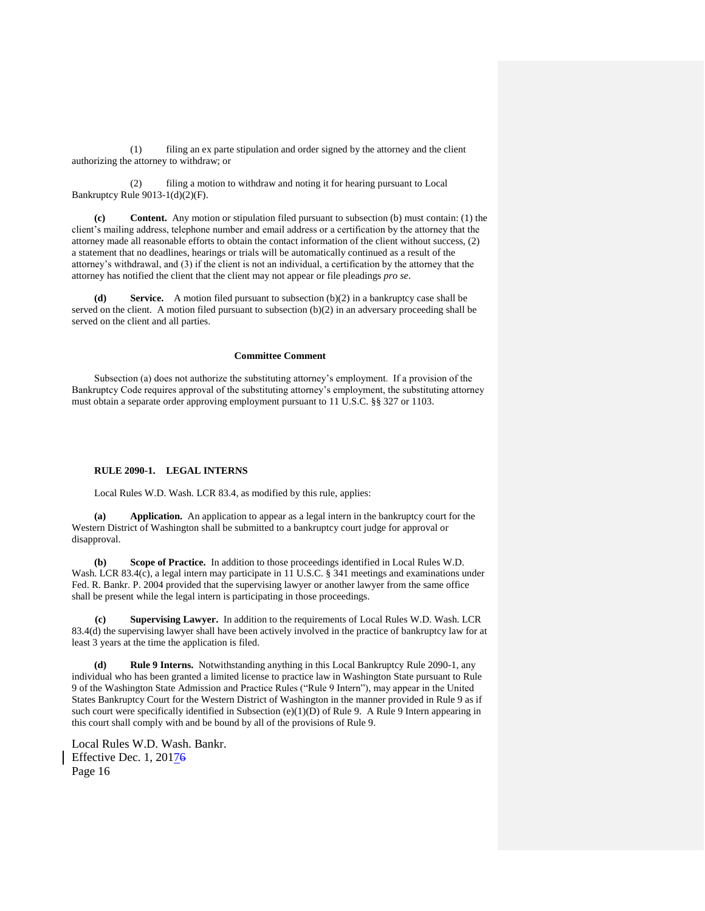(1) filing an ex parte stipulation and order signed by the attorney and the client authorizing the attorney to withdraw; or

(2) filing a motion to withdraw and noting it for hearing pursuant to Local Bankruptcy Rule 9013-1(d)(2)(F).

**(c) Content.** Any motion or stipulation filed pursuant to subsection (b) must contain: (1) the client's mailing address, telephone number and email address or a certification by the attorney that the attorney made all reasonable efforts to obtain the contact information of the client without success, (2) a statement that no deadlines, hearings or trials will be automatically continued as a result of the attorney's withdrawal, and (3) if the client is not an individual, a certification by the attorney that the attorney has notified the client that the client may not appear or file pleadings *pro se*.

**(d) Service.** A motion filed pursuant to subsection (b)(2) in a bankruptcy case shall be served on the client. A motion filed pursuant to subsection (b)(2) in an adversary proceeding shall be served on the client and all parties.

# **Committee Comment**

Subsection (a) does not authorize the substituting attorney's employment. If a provision of the Bankruptcy Code requires approval of the substituting attorney's employment, the substituting attorney must obtain a separate order approving employment pursuant to 11 U.S.C. §§ 327 or 1103.

## **RULE 2090-1. LEGAL INTERNS**

Local Rules W.D. Wash. LCR 83.4, as modified by this rule, applies:

**(a) Application.** An application to appear as a legal intern in the bankruptcy court for the Western District of Washington shall be submitted to a bankruptcy court judge for approval or disapproval.

**(b) Scope of Practice.** In addition to those proceedings identified in Local Rules W.D. Wash. LCR 83.4(c), a legal intern may participate in 11 U.S.C. § 341 meetings and examinations under Fed. R. Bankr. P. 2004 provided that the supervising lawyer or another lawyer from the same office shall be present while the legal intern is participating in those proceedings.

 **(c) Supervising Lawyer.** In addition to the requirements of Local Rules W.D. Wash. LCR 83.4(d) the supervising lawyer shall have been actively involved in the practice of bankruptcy law for at least 3 years at the time the application is filed.

**(d) Rule 9 Interns.** Notwithstanding anything in this Local Bankruptcy Rule 2090-1, any individual who has been granted a limited license to practice law in Washington State pursuant to Rule 9 of the Washington State Admission and Practice Rules ("Rule 9 Intern"), may appear in the United States Bankruptcy Court for the Western District of Washington in the manner provided in Rule 9 as if such court were specifically identified in Subsection (e)(1)(D) of Rule 9. A Rule 9 Intern appearing in this court shall comply with and be bound by all of the provisions of Rule 9.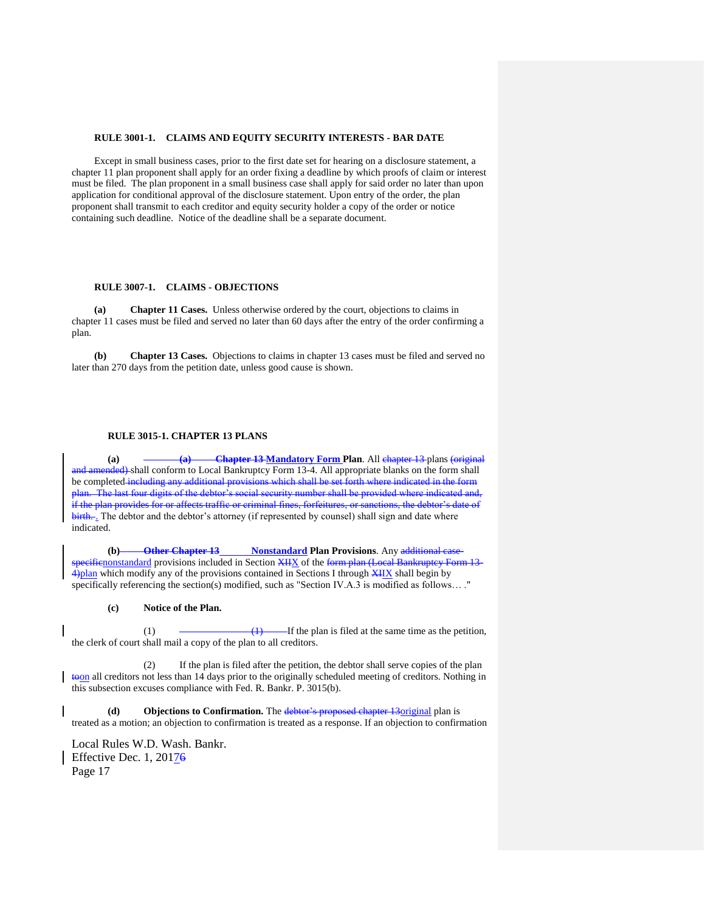## **RULE 3001-1. CLAIMS AND EQUITY SECURITY INTERESTS - BAR DATE**

Except in small business cases, prior to the first date set for hearing on a disclosure statement, a chapter 11 plan proponent shall apply for an order fixing a deadline by which proofs of claim or interest must be filed. The plan proponent in a small business case shall apply for said order no later than upon application for conditional approval of the disclosure statement. Upon entry of the order, the plan proponent shall transmit to each creditor and equity security holder a copy of the order or notice containing such deadline. Notice of the deadline shall be a separate document.

#### **RULE 3007-1. CLAIMS - OBJECTIONS**

**(a) Chapter 11 Cases.** Unless otherwise ordered by the court, objections to claims in chapter 11 cases must be filed and served no later than 60 days after the entry of the order confirming a plan.

**(b) Chapter 13 Cases.** Objections to claims in chapter 13 cases must be filed and served no later than 270 days from the petition date, unless good cause is shown.

## **RULE 3015-1. CHAPTER 13 PLANS**

**(a) (a) Chapter 13 Mandatory Form Plan**. All chapter 13 plans (original and amended) shall conform to Local Bankruptcy Form 13-4. All appropriate blanks on the form shall be completed including any additional provisions which shall be set forth where indicated in the formula provided where indicated in the formula system. nial security number sh if the plan provides for or affects traffic or criminal fines, forfeitures, or sanctions, the debtor's date of birth... The debtor and the debtor's attorney (if represented by counsel) shall sign and date where indicated.

**(b) Other Chapter 13 Nonstandard Plan Provisions**. Any additional casespecificnonstandard provisions included in Section XIIX of the form plan (Local Bankruptcy Form 13- $4$ )plan which modify any of the provisions contained in Sections I through  $\frac{X_{II}X}{Y_{II}}$  shall begin by specifically referencing the section(s) modified, such as "Section IV.A.3 is modified as follows… ."

# **(c) Notice of the Plan.**

(1)  $(1)$  If the plan is filed at the same time as the petition, the clerk of court shall mail a copy of the plan to all creditors.

(2) If the plan is filed after the petition, the debtor shall serve copies of the plan toon all creditors not less than 14 days prior to the originally scheduled meeting of creditors. Nothing in this subsection excuses compliance with Fed. R. Bankr. P. 3015(b).

**(d) Objections to Confirmation.** The debtor's proposed chapter 13original plan is treated as a motion; an objection to confirmation is treated as a response. If an objection to confirmation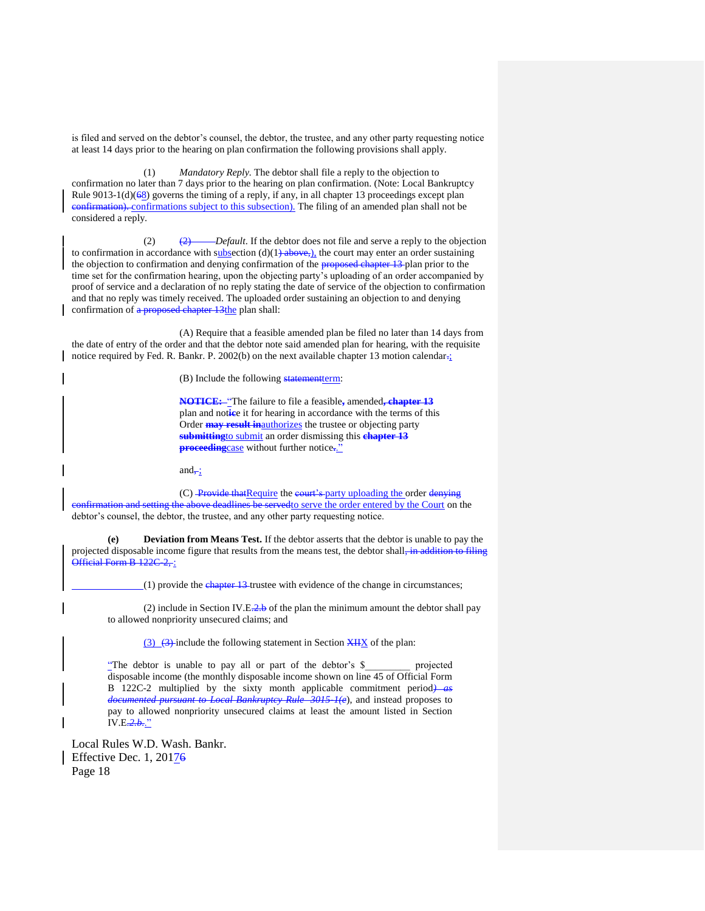is filed and served on the debtor's counsel, the debtor, the trustee, and any other party requesting notice at least 14 days prior to the hearing on plan confirmation the following provisions shall apply.

(1) *Mandatory Reply.* The debtor shall file a reply to the objection to confirmation no later than 7 days prior to the hearing on plan confirmation. (Note: Local Bankruptcy Rule 9013-1(d)( $68$ ) governs the timing of a reply, if any, in all chapter 13 proceedings except plan confirmation). confirmations subject to this subsection). The filing of an amended plan shall not be considered a reply.

(2) (2) *Default*. If the debtor does not file and serve a reply to the objection to confirmation in accordance with subsection  $(d)(1)$  above,), the court may enter an order sustaining the objection to confirmation and denying confirmation of the **proposed chapter 13** plan prior to the time set for the confirmation hearing, upon the objecting party's uploading of an order accompanied by proof of service and a declaration of no reply stating the date of service of the objection to confirmation and that no reply was timely received. The uploaded order sustaining an objection to and denying confirmation of a proposed chapter 13the plan shall:

(A) Require that a feasible amended plan be filed no later than 14 days from the date of entry of the order and that the debtor note said amended plan for hearing, with the requisite notice required by Fed. R. Bankr. P. 2002(b) on the next available chapter 13 motion calendar:

(B) Include the following statementterm:

**NOTICE:** "The failure to file a feasible**,** amended**, chapter 13** plan and not**ic**e it for hearing in accordance with the terms of this Order **may result in**authorizes the trustee or objecting party **submitting**to submit an order dismissing this **chapter 13 proceeding**case without further notice**.**."

and $\div$ ;

(C) Provide that Require the court's party uploading the order denying confirmation and setting the above deadlines be servedto serve the order entered by the Court on the debtor's counsel, the debtor, the trustee, and any other party requesting notice.

**(e) Deviation from Means Test.** If the debtor asserts that the debtor is unable to pay the projected disposable income figure that results from the means test, the debtor shall, in addition to filing Official Form B 122C 2, :

 $(1)$  provide the chapter 13-trustee with evidence of the change in circumstances;

(2) include in Section IV.E. $\frac{2}{3}$  of the plan the minimum amount the debtor shall pay to allowed nonpriority unsecured claims; and

 $(3)$   $(3)$  include the following statement in Section  $XH X$  of the plan:

"The debtor is unable to pay all or part of the debtor's \$\_\_\_\_\_\_\_\_\_ projected disposable income (the monthly disposable income shown on line 45 of Official Form B 122C-2 multiplied by the sixty month applicable commitment period*) as documented pursuant to Local Bankruptcy Rule 3015-1(e*), and instead proposes to pay to allowed nonpriority unsecured claims at least the amount listed in Section IV.E*.2.b.*."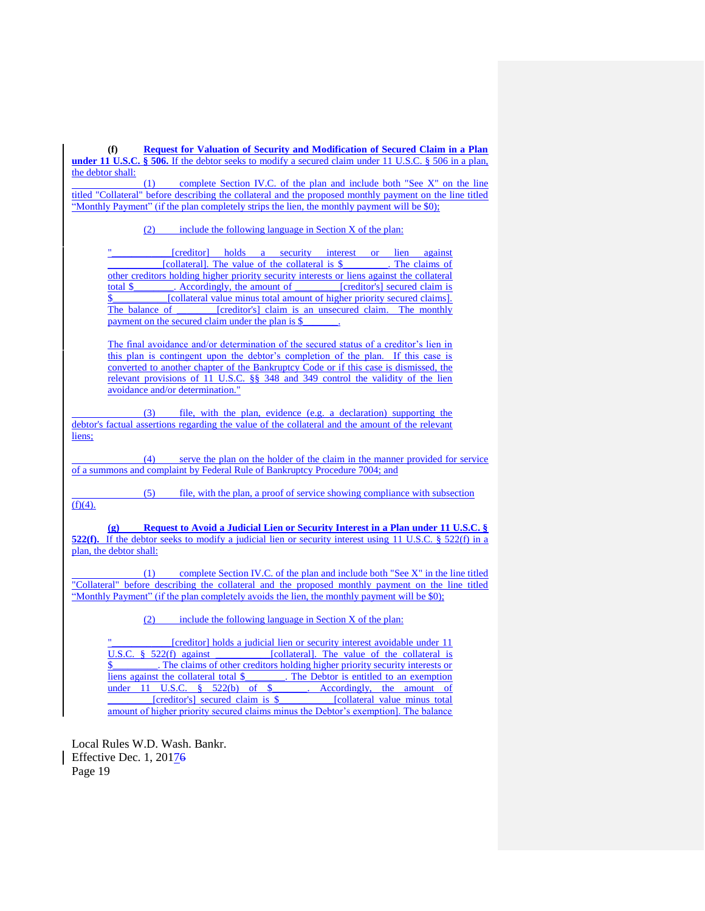**(f) Request for Valuation of Security and Modification of Secured Claim in a Plan under 11 U.S.C. § 506.** If the debtor seeks to modify a secured claim under 11 U.S.C. § 506 in a plan, the debtor shall:

(1) complete Section IV.C. of the plan and include both "See X" on the line titled "Collateral" before describing the collateral and the proposed monthly payment on the line titled "Monthly Payment" (if the plan completely strips the lien, the monthly payment will be \$0);

(2) include the following language in Section X of the plan:

[creditor] holds a security interest or lien against \_\_\_\_\_\_\_\_\_\_\_[collateral]. The value of the collateral is \$\_\_\_\_\_\_\_\_\_. The claims of other creditors holding higher priority security interests or liens against the collateral total \$. Accordingly, the amount of **France Containers** [creditor's] secured claim is \$ [collateral value minus total amount of higher priority secured claims]. The balance of **Freditor's** claim is an unsecured claim. The monthly payment on the secured claim under the plan is \$

The final avoidance and/or determination of the secured status of a creditor's lien in this plan is contingent upon the debtor's completion of the plan. If this case is converted to another chapter of the Bankruptcy Code or if this case is dismissed, the relevant provisions of 11 U.S.C. §§ 348 and 349 control the validity of the lien avoidance and/or determination."

(3) file, with the plan, evidence (e.g. a declaration) supporting the debtor's factual assertions regarding the value of the collateral and the amount of the relevant liens;

(4) serve the plan on the holder of the claim in the manner provided for service of a summons and complaint by Federal Rule of Bankruptcy Procedure 7004; and

(5) file, with the plan, a proof of service showing compliance with subsection  $(f)(4)$ .

**(g) Request to Avoid a Judicial Lien or Security Interest in a Plan under 11 U.S.C. § 522(f).** If the debtor seeks to modify a judicial lien or security interest using 11 U.S.C. § 522(f) in a plan, the debtor shall:

(1) complete Section IV.C. of the plan and include both "See X" in the line titled "Collateral" before describing the collateral and the proposed monthly payment on the line titled "Monthly Payment" (if the plan completely avoids the lien, the monthly payment will be \$0):

(2) include the following language in Section X of the plan:

Tereditor1 holds a judicial lien or security interest avoidable under 11 U.S.C.  $§$  522(f) against [collateral]. The value of the collateral is . The claims of other creditors holding higher priority security interests or liens against the collateral total \$ \_\_\_\_\_\_\_. The Debtor is entitled to an exemption under 11 U.S.C.  $\frac{8}{522(b)}$  of \$. Accordingly, the amount of [creditor's] secured claim is \$ [collateral value minus total amount of higher priority secured claims minus the Debtor's exemption]. The balance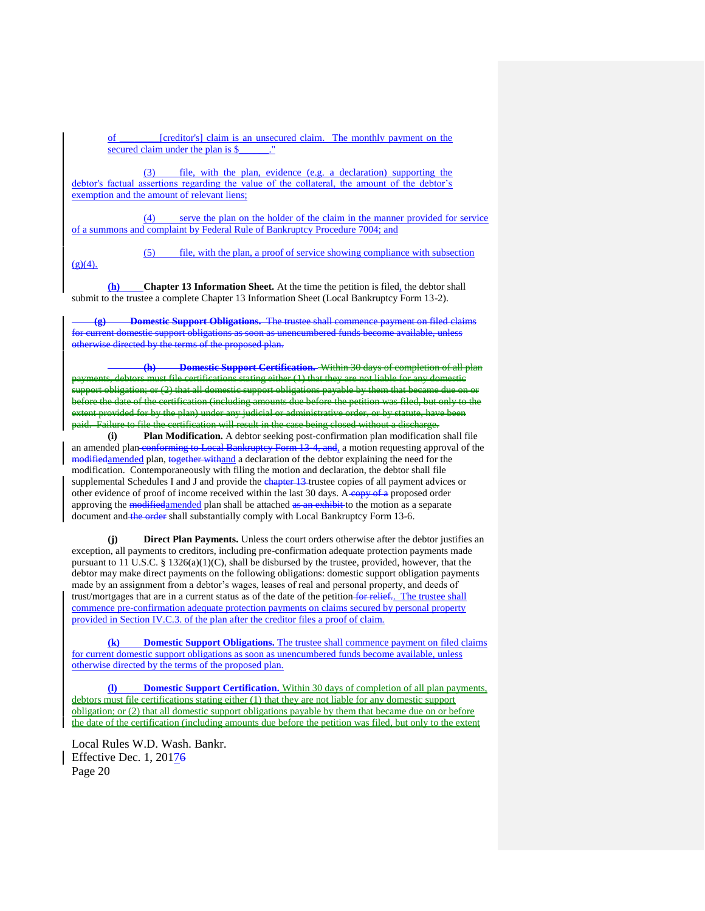of \_\_\_\_\_\_\_\_[creditor's] claim is an unsecured claim. The monthly payment on the secured claim under the plan is \$

(3) file, with the plan, evidence (e.g. a declaration) supporting the debtor's factual assertions regarding the value of the collateral, the amount of the debtor's exemption and the amount of relevant liens;

(4) serve the plan on the holder of the claim in the manner provided for service of a summons and complaint by Federal Rule of Bankruptcy Procedure 7004; and

 $(g)(4)$ .

(5) file, with the plan, a proof of service showing compliance with subsection

**(h) Chapter 13 Information Sheet.** At the time the petition is filed, the debtor shall submit to the trustee a complete Chapter 13 Information Sheet (Local Bankruptcy Form 13-2).

**(g) Domestic Support Obligations.** The trustee shall commence payment on filed claims for current domestic support obligations as soon as unencumbered funds become available, unless otherwise directed by the terms of the proposed plan.

**Domestic Support Certification.** Within 30 days of comp file certifications stating either (1) that they are ation; or (2) that all domestic support obligations payable by them that becam of the certification (including amounts due before the petition was filed, but only ided for by the plan) under any judicial or administrative order, or by statute, have been aid. Failure to file the certification will result in the case being closed without a discharge.<br>(i) Plan Modification. A debtor seeking post-confirmation plan modification

Plan Modification. A debtor seeking post-confirmation plan modification shall file an amended plan-conforming to Local Bankruptcy Form 13-4, and, a motion requesting approval of the modifiedamended plan, together withand a declaration of the debtor explaining the need for the modification. Contemporaneously with filing the motion and declaration, the debtor shall file supplemental Schedules I and J and provide the chapter 13 trustee copies of all payment advices or other evidence of proof of income received within the last 30 days. A copy of a proposed order approving the modifiedamended plan shall be attached as an exhibit to the motion as a separate document and the order shall substantially comply with Local Bankruptcy Form 13-6.

**(j) Direct Plan Payments.** Unless the court orders otherwise after the debtor justifies an exception, all payments to creditors, including pre-confirmation adequate protection payments made pursuant to 11 U.S.C. § 1326(a)(1)(C), shall be disbursed by the trustee, provided, however, that the debtor may make direct payments on the following obligations: domestic support obligation payments made by an assignment from a debtor's wages, leases of real and personal property, and deeds of trust/mortgages that are in a current status as of the date of the petition for relief.. The trustee shall commence pre-confirmation adequate protection payments on claims secured by personal property provided in Section IV.C.3. of the plan after the creditor files a proof of claim.

**(k) Domestic Support Obligations.** The trustee shall commence payment on filed claims for current domestic support obligations as soon as unencumbered funds become available, unless otherwise directed by the terms of the proposed plan.

**(l) Domestic Support Certification.** Within 30 days of completion of all plan payments, debtors must file certifications stating either (1) that they are not liable for any domestic support obligation; or (2) that all domestic support obligations payable by them that became due on or before the date of the certification (including amounts due before the petition was filed, but only to the extent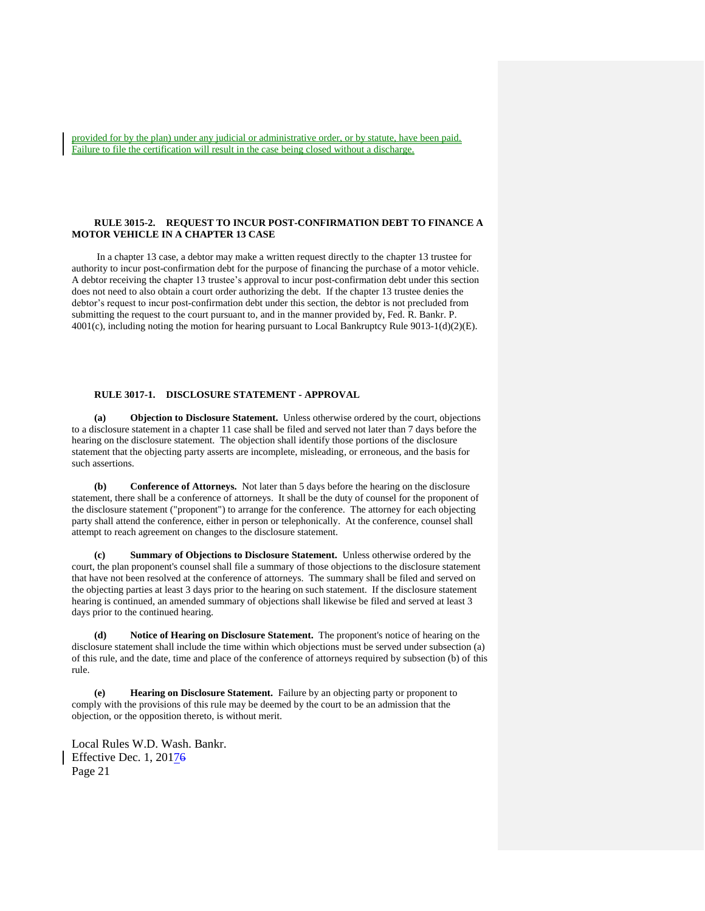provided for by the plan) under any judicial or administrative order, or by statute, have been paid. Failure to file the certification will result in the case being closed without a discharge.

# **RULE 3015-2. REQUEST TO INCUR POST-CONFIRMATION DEBT TO FINANCE A MOTOR VEHICLE IN A CHAPTER 13 CASE**

 In a chapter 13 case, a debtor may make a written request directly to the chapter 13 trustee for authority to incur post-confirmation debt for the purpose of financing the purchase of a motor vehicle. A debtor receiving the chapter 13 trustee's approval to incur post-confirmation debt under this section does not need to also obtain a court order authorizing the debt. If the chapter 13 trustee denies the debtor's request to incur post-confirmation debt under this section, the debtor is not precluded from submitting the request to the court pursuant to, and in the manner provided by, Fed. R. Bankr. P. 4001(c), including noting the motion for hearing pursuant to Local Bankruptcy Rule 9013-1(d)(2)(E).

## **RULE 3017-1. DISCLOSURE STATEMENT - APPROVAL**

**(a) Objection to Disclosure Statement.** Unless otherwise ordered by the court, objections to a disclosure statement in a chapter 11 case shall be filed and served not later than 7 days before the hearing on the disclosure statement. The objection shall identify those portions of the disclosure statement that the objecting party asserts are incomplete, misleading, or erroneous, and the basis for such assertions.

**(b) Conference of Attorneys.** Not later than 5 days before the hearing on the disclosure statement, there shall be a conference of attorneys. It shall be the duty of counsel for the proponent of the disclosure statement ("proponent") to arrange for the conference. The attorney for each objecting party shall attend the conference, either in person or telephonically. At the conference, counsel shall attempt to reach agreement on changes to the disclosure statement.

**Summary of Objections to Disclosure Statement.** Unless otherwise ordered by the court, the plan proponent's counsel shall file a summary of those objections to the disclosure statement that have not been resolved at the conference of attorneys. The summary shall be filed and served on the objecting parties at least 3 days prior to the hearing on such statement. If the disclosure statement hearing is continued, an amended summary of objections shall likewise be filed and served at least 3 days prior to the continued hearing.

**(d) Notice of Hearing on Disclosure Statement.** The proponent's notice of hearing on the disclosure statement shall include the time within which objections must be served under subsection (a) of this rule, and the date, time and place of the conference of attorneys required by subsection (b) of this rule.

**(e) Hearing on Disclosure Statement.** Failure by an objecting party or proponent to comply with the provisions of this rule may be deemed by the court to be an admission that the objection, or the opposition thereto, is without merit.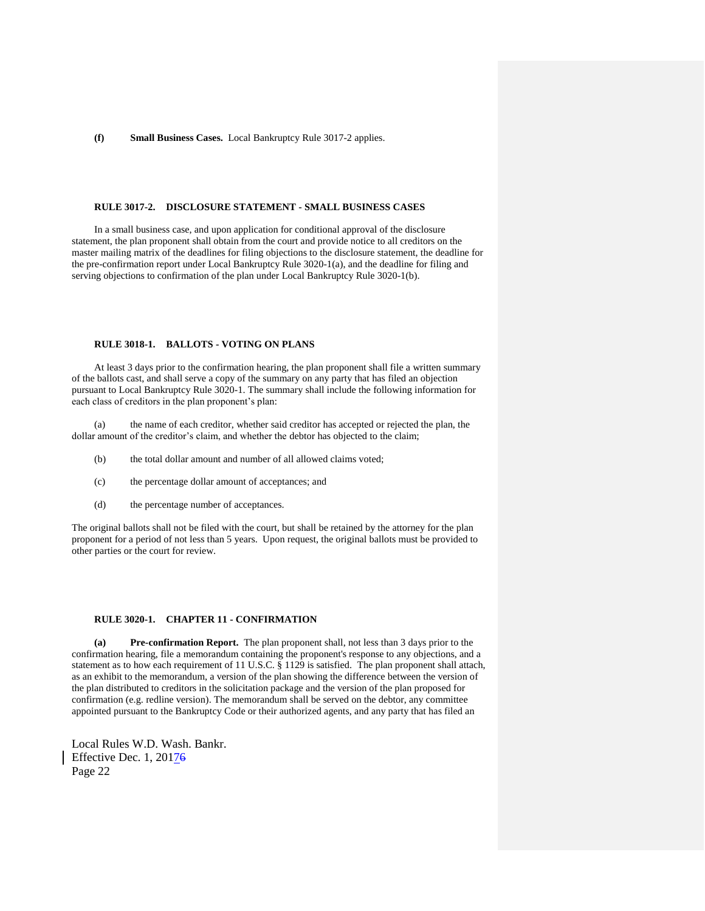# **(f) Small Business Cases.** Local Bankruptcy Rule 3017-2 applies.

#### **RULE 3017-2. DISCLOSURE STATEMENT - SMALL BUSINESS CASES**

In a small business case, and upon application for conditional approval of the disclosure statement, the plan proponent shall obtain from the court and provide notice to all creditors on the master mailing matrix of the deadlines for filing objections to the disclosure statement, the deadline for the pre-confirmation report under Local Bankruptcy Rule 3020-1(a), and the deadline for filing and serving objections to confirmation of the plan under Local Bankruptcy Rule 3020-1(b).

## **RULE 3018-1. BALLOTS - VOTING ON PLANS**

At least 3 days prior to the confirmation hearing, the plan proponent shall file a written summary of the ballots cast, and shall serve a copy of the summary on any party that has filed an objection pursuant to Local Bankruptcy Rule 3020-1. The summary shall include the following information for each class of creditors in the plan proponent's plan:

(a) the name of each creditor, whether said creditor has accepted or rejected the plan, the dollar amount of the creditor's claim, and whether the debtor has objected to the claim;

- (b) the total dollar amount and number of all allowed claims voted;
- (c) the percentage dollar amount of acceptances; and
- (d) the percentage number of acceptances.

The original ballots shall not be filed with the court, but shall be retained by the attorney for the plan proponent for a period of not less than 5 years. Upon request, the original ballots must be provided to other parties or the court for review.

# **RULE 3020-1. CHAPTER 11 - CONFIRMATION**

**(a) Pre-confirmation Report.** The plan proponent shall, not less than 3 days prior to the confirmation hearing, file a memorandum containing the proponent's response to any objections, and a statement as to how each requirement of 11 U.S.C. § 1129 is satisfied. The plan proponent shall attach, as an exhibit to the memorandum, a version of the plan showing the difference between the version of the plan distributed to creditors in the solicitation package and the version of the plan proposed for confirmation (e.g. redline version). The memorandum shall be served on the debtor, any committee appointed pursuant to the Bankruptcy Code or their authorized agents, and any party that has filed an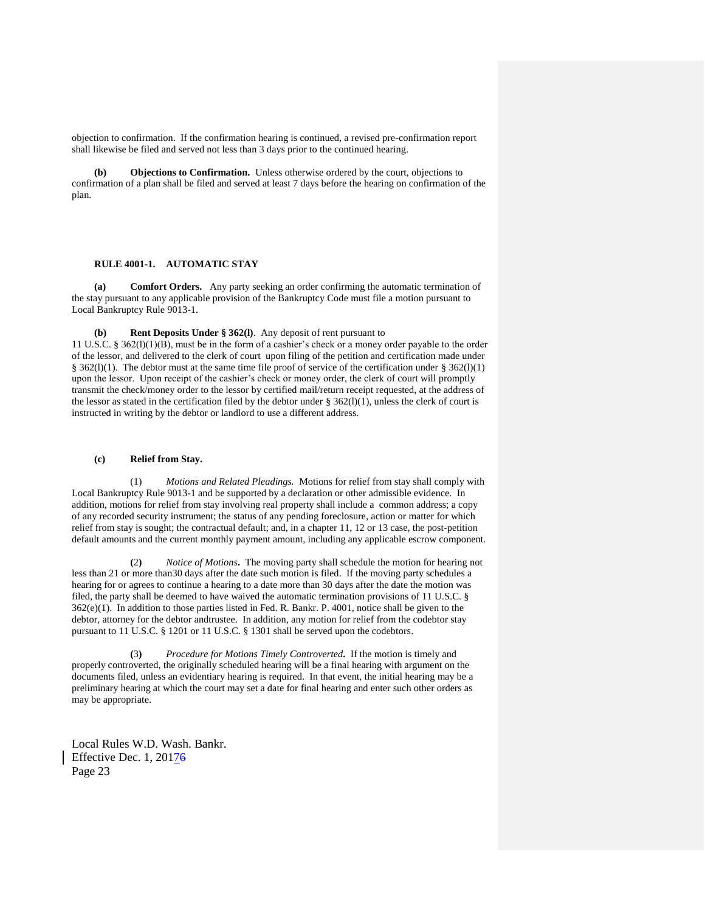objection to confirmation. If the confirmation hearing is continued, a revised pre-confirmation report shall likewise be filed and served not less than 3 days prior to the continued hearing.

**(b) Objections to Confirmation.** Unless otherwise ordered by the court, objections to confirmation of a plan shall be filed and served at least 7 days before the hearing on confirmation of the plan.

# **RULE 4001-1. AUTOMATIC STAY**

**(a) Comfort Orders.** Any party seeking an order confirming the automatic termination of the stay pursuant to any applicable provision of the Bankruptcy Code must file a motion pursuant to Local Bankruptcy Rule 9013-1.

**Rent Deposits Under § 362(l)**. Any deposit of rent pursuant to 11 U.S.C. § 362(l)(1)(B), must be in the form of a cashier's check or a money order payable to the order of the lessor, and delivered to the clerk of court upon filing of the petition and certification made under § 362(l)(1). The debtor must at the same time file proof of service of the certification under § 362(l)(1) upon the lessor. Upon receipt of the cashier's check or money order, the clerk of court will promptly transmit the check/money order to the lessor by certified mail/return receipt requested, at the address of the lessor as stated in the certification filed by the debtor under  $\S$  362(l)(1), unless the clerk of court is instructed in writing by the debtor or landlord to use a different address.

#### **(c) Relief from Stay.**

(1) *Motions and Related Pleadings.* Motions for relief from stay shall comply with Local Bankruptcy Rule 9013-1 and be supported by a declaration or other admissible evidence. In addition, motions for relief from stay involving real property shall include a common address; a copy of any recorded security instrument; the status of any pending foreclosure, action or matter for which relief from stay is sought; the contractual default; and, in a chapter 11, 12 or 13 case, the post-petition default amounts and the current monthly payment amount, including any applicable escrow component.

**(**2**)** *Notice of Motions***.** The moving party shall schedule the motion for hearing not less than 21 or more than30 days after the date such motion is filed. If the moving party schedules a hearing for or agrees to continue a hearing to a date more than 30 days after the date the motion was filed, the party shall be deemed to have waived the automatic termination provisions of 11 U.S.C. § 362(e)(1). In addition to those parties listed in Fed. R. Bankr. P. 4001, notice shall be given to the debtor, attorney for the debtor andtrustee. In addition, any motion for relief from the codebtor stay pursuant to 11 U.S.C. § 1201 or 11 U.S.C. § 1301 shall be served upon the codebtors.

 **(**3**)** *Procedure for Motions Timely Controverted***.** If the motion is timely and properly controverted, the originally scheduled hearing will be a final hearing with argument on the documents filed, unless an evidentiary hearing is required. In that event, the initial hearing may be a preliminary hearing at which the court may set a date for final hearing and enter such other orders as may be appropriate.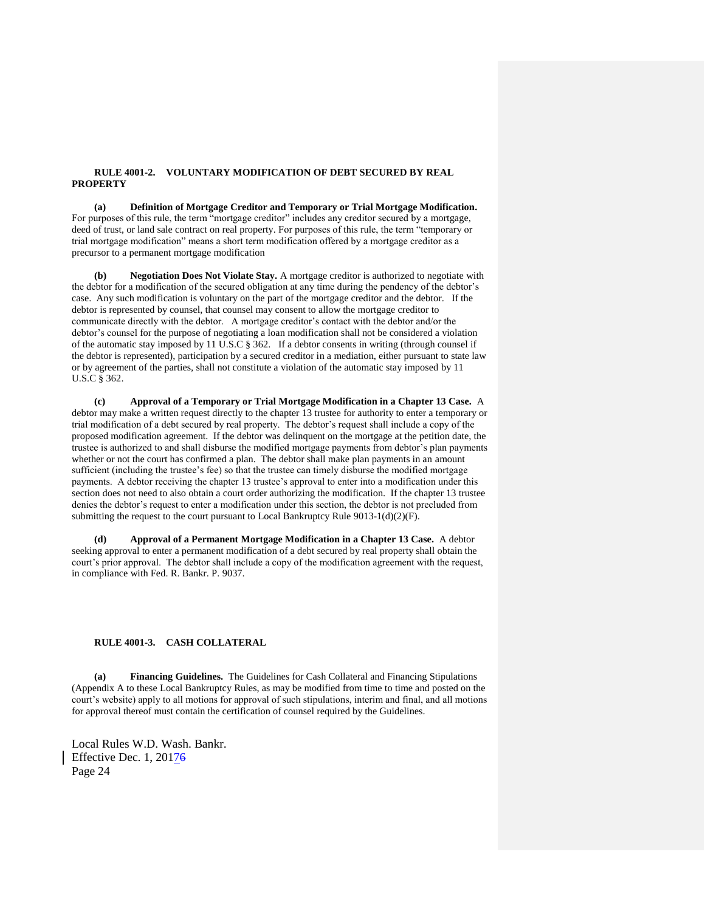## **RULE 4001-2. VOLUNTARY MODIFICATION OF DEBT SECURED BY REAL PROPERTY**

**(a) Definition of Mortgage Creditor and Temporary or Trial Mortgage Modification.**  For purposes of this rule, the term "mortgage creditor" includes any creditor secured by a mortgage, deed of trust, or land sale contract on real property. For purposes of this rule, the term "temporary or trial mortgage modification" means a short term modification offered by a mortgage creditor as a precursor to a permanent mortgage modification

**(b) Negotiation Does Not Violate Stay.** A mortgage creditor is authorized to negotiate with the debtor for a modification of the secured obligation at any time during the pendency of the debtor's case. Any such modification is voluntary on the part of the mortgage creditor and the debtor. If the debtor is represented by counsel, that counsel may consent to allow the mortgage creditor to communicate directly with the debtor. A mortgage creditor's contact with the debtor and/or the debtor's counsel for the purpose of negotiating a loan modification shall not be considered a violation of the automatic stay imposed by 11 U.S.C § 362. If a debtor consents in writing (through counsel if the debtor is represented), participation by a secured creditor in a mediation, either pursuant to state law or by agreement of the parties, shall not constitute a violation of the automatic stay imposed by 11 U.S.C § 362.

**(c) Approval of a Temporary or Trial Mortgage Modification in a Chapter 13 Case.** A debtor may make a written request directly to the chapter 13 trustee for authority to enter a temporary or trial modification of a debt secured by real property. The debtor's request shall include a copy of the proposed modification agreement. If the debtor was delinquent on the mortgage at the petition date, the trustee is authorized to and shall disburse the modified mortgage payments from debtor's plan payments whether or not the court has confirmed a plan. The debtor shall make plan payments in an amount sufficient (including the trustee's fee) so that the trustee can timely disburse the modified mortgage payments. A debtor receiving the chapter 13 trustee's approval to enter into a modification under this section does not need to also obtain a court order authorizing the modification. If the chapter 13 trustee denies the debtor's request to enter a modification under this section, the debtor is not precluded from submitting the request to the court pursuant to Local Bankruptcy Rule  $9013-1(d)(2)(F)$ .

**(d) Approval of a Permanent Mortgage Modification in a Chapter 13 Case.** A debtor seeking approval to enter a permanent modification of a debt secured by real property shall obtain the court's prior approval. The debtor shall include a copy of the modification agreement with the request, in compliance with Fed. R. Bankr. P. 9037.

#### **RULE 4001-3. CASH COLLATERAL**

**(a) Financing Guidelines.** The Guidelines for Cash Collateral and Financing Stipulations (Appendix A to these Local Bankruptcy Rules, as may be modified from time to time and posted on the court's website) apply to all motions for approval of such stipulations, interim and final, and all motions for approval thereof must contain the certification of counsel required by the Guidelines.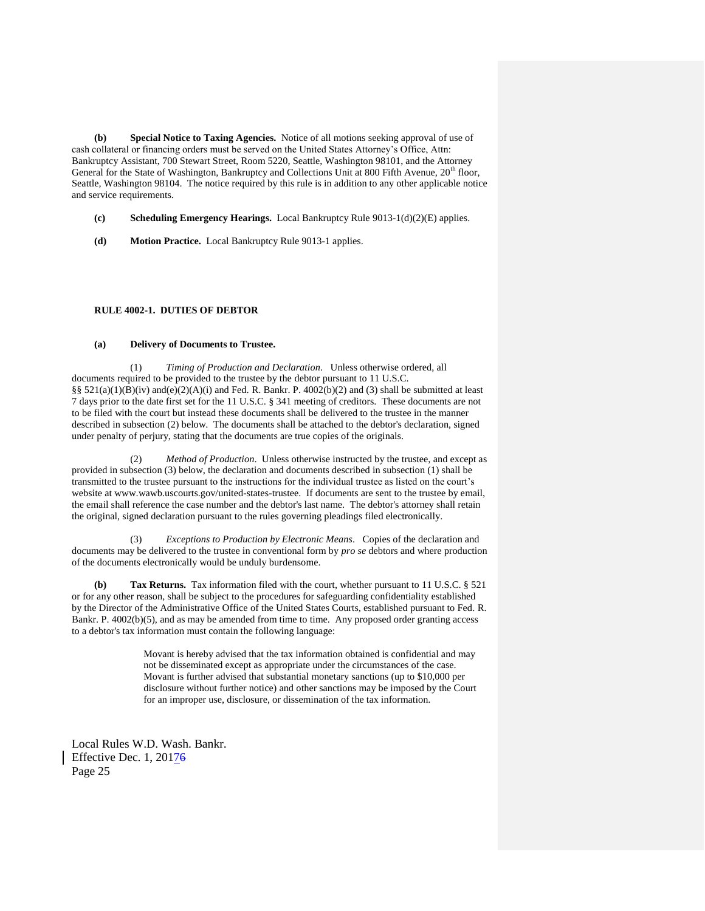**(b) Special Notice to Taxing Agencies.** Notice of all motions seeking approval of use of cash collateral or financing orders must be served on the United States Attorney's Office, Attn: Bankruptcy Assistant, 700 Stewart Street, Room 5220, Seattle, Washington 98101, and the Attorney General for the State of Washington, Bankruptcy and Collections Unit at 800 Fifth Avenue, 20<sup>th</sup> floor, Seattle, Washington 98104. The notice required by this rule is in addition to any other applicable notice and service requirements.

- **(c) Scheduling Emergency Hearings.** Local Bankruptcy Rule 9013-1(d)(2)(E) applies.
- **(d) Motion Practice.** Local Bankruptcy Rule 9013-1 applies.

## **RULE 4002-1. DUTIES OF DEBTOR**

#### **(a) Delivery of Documents to Trustee.**

(1) *Timing of Production and Declaration*. Unless otherwise ordered, all documents required to be provided to the trustee by the debtor pursuant to 11 U.S.C. §§  $521(a)(1)(B)(iv)$  and $(e)(2)(A)(i)$  and Fed. R. Bankr. P. 4002(b)(2) and (3) shall be submitted at least 7 days prior to the date first set for the 11 U.S.C. § 341 meeting of creditors. These documents are not to be filed with the court but instead these documents shall be delivered to the trustee in the manner described in subsection (2) below. The documents shall be attached to the debtor's declaration, signed under penalty of perjury, stating that the documents are true copies of the originals.

(2) *Method of Production*. Unless otherwise instructed by the trustee, and except as provided in subsection (3) below, the declaration and documents described in subsection (1) shall be transmitted to the trustee pursuant to the instructions for the individual trustee as listed on the court's website at www.wawb.uscourts.gov/united-states-trustee. If documents are sent to the trustee by email, the email shall reference the case number and the debtor's last name. The debtor's attorney shall retain the original, signed declaration pursuant to the rules governing pleadings filed electronically.

(3) *Exceptions to Production by Electronic Means*. Copies of the declaration and documents may be delivered to the trustee in conventional form by *pro se* debtors and where production of the documents electronically would be unduly burdensome.

**(b) Tax Returns.** Tax information filed with the court, whether pursuant to 11 U.S.C. § 521 or for any other reason, shall be subject to the procedures for safeguarding confidentiality established by the Director of the Administrative Office of the United States Courts, established pursuant to Fed. R. Bankr. P. 4002(b)(5), and as may be amended from time to time. Any proposed order granting access to a debtor's tax information must contain the following language:

> Movant is hereby advised that the tax information obtained is confidential and may not be disseminated except as appropriate under the circumstances of the case. Movant is further advised that substantial monetary sanctions (up to \$10,000 per disclosure without further notice) and other sanctions may be imposed by the Court for an improper use, disclosure, or dissemination of the tax information.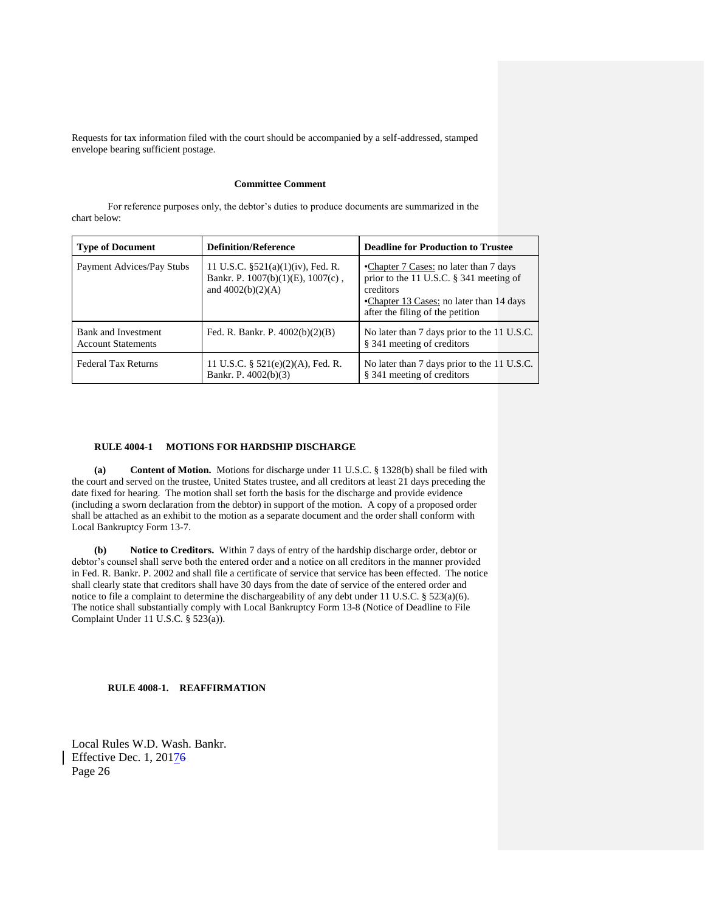Requests for tax information filed with the court should be accompanied by a self-addressed, stamped envelope bearing sufficient postage.

## **Committee Comment**

For reference purposes only, the debtor's duties to produce documents are summarized in the chart below:

| <b>Type of Document</b>                          | <b>Definition/Reference</b>                                                                             | <b>Deadline for Production to Trustee</b>                                                                                                                                         |  |
|--------------------------------------------------|---------------------------------------------------------------------------------------------------------|-----------------------------------------------------------------------------------------------------------------------------------------------------------------------------------|--|
| Payment Advices/Pay Stubs                        | 11 U.S.C. $\S$ 521(a)(1)(iv), Fed. R.<br>Bankr. P. $1007(b)(1)(E)$ , $1007(c)$ ,<br>and $4002(b)(2)(A)$ | •Chapter 7 Cases: no later than 7 days<br>prior to the 11 U.S.C. $\S$ 341 meeting of<br>creditors<br>•Chapter 13 Cases: no later than 14 days<br>after the filing of the petition |  |
| Bank and Investment<br><b>Account Statements</b> | Fed. R. Bankr. P. $4002(b)(2)(B)$                                                                       | No later than 7 days prior to the 11 U.S.C.<br>§ 341 meeting of creditors                                                                                                         |  |
| <b>Federal Tax Returns</b>                       | 11 U.S.C. $\S$ 521(e)(2)(A), Fed. R.<br>Bankr. P. 4002(b)(3)                                            | No later than 7 days prior to the 11 U.S.C.<br>§ 341 meeting of creditors                                                                                                         |  |

## **RULE 4004-1 MOTIONS FOR HARDSHIP DISCHARGE**

**(a) Content of Motion.** Motions for discharge under 11 U.S.C. § 1328(b) shall be filed with the court and served on the trustee, United States trustee, and all creditors at least 21 days preceding the date fixed for hearing. The motion shall set forth the basis for the discharge and provide evidence (including a sworn declaration from the debtor) in support of the motion. A copy of a proposed order shall be attached as an exhibit to the motion as a separate document and the order shall conform with Local Bankruptcy Form 13-7.

**(b) Notice to Creditors.** Within 7 days of entry of the hardship discharge order, debtor or debtor's counsel shall serve both the entered order and a notice on all creditors in the manner provided in Fed. R. Bankr. P. 2002 and shall file a certificate of service that service has been effected. The notice shall clearly state that creditors shall have 30 days from the date of service of the entered order and notice to file a complaint to determine the dischargeability of any debt under 11 U.S.C. § 523(a)(6). The notice shall substantially comply with Local Bankruptcy Form 13-8 (Notice of Deadline to File Complaint Under 11 U.S.C. § 523(a)).

**RULE 4008-1. REAFFIRMATION**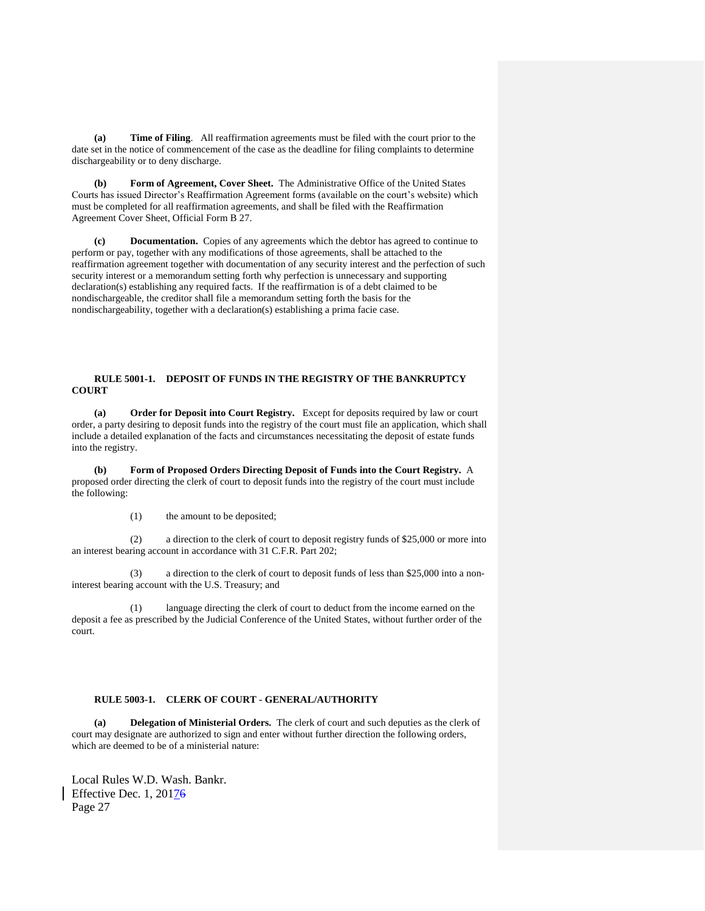**(a) Time of Filing**. All reaffirmation agreements must be filed with the court prior to the date set in the notice of commencement of the case as the deadline for filing complaints to determine dischargeability or to deny discharge.

**(b) Form of Agreement, Cover Sheet.** The Administrative Office of the United States Courts has issued Director's Reaffirmation Agreement forms (available on the court's website) which must be completed for all reaffirmation agreements, and shall be filed with the Reaffirmation Agreement Cover Sheet, Official Form B 27.

**(c) Documentation.** Copies of any agreements which the debtor has agreed to continue to perform or pay, together with any modifications of those agreements, shall be attached to the reaffirmation agreement together with documentation of any security interest and the perfection of such security interest or a memorandum setting forth why perfection is unnecessary and supporting declaration(s) establishing any required facts. If the reaffirmation is of a debt claimed to be nondischargeable, the creditor shall file a memorandum setting forth the basis for the nondischargeability, together with a declaration(s) establishing a prima facie case.

# **RULE 5001-1. DEPOSIT OF FUNDS IN THE REGISTRY OF THE BANKRUPTCY COURT**

**(a) Order for Deposit into Court Registry.** Except for deposits required by law or court order, a party desiring to deposit funds into the registry of the court must file an application, which shall include a detailed explanation of the facts and circumstances necessitating the deposit of estate funds into the registry.

**(b) Form of Proposed Orders Directing Deposit of Funds into the Court Registry.** A proposed order directing the clerk of court to deposit funds into the registry of the court must include the following:

(1) the amount to be deposited;

(2) a direction to the clerk of court to deposit registry funds of \$25,000 or more into an interest bearing account in accordance with 31 C.F.R. Part 202;

(3) a direction to the clerk of court to deposit funds of less than \$25,000 into a noninterest bearing account with the U.S. Treasury; and

(1) language directing the clerk of court to deduct from the income earned on the deposit a fee as prescribed by the Judicial Conference of the United States, without further order of the court.

# **RULE 5003-1. CLERK OF COURT - GENERAL/AUTHORITY**

**(a) Delegation of Ministerial Orders.** The clerk of court and such deputies as the clerk of court may designate are authorized to sign and enter without further direction the following orders, which are deemed to be of a ministerial nature: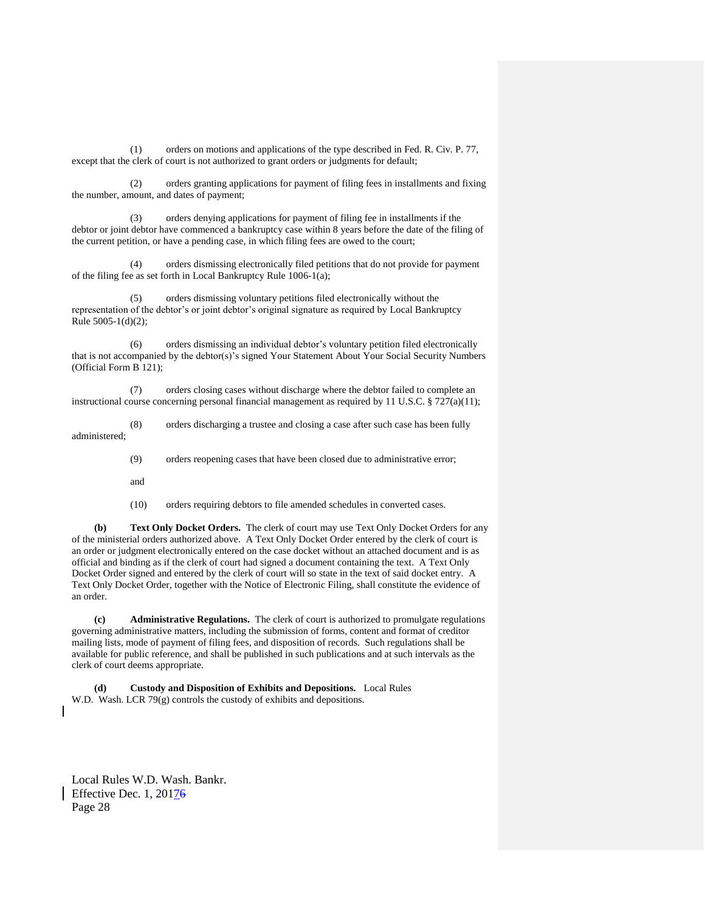(1) orders on motions and applications of the type described in Fed. R. Civ. P. 77, except that the clerk of court is not authorized to grant orders or judgments for default;

(2) orders granting applications for payment of filing fees in installments and fixing the number, amount, and dates of payment;

(3) orders denying applications for payment of filing fee in installments if the debtor or joint debtor have commenced a bankruptcy case within 8 years before the date of the filing of the current petition, or have a pending case, in which filing fees are owed to the court;

(4) orders dismissing electronically filed petitions that do not provide for payment of the filing fee as set forth in Local Bankruptcy Rule 1006-1(a);

(5) orders dismissing voluntary petitions filed electronically without the representation of the debtor's or joint debtor's original signature as required by Local Bankruptcy Rule 5005-1(d)(2);

(6) orders dismissing an individual debtor's voluntary petition filed electronically that is not accompanied by the debtor(s)'s signed Your Statement About Your Social Security Numbers (Official Form B 121);

(7) orders closing cases without discharge where the debtor failed to complete an instructional course concerning personal financial management as required by 11 U.S.C.  $\S 727(a)(11)$ ;

(8) orders discharging a trustee and closing a case after such case has been fully administered;

(9) orders reopening cases that have been closed due to administrative error;

and

(10) orders requiring debtors to file amended schedules in converted cases.

**(b) Text Only Docket Orders.** The clerk of court may use Text Only Docket Orders for any of the ministerial orders authorized above. A Text Only Docket Order entered by the clerk of court is an order or judgment electronically entered on the case docket without an attached document and is as official and binding as if the clerk of court had signed a document containing the text. A Text Only Docket Order signed and entered by the clerk of court will so state in the text of said docket entry. A Text Only Docket Order, together with the Notice of Electronic Filing, shall constitute the evidence of an order.

**(c) Administrative Regulations.** The clerk of court is authorized to promulgate regulations governing administrative matters, including the submission of forms, content and format of creditor mailing lists, mode of payment of filing fees, and disposition of records. Such regulations shall be available for public reference, and shall be published in such publications and at such intervals as the clerk of court deems appropriate.

**(d) Custody and Disposition of Exhibits and Depositions.** Local Rules W.D. Wash. LCR 79(g) controls the custody of exhibits and depositions.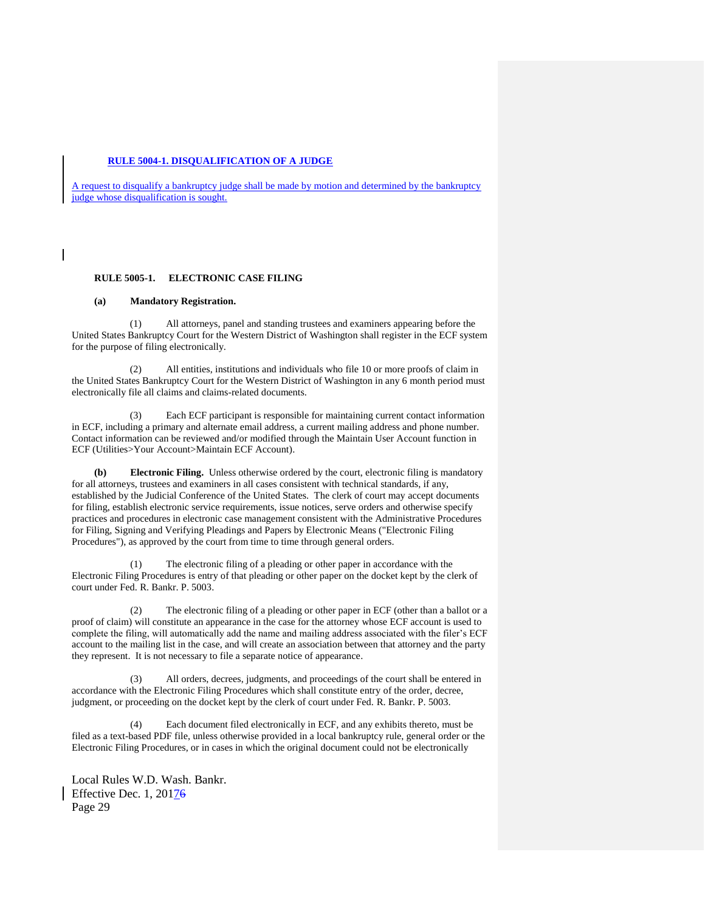# **RULE 5004-1. DISQUALIFICATION OF A JUDGE**

A request to disqualify a bankruptcy judge shall be made by motion and determined by the bankruptcy judge whose disqualification is sought.

# **RULE 5005-1. ELECTRONIC CASE FILING**

## **(a) Mandatory Registration.**

(1) All attorneys, panel and standing trustees and examiners appearing before the United States Bankruptcy Court for the Western District of Washington shall register in the ECF system for the purpose of filing electronically.

(2) All entities, institutions and individuals who file 10 or more proofs of claim in the United States Bankruptcy Court for the Western District of Washington in any 6 month period must electronically file all claims and claims-related documents.

(3) Each ECF participant is responsible for maintaining current contact information in ECF, including a primary and alternate email address, a current mailing address and phone number. Contact information can be reviewed and/or modified through the Maintain User Account function in ECF (Utilities>Your Account>Maintain ECF Account).

**(b) Electronic Filing.** Unless otherwise ordered by the court, electronic filing is mandatory for all attorneys, trustees and examiners in all cases consistent with technical standards, if any, established by the Judicial Conference of the United States. The clerk of court may accept documents for filing, establish electronic service requirements, issue notices, serve orders and otherwise specify practices and procedures in electronic case management consistent with the Administrative Procedures for Filing, Signing and Verifying Pleadings and Papers by Electronic Means ("Electronic Filing Procedures"), as approved by the court from time to time through general orders.

(1) The electronic filing of a pleading or other paper in accordance with the Electronic Filing Procedures is entry of that pleading or other paper on the docket kept by the clerk of court under Fed. R. Bankr. P. 5003.

(2) The electronic filing of a pleading or other paper in ECF (other than a ballot or a proof of claim) will constitute an appearance in the case for the attorney whose ECF account is used to complete the filing, will automatically add the name and mailing address associated with the filer's ECF account to the mailing list in the case, and will create an association between that attorney and the party they represent. It is not necessary to file a separate notice of appearance.

(3) All orders, decrees, judgments, and proceedings of the court shall be entered in accordance with the Electronic Filing Procedures which shall constitute entry of the order, decree, judgment, or proceeding on the docket kept by the clerk of court under Fed. R. Bankr. P. 5003.

(4) Each document filed electronically in ECF, and any exhibits thereto, must be filed as a text-based PDF file, unless otherwise provided in a local bankruptcy rule, general order or the Electronic Filing Procedures, or in cases in which the original document could not be electronically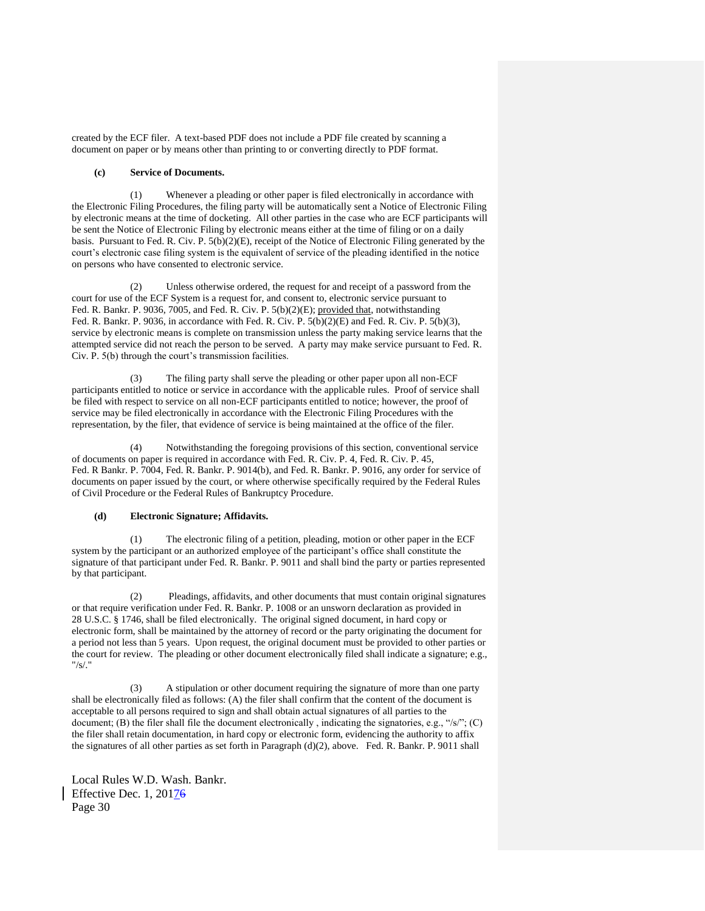created by the ECF filer. A text-based PDF does not include a PDF file created by scanning a document on paper or by means other than printing to or converting directly to PDF format.

## **(c) Service of Documents.**

(1) Whenever a pleading or other paper is filed electronically in accordance with the Electronic Filing Procedures, the filing party will be automatically sent a Notice of Electronic Filing by electronic means at the time of docketing. All other parties in the case who are ECF participants will be sent the Notice of Electronic Filing by electronic means either at the time of filing or on a daily basis. Pursuant to Fed. R. Civ. P. 5(b)(2)(E), receipt of the Notice of Electronic Filing generated by the court's electronic case filing system is the equivalent of service of the pleading identified in the notice on persons who have consented to electronic service.

(2) Unless otherwise ordered, the request for and receipt of a password from the court for use of the ECF System is a request for, and consent to, electronic service pursuant to Fed. R. Bankr. P. 9036, 7005, and Fed. R. Civ. P. 5(b)(2)(E); provided that, notwithstanding Fed. R. Bankr. P. 9036, in accordance with Fed. R. Civ. P. 5(b)(2)(E) and Fed. R. Civ. P. 5(b)(3), service by electronic means is complete on transmission unless the party making service learns that the attempted service did not reach the person to be served. A party may make service pursuant to Fed. R. Civ. P. 5(b) through the court's transmission facilities.

(3) The filing party shall serve the pleading or other paper upon all non-ECF participants entitled to notice or service in accordance with the applicable rules. Proof of service shall be filed with respect to service on all non-ECF participants entitled to notice; however, the proof of service may be filed electronically in accordance with the Electronic Filing Procedures with the representation, by the filer, that evidence of service is being maintained at the office of the filer.

(4) Notwithstanding the foregoing provisions of this section, conventional service of documents on paper is required in accordance with Fed. R. Civ. P. 4, Fed. R. Civ. P. 45, Fed. R Bankr. P. 7004, Fed. R. Bankr. P. 9014(b), and Fed. R. Bankr. P. 9016, any order for service of documents on paper issued by the court, or where otherwise specifically required by the Federal Rules of Civil Procedure or the Federal Rules of Bankruptcy Procedure.

# **(d) Electronic Signature; Affidavits.**

(1) The electronic filing of a petition, pleading, motion or other paper in the ECF system by the participant or an authorized employee of the participant's office shall constitute the signature of that participant under Fed. R. Bankr. P. 9011 and shall bind the party or parties represented by that participant.

(2) Pleadings, affidavits, and other documents that must contain original signatures or that require verification under Fed. R. Bankr. P. 1008 or an unsworn declaration as provided in 28 U.S.C. § 1746, shall be filed electronically. The original signed document, in hard copy or electronic form, shall be maintained by the attorney of record or the party originating the document for a period not less than 5 years. Upon request, the original document must be provided to other parties or the court for review. The pleading or other document electronically filed shall indicate a signature; e.g., "/s/."

(3) A stipulation or other document requiring the signature of more than one party shall be electronically filed as follows: (A) the filer shall confirm that the content of the document is acceptable to all persons required to sign and shall obtain actual signatures of all parties to the document; (B) the filer shall file the document electronically , indicating the signatories, e.g., "/s/"; (C) the filer shall retain documentation, in hard copy or electronic form, evidencing the authority to affix the signatures of all other parties as set forth in Paragraph (d)(2), above. Fed. R. Bankr. P. 9011 shall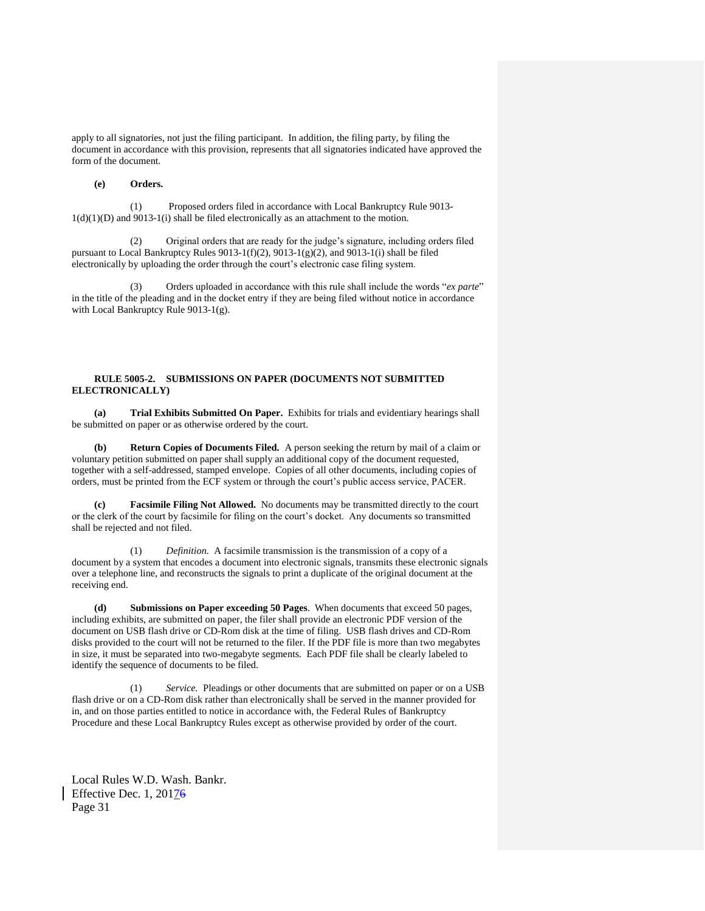apply to all signatories, not just the filing participant. In addition, the filing party, by filing the document in accordance with this provision, represents that all signatories indicated have approved the form of the document.

# **(e) Orders.**

(1) Proposed orders filed in accordance with Local Bankruptcy Rule 9013-  $1(d)(1)(D)$  and  $9013-1(i)$  shall be filed electronically as an attachment to the motion.

(2) Original orders that are ready for the judge's signature, including orders filed pursuant to Local Bankruptcy Rules 9013-1(f)(2), 9013-1(g)(2), and 9013-1(i) shall be filed electronically by uploading the order through the court's electronic case filing system.

(3) Orders uploaded in accordance with this rule shall include the words "*ex parte*" in the title of the pleading and in the docket entry if they are being filed without notice in accordance with Local Bankruptcy Rule 9013-1(g).

# **RULE 5005-2. SUBMISSIONS ON PAPER (DOCUMENTS NOT SUBMITTED ELECTRONICALLY)**

**(a) Trial Exhibits Submitted On Paper.** Exhibits for trials and evidentiary hearings shall be submitted on paper or as otherwise ordered by the court.

**(b) Return Copies of Documents Filed.** A person seeking the return by mail of a claim or voluntary petition submitted on paper shall supply an additional copy of the document requested, together with a self-addressed, stamped envelope. Copies of all other documents, including copies of orders, must be printed from the ECF system or through the court's public access service, PACER.

**(c) Facsimile Filing Not Allowed.** No documents may be transmitted directly to the court or the clerk of the court by facsimile for filing on the court's docket. Any documents so transmitted shall be rejected and not filed.

(1) *Definition.* A facsimile transmission is the transmission of a copy of a document by a system that encodes a document into electronic signals, transmits these electronic signals over a telephone line, and reconstructs the signals to print a duplicate of the original document at the receiving end.

**(d) Submissions on Paper exceeding 50 Pages**. When documents that exceed 50 pages, including exhibits, are submitted on paper, the filer shall provide an electronic PDF version of the document on USB flash drive or CD-Rom disk at the time of filing. USB flash drives and CD-Rom disks provided to the court will not be returned to the filer. If the PDF file is more than two megabytes in size, it must be separated into two-megabyte segments. Each PDF file shall be clearly labeled to identify the sequence of documents to be filed.

(1) *Service.* Pleadings or other documents that are submitted on paper or on a USB flash drive or on a CD-Rom disk rather than electronically shall be served in the manner provided for in, and on those parties entitled to notice in accordance with, the Federal Rules of Bankruptcy Procedure and these Local Bankruptcy Rules except as otherwise provided by order of the court.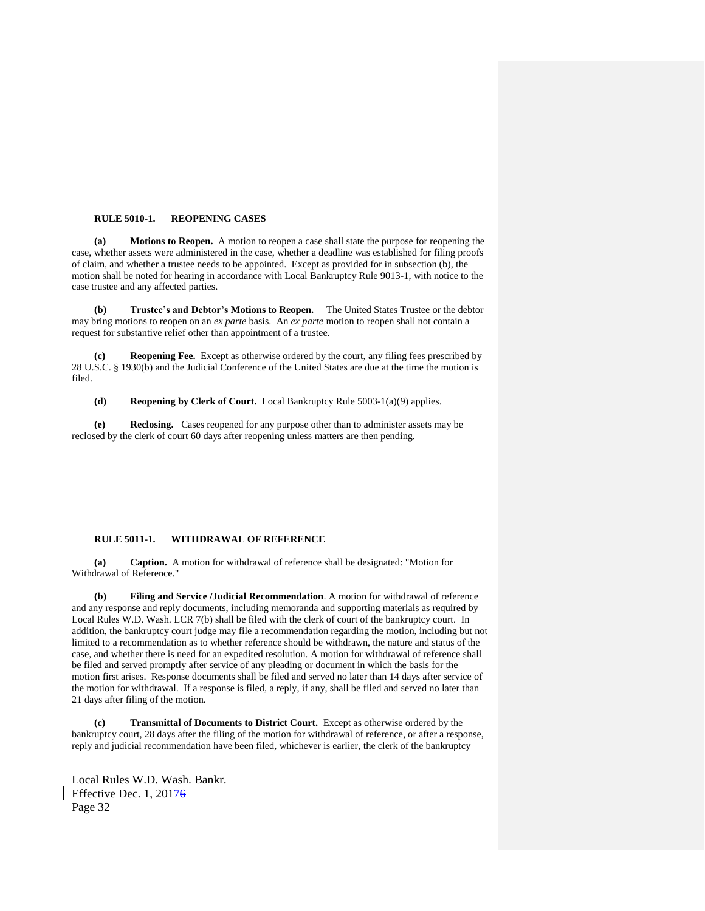#### **RULE 5010-1. REOPENING CASES**

**(a) Motions to Reopen.** A motion to reopen a case shall state the purpose for reopening the case, whether assets were administered in the case, whether a deadline was established for filing proofs of claim, and whether a trustee needs to be appointed. Except as provided for in subsection (b), the motion shall be noted for hearing in accordance with Local Bankruptcy Rule 9013-1, with notice to the case trustee and any affected parties.

**(b) Trustee's and Debtor's Motions to Reopen.** The United States Trustee or the debtor may bring motions to reopen on an *ex parte* basis. An *ex parte* motion to reopen shall not contain a request for substantive relief other than appointment of a trustee.

**(c) Reopening Fee.** Except as otherwise ordered by the court, any filing fees prescribed by 28 U.S.C. § 1930(b) and the Judicial Conference of the United States are due at the time the motion is filed.

**(d) Reopening by Clerk of Court.** Local Bankruptcy Rule 5003-1(a)(9) applies.

**(e) Reclosing.** Cases reopened for any purpose other than to administer assets may be reclosed by the clerk of court 60 days after reopening unless matters are then pending.

## **RULE 5011-1. WITHDRAWAL OF REFERENCE**

**(a) Caption.** A motion for withdrawal of reference shall be designated: "Motion for Withdrawal of Reference."

**(b) Filing and Service /Judicial Recommendation**. A motion for withdrawal of reference and any response and reply documents, including memoranda and supporting materials as required by Local Rules W.D. Wash. LCR 7(b) shall be filed with the clerk of court of the bankruptcy court. In addition, the bankruptcy court judge may file a recommendation regarding the motion, including but not limited to a recommendation as to whether reference should be withdrawn, the nature and status of the case, and whether there is need for an expedited resolution. A motion for withdrawal of reference shall be filed and served promptly after service of any pleading or document in which the basis for the motion first arises. Response documents shall be filed and served no later than 14 days after service of the motion for withdrawal. If a response is filed, a reply, if any, shall be filed and served no later than 21 days after filing of the motion.

**(c) Transmittal of Documents to District Court.** Except as otherwise ordered by the bankruptcy court, 28 days after the filing of the motion for withdrawal of reference, or after a response, reply and judicial recommendation have been filed, whichever is earlier, the clerk of the bankruptcy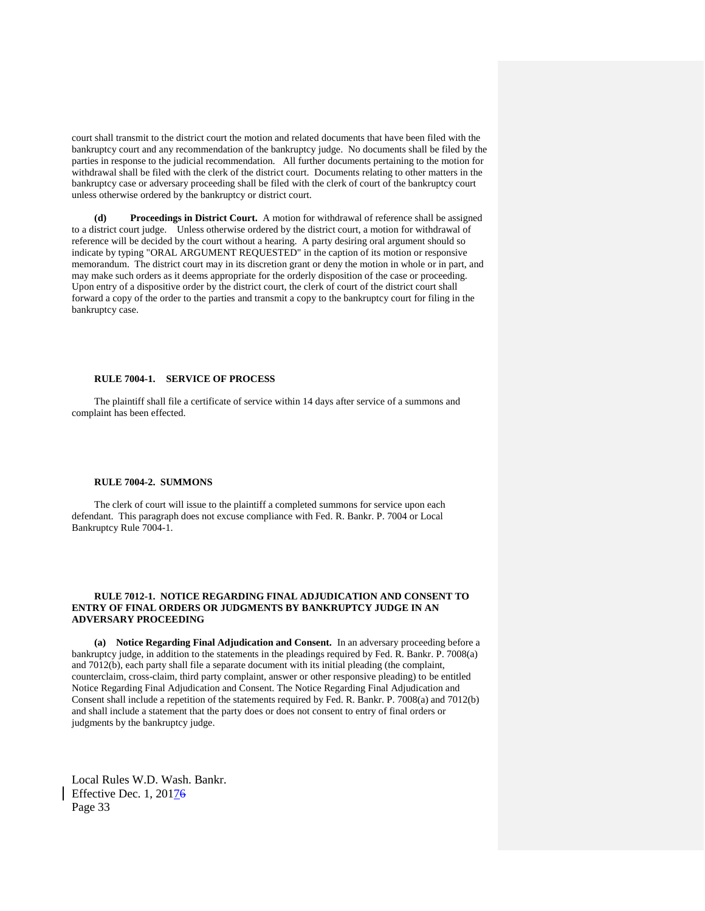court shall transmit to the district court the motion and related documents that have been filed with the bankruptcy court and any recommendation of the bankruptcy judge. No documents shall be filed by the parties in response to the judicial recommendation. All further documents pertaining to the motion for withdrawal shall be filed with the clerk of the district court. Documents relating to other matters in the bankruptcy case or adversary proceeding shall be filed with the clerk of court of the bankruptcy court unless otherwise ordered by the bankruptcy or district court.

**Proceedings in District Court.** A motion for withdrawal of reference shall be assigned to a district court judge. Unless otherwise ordered by the district court, a motion for withdrawal of reference will be decided by the court without a hearing. A party desiring oral argument should so indicate by typing "ORAL ARGUMENT REQUESTED" in the caption of its motion or responsive memorandum. The district court may in its discretion grant or deny the motion in whole or in part, and may make such orders as it deems appropriate for the orderly disposition of the case or proceeding. Upon entry of a dispositive order by the district court, the clerk of court of the district court shall forward a copy of the order to the parties and transmit a copy to the bankruptcy court for filing in the bankruptcy case.

## **RULE 7004-1. SERVICE OF PROCESS**

The plaintiff shall file a certificate of service within 14 days after service of a summons and complaint has been effected.

#### **RULE 7004-2. SUMMONS**

The clerk of court will issue to the plaintiff a completed summons for service upon each defendant. This paragraph does not excuse compliance with Fed. R. Bankr. P. 7004 or Local Bankruptcy Rule 7004-1.

## **RULE 7012-1. NOTICE REGARDING FINAL ADJUDICATION AND CONSENT TO ENTRY OF FINAL ORDERS OR JUDGMENTS BY BANKRUPTCY JUDGE IN AN ADVERSARY PROCEEDING**

**(a) Notice Regarding Final Adjudication and Consent.** In an adversary proceeding before a bankruptcy judge, in addition to the statements in the pleadings required by Fed. R. Bankr. P. 7008(a) and 7012(b), each party shall file a separate document with its initial pleading (the complaint, counterclaim, cross-claim, third party complaint, answer or other responsive pleading) to be entitled Notice Regarding Final Adjudication and Consent. The Notice Regarding Final Adjudication and Consent shall include a repetition of the statements required by Fed. R. Bankr. P. 7008(a) and 7012(b) and shall include a statement that the party does or does not consent to entry of final orders or judgments by the bankruptcy judge.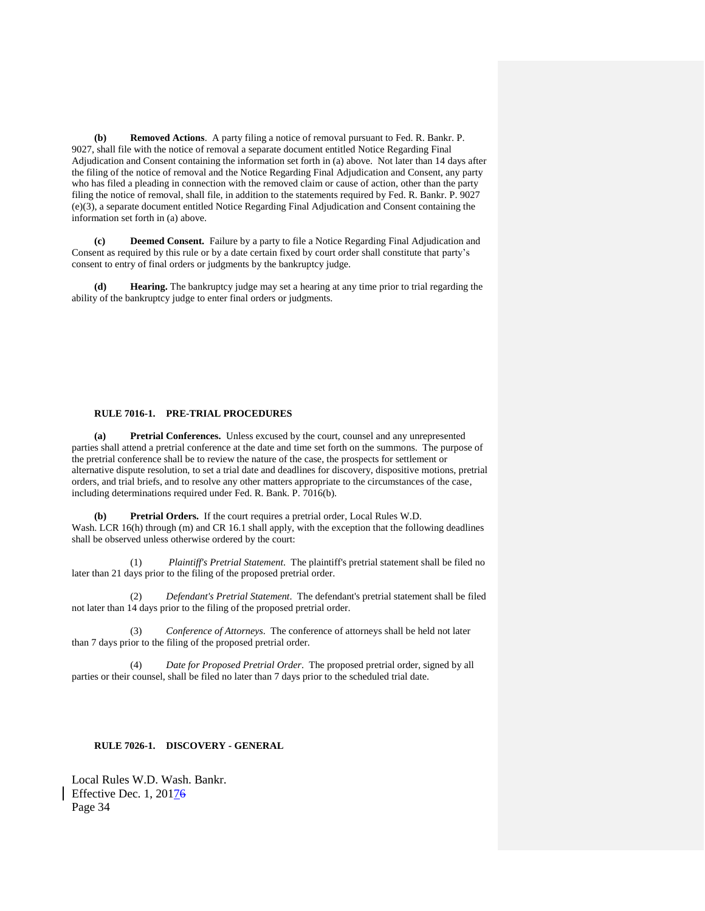**(b) Removed Actions**. A party filing a notice of removal pursuant to Fed. R. Bankr. P. 9027, shall file with the notice of removal a separate document entitled Notice Regarding Final Adjudication and Consent containing the information set forth in (a) above. Not later than 14 days after the filing of the notice of removal and the Notice Regarding Final Adjudication and Consent, any party who has filed a pleading in connection with the removed claim or cause of action, other than the party filing the notice of removal, shall file, in addition to the statements required by Fed. R. Bankr. P. 9027 (e)(3), a separate document entitled Notice Regarding Final Adjudication and Consent containing the information set forth in (a) above.

**(c) Deemed Consent.** Failure by a party to file a Notice Regarding Final Adjudication and Consent as required by this rule or by a date certain fixed by court order shall constitute that party's consent to entry of final orders or judgments by the bankruptcy judge.

**(d) Hearing.** The bankruptcy judge may set a hearing at any time prior to trial regarding the ability of the bankruptcy judge to enter final orders or judgments.

## **RULE 7016-1. PRE-TRIAL PROCEDURES**

**(a) Pretrial Conferences.** Unless excused by the court, counsel and any unrepresented parties shall attend a pretrial conference at the date and time set forth on the summons. The purpose of the pretrial conference shall be to review the nature of the case, the prospects for settlement or alternative dispute resolution, to set a trial date and deadlines for discovery, dispositive motions, pretrial orders, and trial briefs, and to resolve any other matters appropriate to the circumstances of the case, including determinations required under Fed. R. Bank. P. 7016(b).

**(b) Pretrial Orders.** If the court requires a pretrial order, Local Rules W.D. Wash. LCR 16(h) through (m) and CR 16.1 shall apply, with the exception that the following deadlines shall be observed unless otherwise ordered by the court:

(1) *Plaintiff's Pretrial Statement*. The plaintiff's pretrial statement shall be filed no later than 21 days prior to the filing of the proposed pretrial order.

(2) *Defendant's Pretrial Statement*. The defendant's pretrial statement shall be filed not later than 14 days prior to the filing of the proposed pretrial order.

(3) *Conference of Attorneys*. The conference of attorneys shall be held not later than 7 days prior to the filing of the proposed pretrial order.

(4) *Date for Proposed Pretrial Order*. The proposed pretrial order, signed by all parties or their counsel, shall be filed no later than 7 days prior to the scheduled trial date.

# **RULE 7026-1. DISCOVERY - GENERAL**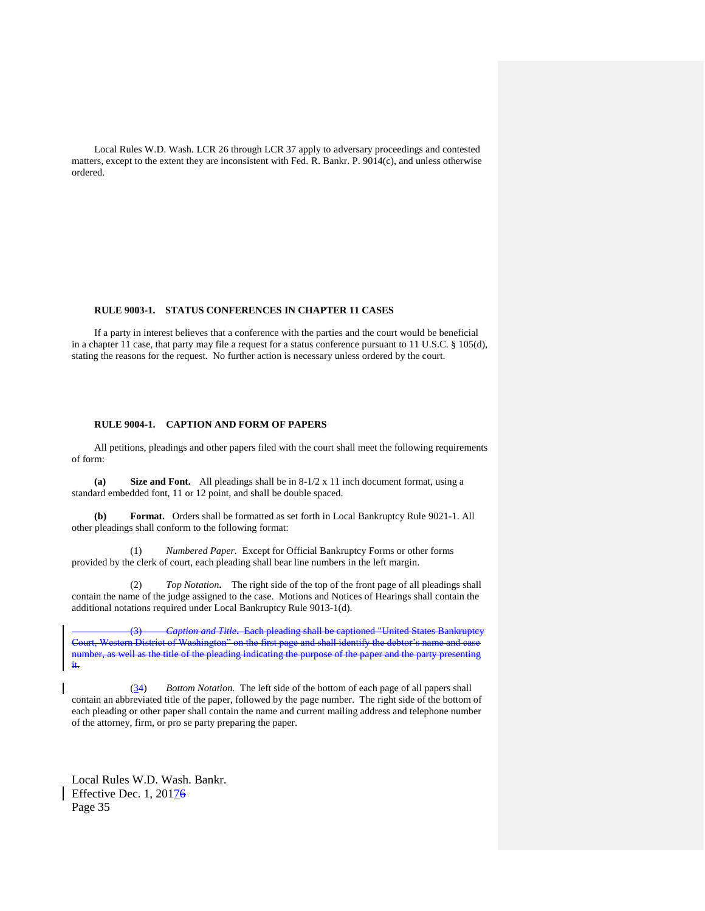Local Rules W.D. Wash. LCR 26 through LCR 37 apply to adversary proceedings and contested matters, except to the extent they are inconsistent with Fed. R. Bankr. P. 9014(c), and unless otherwise ordered.

## **RULE 9003-1. STATUS CONFERENCES IN CHAPTER 11 CASES**

If a party in interest believes that a conference with the parties and the court would be beneficial in a chapter 11 case, that party may file a request for a status conference pursuant to 11 U.S.C. § 105(d), stating the reasons for the request. No further action is necessary unless ordered by the court.

# **RULE 9004-1. CAPTION AND FORM OF PAPERS**

All petitions, pleadings and other papers filed with the court shall meet the following requirements of form:

**(a) Size and Font.** All pleadings shall be in 8-1/2 x 11 inch document format, using a standard embedded font, 11 or 12 point, and shall be double spaced.

**(b) Format.** Orders shall be formatted as set forth in Local Bankruptcy Rule 9021-1. All other pleadings shall conform to the following format:

(1) *Numbered Paper.* Except for Official Bankruptcy Forms or other forms provided by the clerk of court, each pleading shall bear line numbers in the left margin.

(2) *Top Notation***.** The right side of the top of the front page of all pleadings shall contain the name of the judge assigned to the case. Motions and Notices of Hearings shall contain the additional notations required under Local Bankruptcy Rule 9013-1(d).

(3) *Caption and Title***.** Each pleading shall be captioned "United States Bankruptcy Court, Western District of Washington" on the first page and shall identify the debtor's name and case number, as well as the title of the pleading indicating the purpose of the paper and the party presenting it.

(34)*Bottom Notation.* The left side of the bottom of each page of all papers shall contain an abbreviated title of the paper, followed by the page number. The right side of the bottom of each pleading or other paper shall contain the name and current mailing address and telephone number of the attorney, firm, or pro se party preparing the paper.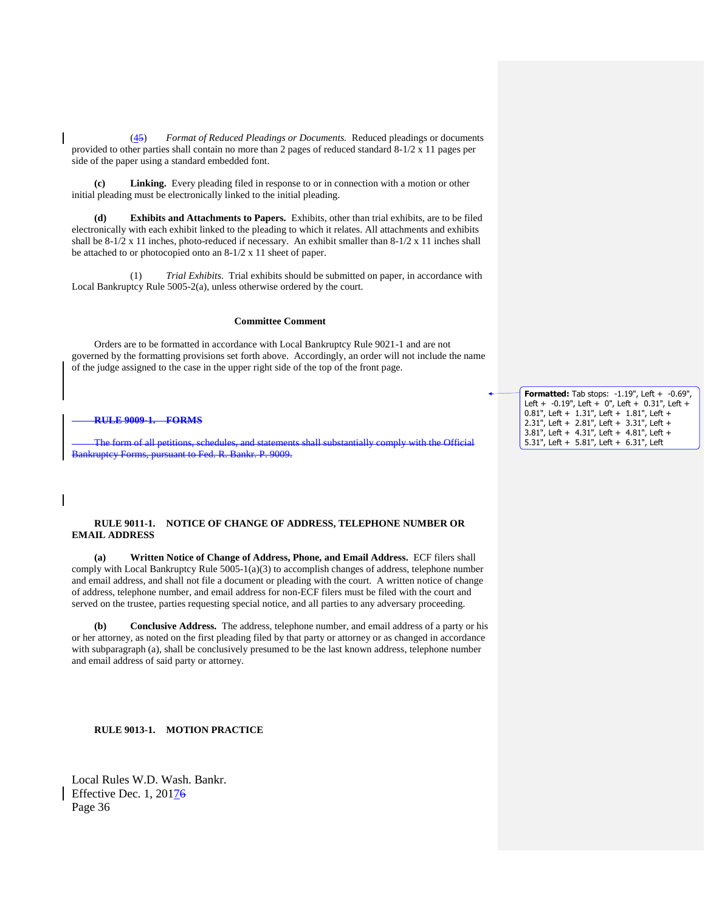(45) *Format of Reduced Pleadings or Documents.* Reduced pleadings or documents provided to other parties shall contain no more than 2 pages of reduced standard 8-1/2 x 11 pages per side of the paper using a standard embedded font.

**(c) Linking.** Every pleading filed in response to or in connection with a motion or other initial pleading must be electronically linked to the initial pleading.

**Exhibits and Attachments to Papers.** Exhibits, other than trial exhibits, are to be filed electronically with each exhibit linked to the pleading to which it relates. All attachments and exhibits shall be 8-1/2 x 11 inches, photo-reduced if necessary. An exhibit smaller than 8-1/2 x 11 inches shall be attached to or photocopied onto an 8-1/2 x 11 sheet of paper.

(1) *Trial Exhibits*. Trial exhibits should be submitted on paper, in accordance with Local Bankruptcy Rule 5005-2(a), unless otherwise ordered by the court.

## **Committee Comment**

Orders are to be formatted in accordance with Local Bankruptcy Rule 9021-1 and are not governed by the formatting provisions set forth above. Accordingly, an order will not include the name of the judge assigned to the case in the upper right side of the top of the front page.

## **RULE 9009-1. FORMS**

The form of all petitions, schedules, and statements shall substantially comply with the Official Bankruptcy Forms, pursuant to Fed. R. Bankr. P. 9009.

## **RULE 9011-1. NOTICE OF CHANGE OF ADDRESS, TELEPHONE NUMBER OR EMAIL ADDRESS**

**(a) Written Notice of Change of Address, Phone, and Email Address.** ECF filers shall comply with Local Bankruptcy Rule 5005-1(a)(3) to accomplish changes of address, telephone number and email address, and shall not file a document or pleading with the court. A written notice of change of address, telephone number, and email address for non-ECF filers must be filed with the court and served on the trustee, parties requesting special notice, and all parties to any adversary proceeding.

**(b) Conclusive Address.** The address, telephone number, and email address of a party or his or her attorney, as noted on the first pleading filed by that party or attorney or as changed in accordance with subparagraph (a), shall be conclusively presumed to be the last known address, telephone number and email address of said party or attorney.

**RULE 9013-1. MOTION PRACTICE**

Local Rules W.D. Wash. Bankr. Effective Dec. 1, 20176 Page 36

**Formatted:** Tab stops: -1.19", Left + -0.69", Left + -0.19", Left + 0", Left + 0.31", Left + 0.81", Left + 1.31", Left + 1.81", Left + 2.31", Left + 2.81", Left + 3.31", Left + 3.81", Left + 4.31", Left + 4.81", Left + 5.31", Left + 5.81", Left + 6.31", Left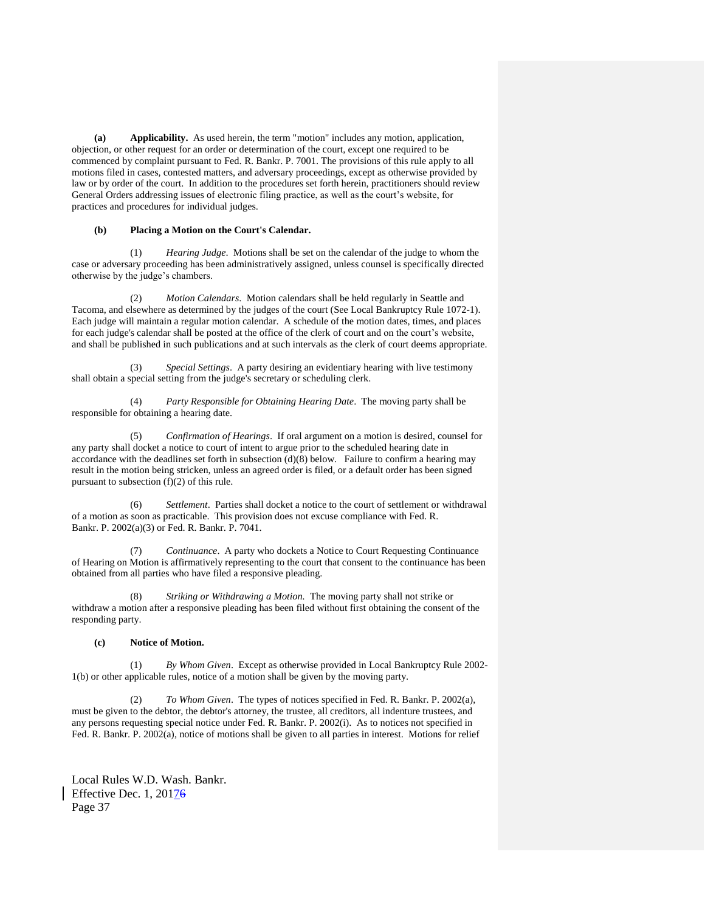**(a) Applicability.** As used herein, the term "motion" includes any motion, application, objection, or other request for an order or determination of the court, except one required to be commenced by complaint pursuant to Fed. R. Bankr. P. 7001. The provisions of this rule apply to all motions filed in cases, contested matters, and adversary proceedings, except as otherwise provided by law or by order of the court. In addition to the procedures set forth herein, practitioners should review General Orders addressing issues of electronic filing practice, as well as the court's website, for practices and procedures for individual judges.

#### **(b) Placing a Motion on the Court's Calendar.**

(1) *Hearing Judge*. Motions shall be set on the calendar of the judge to whom the case or adversary proceeding has been administratively assigned, unless counsel is specifically directed otherwise by the judge's chambers.

(2) *Motion Calendars*. Motion calendars shall be held regularly in Seattle and Tacoma, and elsewhere as determined by the judges of the court (See Local Bankruptcy Rule 1072-1). Each judge will maintain a regular motion calendar. A schedule of the motion dates, times, and places for each judge's calendar shall be posted at the office of the clerk of court and on the court's website, and shall be published in such publications and at such intervals as the clerk of court deems appropriate.

(3) *Special Settings*. A party desiring an evidentiary hearing with live testimony shall obtain a special setting from the judge's secretary or scheduling clerk.

(4) *Party Responsible for Obtaining Hearing Date*. The moving party shall be responsible for obtaining a hearing date.

(5) *Confirmation of Hearings*. If oral argument on a motion is desired, counsel for any party shall docket a notice to court of intent to argue prior to the scheduled hearing date in accordance with the deadlines set forth in subsection (d)(8) below. Failure to confirm a hearing may result in the motion being stricken, unless an agreed order is filed, or a default order has been signed pursuant to subsection (f)(2) of this rule.

(6) *Settlement*. Parties shall docket a notice to the court of settlement or withdrawal of a motion as soon as practicable. This provision does not excuse compliance with Fed. R. Bankr. P. 2002(a)(3) or Fed. R. Bankr. P. 7041.

(7) *Continuance*. A party who dockets a Notice to Court Requesting Continuance of Hearing on Motion is affirmatively representing to the court that consent to the continuance has been obtained from all parties who have filed a responsive pleading.

(8) *Striking or Withdrawing a Motion.* The moving party shall not strike or withdraw a motion after a responsive pleading has been filed without first obtaining the consent of the responding party.

## **(c) Notice of Motion.**

(1) *By Whom Given*. Except as otherwise provided in Local Bankruptcy Rule 2002- 1(b) or other applicable rules, notice of a motion shall be given by the moving party.

(2) *To Whom Given*. The types of notices specified in Fed. R. Bankr. P. 2002(a), must be given to the debtor, the debtor's attorney, the trustee, all creditors, all indenture trustees, and any persons requesting special notice under Fed. R. Bankr. P. 2002(i). As to notices not specified in Fed. R. Bankr. P. 2002(a), notice of motions shall be given to all parties in interest. Motions for relief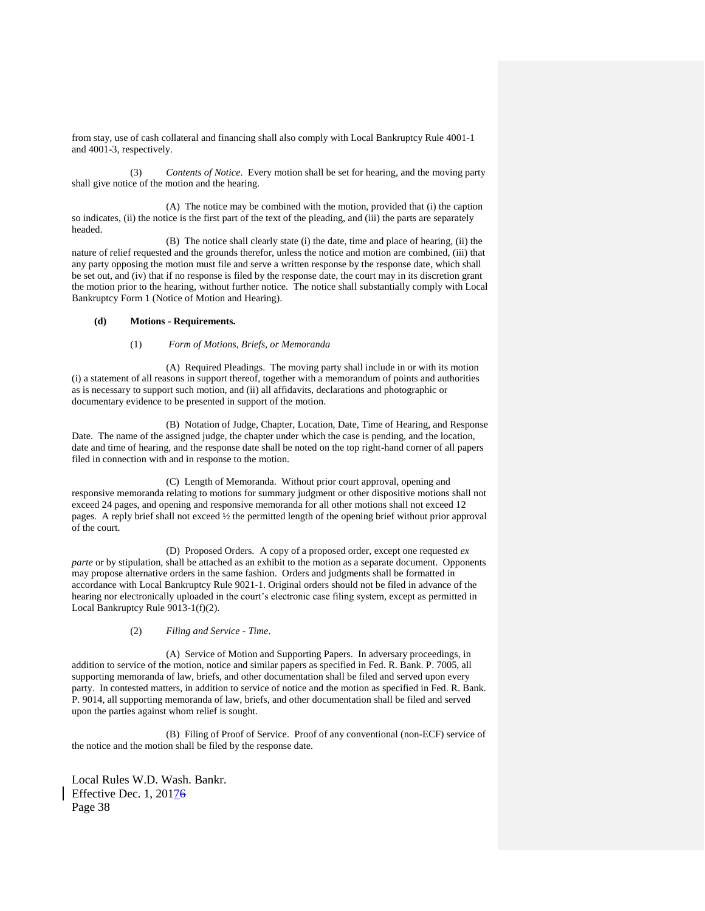from stay, use of cash collateral and financing shall also comply with Local Bankruptcy Rule 4001-1 and 4001-3, respectively.

(3) *Contents of Notice*. Every motion shall be set for hearing, and the moving party shall give notice of the motion and the hearing.

(A) The notice may be combined with the motion, provided that (i) the caption so indicates, (ii) the notice is the first part of the text of the pleading, and (iii) the parts are separately headed.

(B) The notice shall clearly state (i) the date, time and place of hearing, (ii) the nature of relief requested and the grounds therefor, unless the notice and motion are combined, (iii) that any party opposing the motion must file and serve a written response by the response date, which shall be set out, and (iv) that if no response is filed by the response date, the court may in its discretion grant the motion prior to the hearing, without further notice. The notice shall substantially comply with Local Bankruptcy Form 1 (Notice of Motion and Hearing).

# **(d) Motions - Requirements.**

## (1) *Form of Motions, Briefs, or Memoranda*

(A) Required Pleadings. The moving party shall include in or with its motion (i) a statement of all reasons in support thereof, together with a memorandum of points and authorities as is necessary to support such motion, and (ii) all affidavits, declarations and photographic or documentary evidence to be presented in support of the motion.

(B) Notation of Judge, Chapter, Location, Date, Time of Hearing, and Response Date. The name of the assigned judge, the chapter under which the case is pending, and the location, date and time of hearing, and the response date shall be noted on the top right-hand corner of all papers filed in connection with and in response to the motion.

 (C) Length of Memoranda. Without prior court approval, opening and responsive memoranda relating to motions for summary judgment or other dispositive motions shall not exceed 24 pages, and opening and responsive memoranda for all other motions shall not exceed 12 pages. A reply brief shall not exceed ½ the permitted length of the opening brief without prior approval of the court.

(D) Proposed Orders. A copy of a proposed order, except one requested *ex parte* or by stipulation, shall be attached as an exhibit to the motion as a separate document. Opponents may propose alternative orders in the same fashion. Orders and judgments shall be formatted in accordance with Local Bankruptcy Rule 9021-1. Original orders should not be filed in advance of the hearing nor electronically uploaded in the court's electronic case filing system, except as permitted in Local Bankruptcy Rule 9013-1(f)(2).

## (2) *Filing and Service - Time*.

(A) Service of Motion and Supporting Papers. In adversary proceedings, in addition to service of the motion, notice and similar papers as specified in Fed. R. Bank. P. 7005, all supporting memoranda of law, briefs, and other documentation shall be filed and served upon every party. In contested matters, in addition to service of notice and the motion as specified in Fed. R. Bank. P. 9014, all supporting memoranda of law, briefs, and other documentation shall be filed and served upon the parties against whom relief is sought.

(B) Filing of Proof of Service. Proof of any conventional (non-ECF) service of the notice and the motion shall be filed by the response date.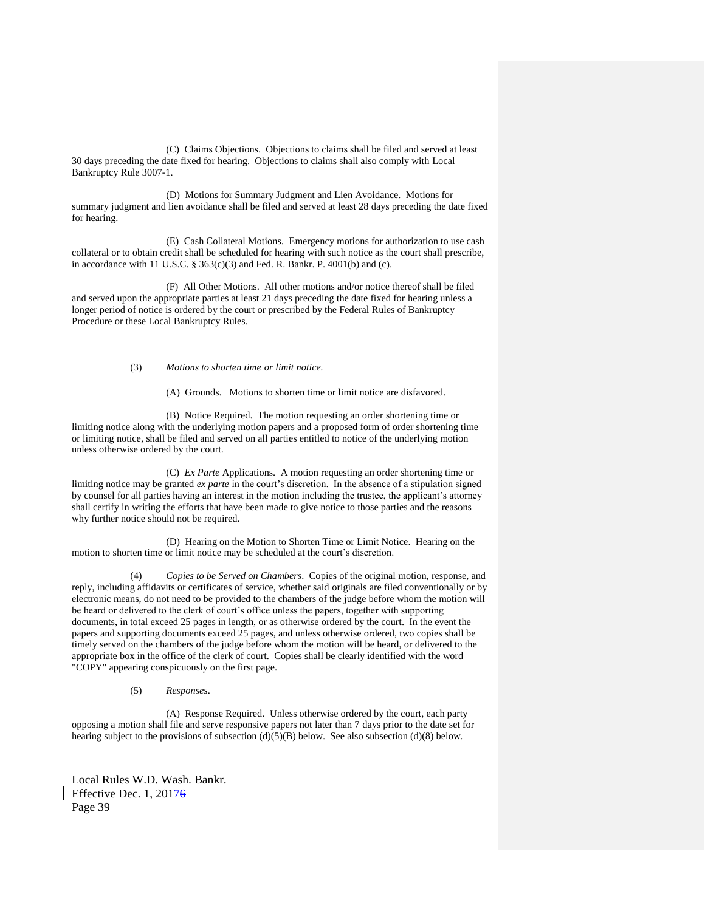(C) Claims Objections. Objections to claims shall be filed and served at least 30 days preceding the date fixed for hearing. Objections to claims shall also comply with Local Bankruptcy Rule 3007-1.

(D) Motions for Summary Judgment and Lien Avoidance. Motions for summary judgment and lien avoidance shall be filed and served at least 28 days preceding the date fixed for hearing.

(E) Cash Collateral Motions. Emergency motions for authorization to use cash collateral or to obtain credit shall be scheduled for hearing with such notice as the court shall prescribe, in accordance with 11 U.S.C.  $\S 363(c)(3)$  and Fed. R. Bankr. P. 4001(b) and (c).

(F) All Other Motions. All other motions and/or notice thereof shall be filed and served upon the appropriate parties at least 21 days preceding the date fixed for hearing unless a longer period of notice is ordered by the court or prescribed by the Federal Rules of Bankruptcy Procedure or these Local Bankruptcy Rules.

## (3) *Motions to shorten time or limit notice.*

(A) Grounds. Motions to shorten time or limit notice are disfavored.

(B) Notice Required. The motion requesting an order shortening time or limiting notice along with the underlying motion papers and a proposed form of order shortening time or limiting notice, shall be filed and served on all parties entitled to notice of the underlying motion unless otherwise ordered by the court.

(C) *Ex Parte* Applications. A motion requesting an order shortening time or limiting notice may be granted *ex parte* in the court's discretion. In the absence of a stipulation signed by counsel for all parties having an interest in the motion including the trustee, the applicant's attorney shall certify in writing the efforts that have been made to give notice to those parties and the reasons why further notice should not be required.

(D) Hearing on the Motion to Shorten Time or Limit Notice. Hearing on the motion to shorten time or limit notice may be scheduled at the court's discretion.

(4) *Copies to be Served on Chambers*. Copies of the original motion, response, and reply, including affidavits or certificates of service, whether said originals are filed conventionally or by electronic means, do not need to be provided to the chambers of the judge before whom the motion will be heard or delivered to the clerk of court's office unless the papers, together with supporting documents, in total exceed 25 pages in length, or as otherwise ordered by the court. In the event the papers and supporting documents exceed 25 pages, and unless otherwise ordered, two copies shall be timely served on the chambers of the judge before whom the motion will be heard, or delivered to the appropriate box in the office of the clerk of court. Copies shall be clearly identified with the word "COPY" appearing conspicuously on the first page.

## (5) *Responses*.

(A) Response Required. Unless otherwise ordered by the court, each party opposing a motion shall file and serve responsive papers not later than 7 days prior to the date set for hearing subject to the provisions of subsection  $(d)(5)(B)$  below. See also subsection  $(d)(8)$  below.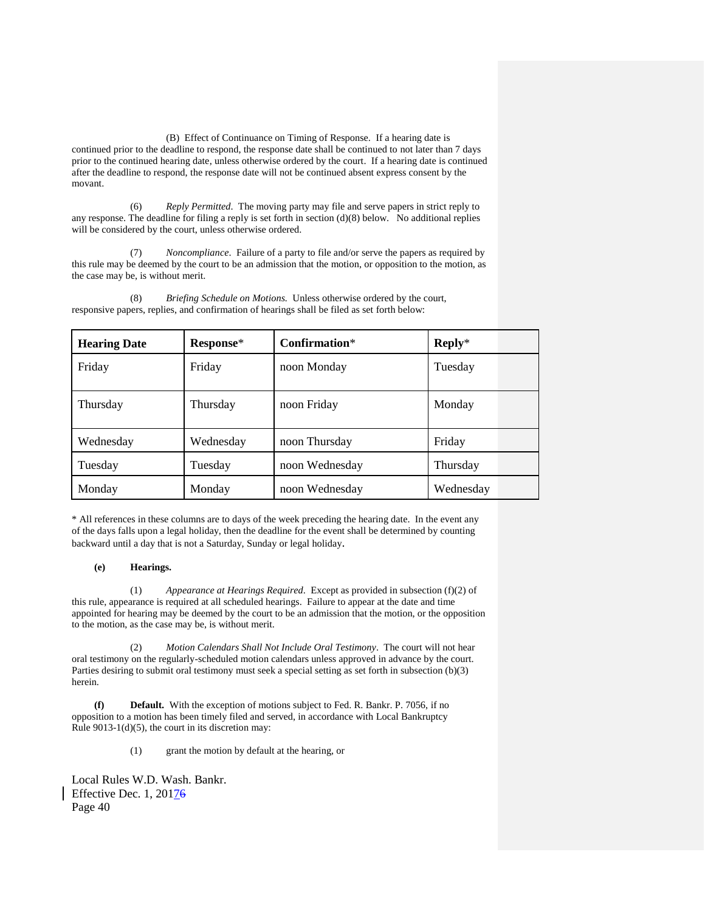(B) Effect of Continuance on Timing of Response. If a hearing date is continued prior to the deadline to respond, the response date shall be continued to not later than 7 days prior to the continued hearing date, unless otherwise ordered by the court. If a hearing date is continued after the deadline to respond, the response date will not be continued absent express consent by the movant.

 (6) *Reply Permitted*. The moving party may file and serve papers in strict reply to any response. The deadline for filing a reply is set forth in section (d)(8) below. No additional replies will be considered by the court, unless otherwise ordered.

(7) *Noncompliance*. Failure of a party to file and/or serve the papers as required by this rule may be deemed by the court to be an admission that the motion, or opposition to the motion, as the case may be, is without merit.

| <b>Hearing Date</b> | Response* | $Confirmation*$ | $Reply*$  |
|---------------------|-----------|-----------------|-----------|
| Friday              | Friday    | noon Monday     | Tuesday   |
| Thursday            | Thursday  | noon Friday     | Monday    |
| Wednesday           | Wednesday | noon Thursday   | Friday    |
| Tuesday             | Tuesday   | noon Wednesday  | Thursday  |
| Monday              | Monday    | noon Wednesday  | Wednesday |

(8) *Briefing Schedule on Motions.* Unless otherwise ordered by the court, responsive papers, replies, and confirmation of hearings shall be filed as set forth below:

\* All references in these columns are to days of the week preceding the hearing date. In the event any of the days falls upon a legal holiday, then the deadline for the event shall be determined by counting backward until a day that is not a Saturday, Sunday or legal holiday.

# **(e) Hearings.**

(1) *Appearance at Hearings Required*. Except as provided in subsection (f)(2) of this rule, appearance is required at all scheduled hearings. Failure to appear at the date and time appointed for hearing may be deemed by the court to be an admission that the motion, or the opposition to the motion, as the case may be, is without merit.

(2) *Motion Calendars Shall Not Include Oral Testimony*. The court will not hear oral testimony on the regularly-scheduled motion calendars unless approved in advance by the court. Parties desiring to submit oral testimony must seek a special setting as set forth in subsection (b)(3) herein.

**(f) Default.** With the exception of motions subject to Fed. R. Bankr. P. 7056, if no opposition to a motion has been timely filed and served, in accordance with Local Bankruptcy Rule 9013-1(d)(5), the court in its discretion may:

(1) grant the motion by default at the hearing, or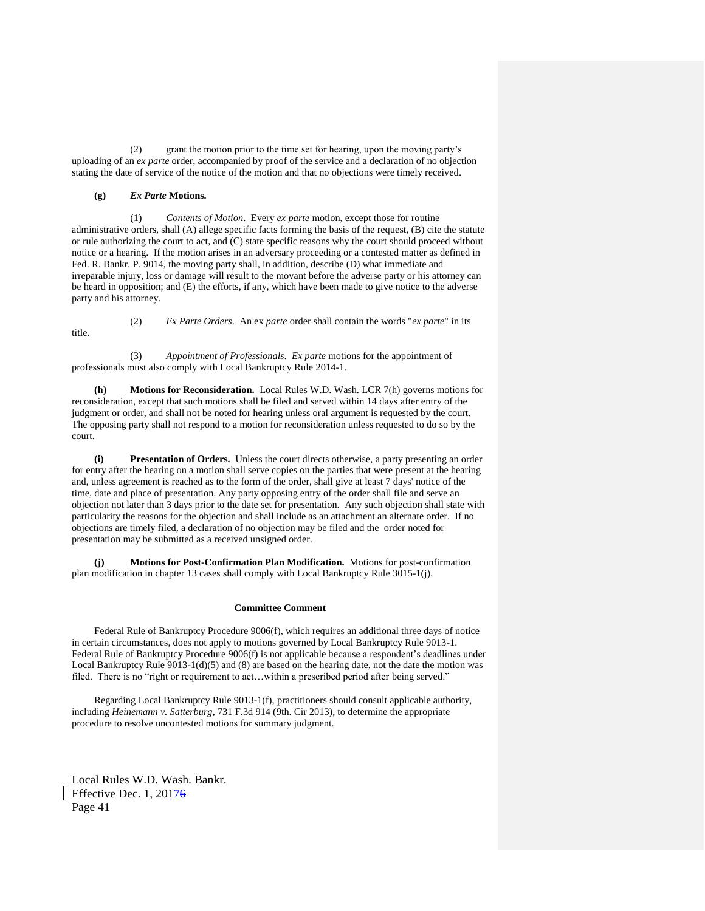(2) grant the motion prior to the time set for hearing, upon the moving party's uploading of an *ex parte* order, accompanied by proof of the service and a declaration of no objection stating the date of service of the notice of the motion and that no objections were timely received.

## **(g)** *Ex Parte* **Motions.**

(1) *Contents of Motion*. Every *ex parte* motion, except those for routine administrative orders, shall (A) allege specific facts forming the basis of the request, (B) cite the statute or rule authorizing the court to act, and (C) state specific reasons why the court should proceed without notice or a hearing. If the motion arises in an adversary proceeding or a contested matter as defined in Fed. R. Bankr. P. 9014, the moving party shall, in addition, describe (D) what immediate and irreparable injury, loss or damage will result to the movant before the adverse party or his attorney can be heard in opposition; and (E) the efforts, if any, which have been made to give notice to the adverse party and his attorney.

title.

(2) *Ex Parte Orders*. An ex *parte* order shall contain the words "*ex parte*" in its

(3) *Appointment of Professionals*. *Ex parte* motions for the appointment of professionals must also comply with Local Bankruptcy Rule 2014-1.

**(h) Motions for Reconsideration.** Local Rules W.D. Wash. LCR 7(h) governs motions for reconsideration, except that such motions shall be filed and served within 14 days after entry of the judgment or order, and shall not be noted for hearing unless oral argument is requested by the court. The opposing party shall not respond to a motion for reconsideration unless requested to do so by the court.

**Presentation of Orders.** Unless the court directs otherwise, a party presenting an order for entry after the hearing on a motion shall serve copies on the parties that were present at the hearing and, unless agreement is reached as to the form of the order, shall give at least 7 days' notice of the time, date and place of presentation. Any party opposing entry of the order shall file and serve an objection not later than 3 days prior to the date set for presentation. Any such objection shall state with particularity the reasons for the objection and shall include as an attachment an alternate order. If no objections are timely filed, a declaration of no objection may be filed and the order noted for presentation may be submitted as a received unsigned order.

**(j) Motions for Post-Confirmation Plan Modification.** Motions for post-confirmation plan modification in chapter 13 cases shall comply with Local Bankruptcy Rule 3015-1(j).

## **Committee Comment**

Federal Rule of Bankruptcy Procedure 9006(f), which requires an additional three days of notice in certain circumstances, does not apply to motions governed by Local Bankruptcy Rule 9013-1. Federal Rule of Bankruptcy Procedure 9006(f) is not applicable because a respondent's deadlines under Local Bankruptcy Rule  $9013-1(d)(5)$  and (8) are based on the hearing date, not the date the motion was filed. There is no "right or requirement to act...within a prescribed period after being served."

Regarding Local Bankruptcy Rule 9013-1(f), practitioners should consult applicable authority, including *Heinemann v. Satterburg*, 731 F.3d 914 (9th. Cir 2013), to determine the appropriate procedure to resolve uncontested motions for summary judgment.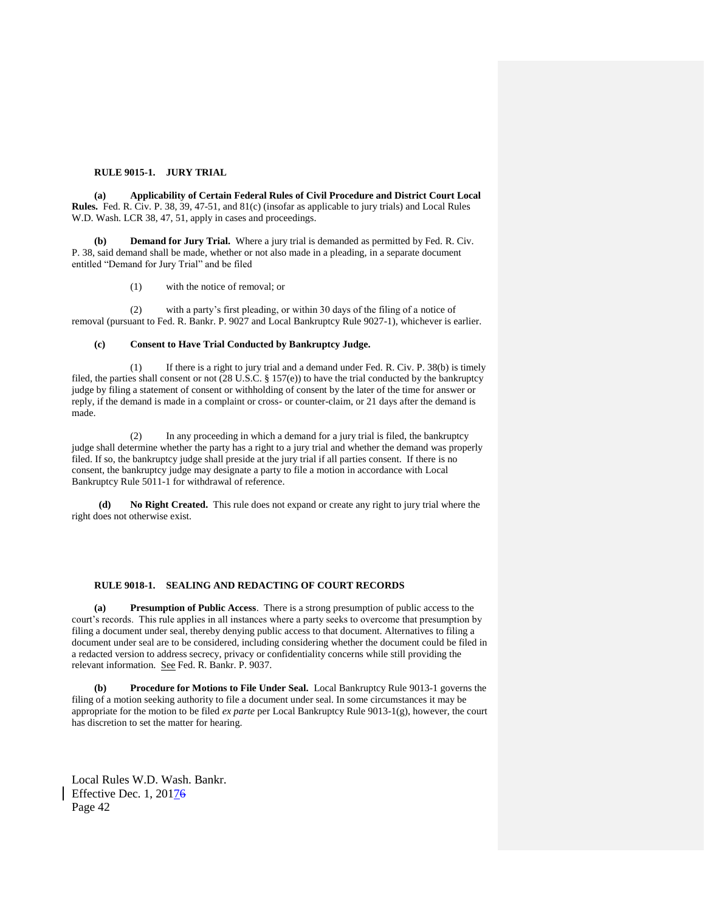#### **RULE 9015-1. JURY TRIAL**

**(a) Applicability of Certain Federal Rules of Civil Procedure and District Court Local Rules.** Fed. R. Civ. P. 38, 39, 47-51, and 81(c) (insofar as applicable to jury trials) and Local Rules W.D. Wash. LCR 38, 47, 51, apply in cases and proceedings.

**Demand for Jury Trial.** Where a jury trial is demanded as permitted by Fed. R. Civ. P. 38, said demand shall be made, whether or not also made in a pleading, in a separate document entitled "Demand for Jury Trial" and be filed

(1) with the notice of removal; or

(2) with a party's first pleading, or within 30 days of the filing of a notice of removal (pursuant to Fed. R. Bankr. P. 9027 and Local Bankruptcy Rule 9027-1), whichever is earlier.

#### **(c) Consent to Have Trial Conducted by Bankruptcy Judge.**

(1) If there is a right to jury trial and a demand under Fed. R. Civ. P. 38(b) is timely filed, the parties shall consent or not (28 U.S.C. § 157(e)) to have the trial conducted by the bankruptcy judge by filing a statement of consent or withholding of consent by the later of the time for answer or reply, if the demand is made in a complaint or cross- or counter-claim, or 21 days after the demand is made.

(2) In any proceeding in which a demand for a jury trial is filed, the bankruptcy judge shall determine whether the party has a right to a jury trial and whether the demand was properly filed. If so, the bankruptcy judge shall preside at the jury trial if all parties consent. If there is no consent, the bankruptcy judge may designate a party to file a motion in accordance with Local Bankruptcy Rule 5011-1 for withdrawal of reference.

**(d) No Right Created.** This rule does not expand or create any right to jury trial where the right does not otherwise exist.

#### **RULE 9018-1. SEALING AND REDACTING OF COURT RECORDS**

**(a) Presumption of Public Access**. There is a strong presumption of public access to the court's records. This rule applies in all instances where a party seeks to overcome that presumption by filing a document under seal, thereby denying public access to that document. Alternatives to filing a document under seal are to be considered, including considering whether the document could be filed in a redacted version to address secrecy, privacy or confidentiality concerns while still providing the relevant information. See Fed. R. Bankr. P. 9037.

**(b) Procedure for Motions to File Under Seal.** Local Bankruptcy Rule 9013-1 governs the filing of a motion seeking authority to file a document under seal. In some circumstances it may be appropriate for the motion to be filed *ex parte* per Local Bankruptcy Rule 9013-1(g), however, the court has discretion to set the matter for hearing.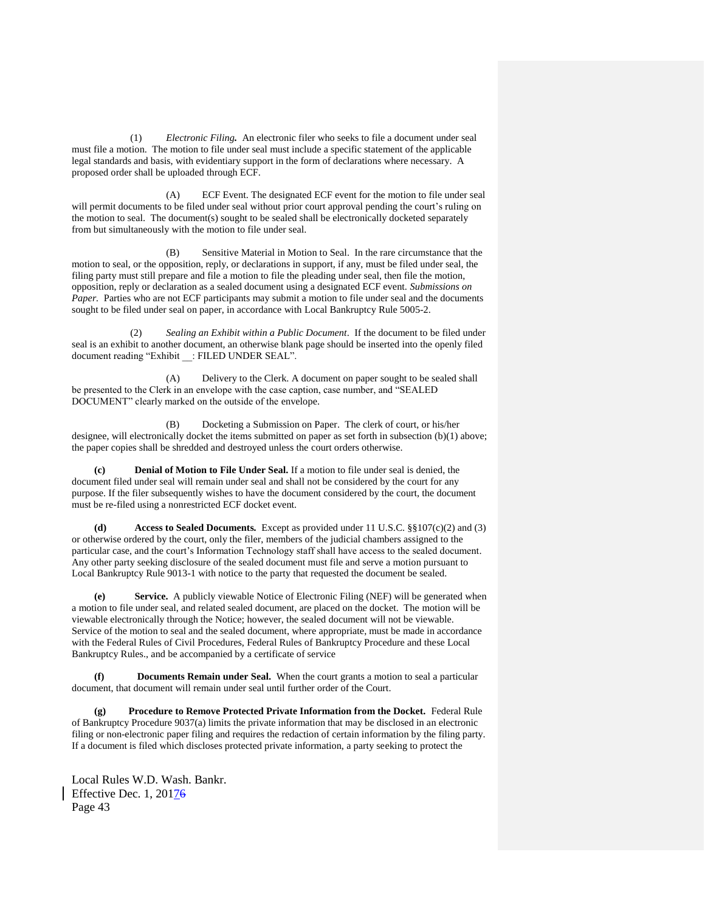(1) *Electronic Filing.*An electronic filer who seeks to file a document under seal must file a motion. The motion to file under seal must include a specific statement of the applicable legal standards and basis, with evidentiary support in the form of declarations where necessary. A proposed order shall be uploaded through ECF.

(A) ECF Event. The designated ECF event for the motion to file under seal will permit documents to be filed under seal without prior court approval pending the court's ruling on the motion to seal. The document(s) sought to be sealed shall be electronically docketed separately from but simultaneously with the motion to file under seal.

(B) Sensitive Material in Motion to Seal. In the rare circumstance that the motion to seal, or the opposition, reply, or declarations in support, if any, must be filed under seal, the filing party must still prepare and file a motion to file the pleading under seal, then file the motion, opposition, reply or declaration as a sealed document using a designated ECF event. *Submissions on*  Paper. Parties who are not ECF participants may submit a motion to file under seal and the documents sought to be filed under seal on paper, in accordance with Local Bankruptcy Rule 5005-2.

Sealing an Exhibit within a Public Document. If the document to be filed under seal is an exhibit to another document, an otherwise blank page should be inserted into the openly filed document reading "Exhibit : FILED UNDER SEAL".

(A) Delivery to the Clerk. A document on paper sought to be sealed shall be presented to the Clerk in an envelope with the case caption, case number, and "SEALED DOCUMENT" clearly marked on the outside of the envelope.

(B) Docketing a Submission on Paper. The clerk of court, or his/her designee, will electronically docket the items submitted on paper as set forth in subsection (b)(1) above; the paper copies shall be shredded and destroyed unless the court orders otherwise.

**(c) Denial of Motion to File Under Seal.** If a motion to file under seal is denied, the document filed under seal will remain under seal and shall not be considered by the court for any purpose. If the filer subsequently wishes to have the document considered by the court, the document must be re-filed using a nonrestricted ECF docket event.

**(d) Access to Sealed Documents***.* Except as provided under 11 U.S.C. §§107(c)(2) and (3) or otherwise ordered by the court, only the filer, members of the judicial chambers assigned to the particular case, and the court's Information Technology staff shall have access to the sealed document. Any other party seeking disclosure of the sealed document must file and serve a motion pursuant to Local Bankruptcy Rule 9013-1 with notice to the party that requested the document be sealed.

**(e) Service.** A publicly viewable Notice of Electronic Filing (NEF) will be generated when a motion to file under seal, and related sealed document, are placed on the docket. The motion will be viewable electronically through the Notice; however, the sealed document will not be viewable. Service of the motion to seal and the sealed document, where appropriate, must be made in accordance with the Federal Rules of Civil Procedures, Federal Rules of Bankruptcy Procedure and these Local Bankruptcy Rules., and be accompanied by a certificate of service

**(f) Documents Remain under Seal.** When the court grants a motion to seal a particular document, that document will remain under seal until further order of the Court.

**(g) Procedure to Remove Protected Private Information from the Docket.** Federal Rule of Bankruptcy Procedure 9037(a) limits the private information that may be disclosed in an electronic filing or non-electronic paper filing and requires the redaction of certain information by the filing party. If a document is filed which discloses protected private information, a party seeking to protect the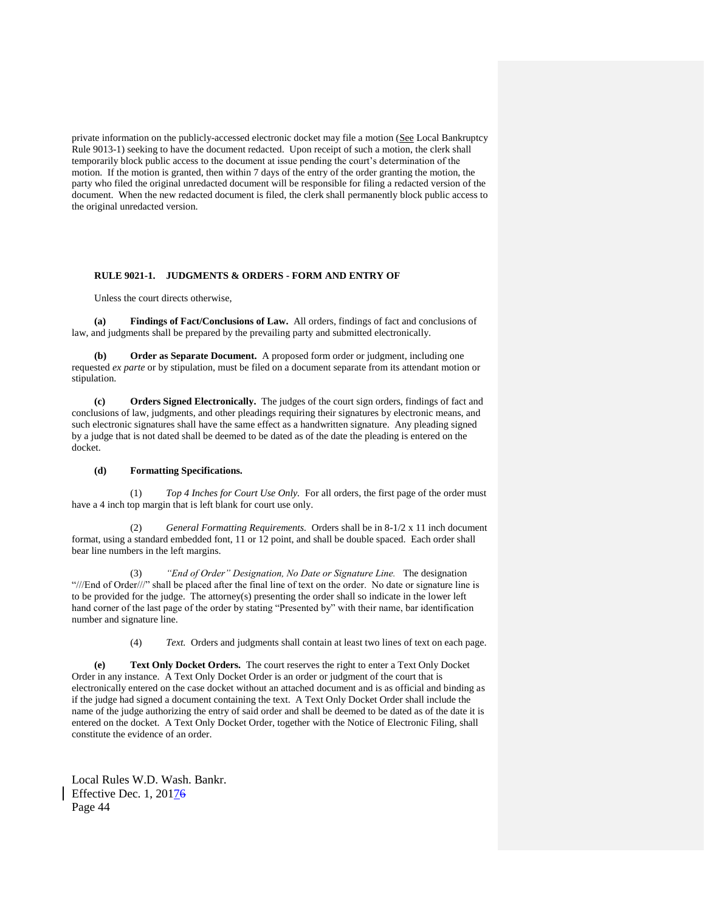private information on the publicly-accessed electronic docket may file a motion (See Local Bankruptcy Rule 9013-1) seeking to have the document redacted. Upon receipt of such a motion, the clerk shall temporarily block public access to the document at issue pending the court's determination of the motion. If the motion is granted, then within 7 days of the entry of the order granting the motion, the party who filed the original unredacted document will be responsible for filing a redacted version of the document. When the new redacted document is filed, the clerk shall permanently block public access to the original unredacted version.

#### **RULE 9021-1. JUDGMENTS & ORDERS - FORM AND ENTRY OF**

Unless the court directs otherwise,

**(a) Findings of Fact/Conclusions of Law.** All orders, findings of fact and conclusions of law, and judgments shall be prepared by the prevailing party and submitted electronically.

**(b) Order as Separate Document.** A proposed form order or judgment, including one requested *ex parte* or by stipulation, must be filed on a document separate from its attendant motion or stipulation.

**(c) Orders Signed Electronically.** The judges of the court sign orders, findings of fact and conclusions of law, judgments, and other pleadings requiring their signatures by electronic means, and such electronic signatures shall have the same effect as a handwritten signature. Any pleading signed by a judge that is not dated shall be deemed to be dated as of the date the pleading is entered on the docket.

#### **(d) Formatting Specifications.**

(1) *Top 4 Inches for Court Use Only.* For all orders, the first page of the order must have a 4 inch top margin that is left blank for court use only.

(2) *General Formatting Requirements.* Orders shall be in 8-1/2 x 11 inch document format, using a standard embedded font, 11 or 12 point, and shall be double spaced. Each order shall bear line numbers in the left margins.

(3) *"End of Order" Designation, No Date or Signature Line.* The designation "///End of Order///" shall be placed after the final line of text on the order. No date or signature line is to be provided for the judge. The attorney(s) presenting the order shall so indicate in the lower left hand corner of the last page of the order by stating "Presented by" with their name, bar identification number and signature line.

(4) *Text.* Orders and judgments shall contain at least two lines of text on each page.

**(e) Text Only Docket Orders.** The court reserves the right to enter a Text Only Docket Order in any instance. A Text Only Docket Order is an order or judgment of the court that is electronically entered on the case docket without an attached document and is as official and binding as if the judge had signed a document containing the text. A Text Only Docket Order shall include the name of the judge authorizing the entry of said order and shall be deemed to be dated as of the date it is entered on the docket. A Text Only Docket Order, together with the Notice of Electronic Filing, shall constitute the evidence of an order.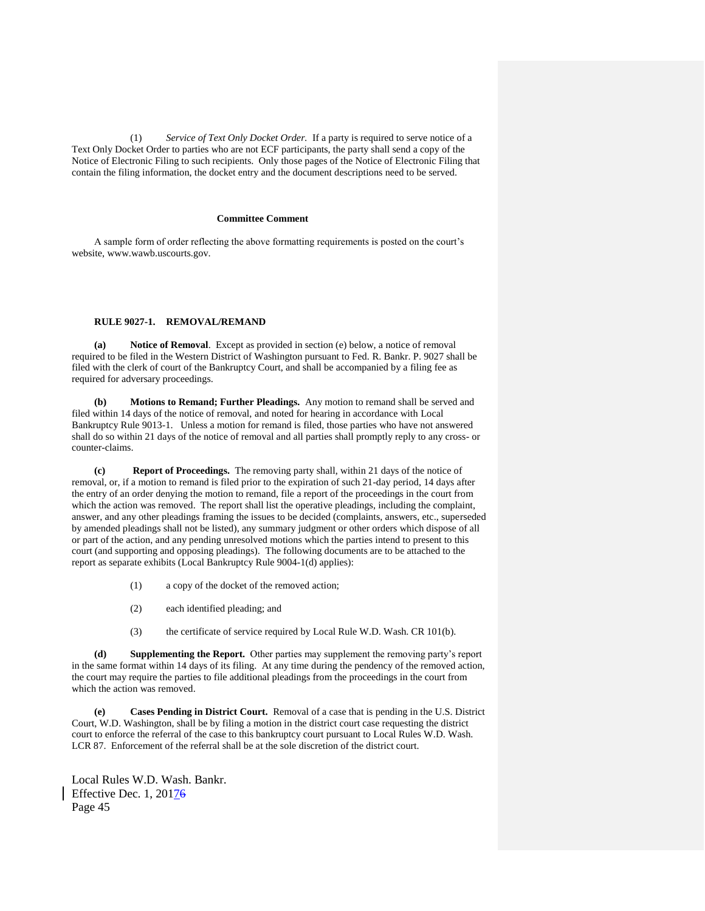(1) *Service of Text Only Docket Order.* If a party is required to serve notice of a Text Only Docket Order to parties who are not ECF participants, the party shall send a copy of the Notice of Electronic Filing to such recipients. Only those pages of the Notice of Electronic Filing that contain the filing information, the docket entry and the document descriptions need to be served.

## **Committee Comment**

A sample form of order reflecting the above formatting requirements is posted on the court's website, www.wawb.uscourts.gov.

# **RULE 9027-1. REMOVAL/REMAND**

**(a) Notice of Removal**. Except as provided in section (e) below, a notice of removal required to be filed in the Western District of Washington pursuant to Fed. R. Bankr. P. 9027 shall be filed with the clerk of court of the Bankruptcy Court, and shall be accompanied by a filing fee as required for adversary proceedings.

**(b) Motions to Remand; Further Pleadings.** Any motion to remand shall be served and filed within 14 days of the notice of removal, and noted for hearing in accordance with Local Bankruptcy Rule 9013-1.Unless a motion for remand is filed, those parties who have not answered shall do so within 21 days of the notice of removal and all parties shall promptly reply to any cross- or counter-claims.

**(c) Report of Proceedings.** The removing party shall, within 21 days of the notice of removal, or, if a motion to remand is filed prior to the expiration of such 21-day period, 14 days after the entry of an order denying the motion to remand, file a report of the proceedings in the court from which the action was removed. The report shall list the operative pleadings, including the complaint, answer, and any other pleadings framing the issues to be decided (complaints, answers, etc., superseded by amended pleadings shall not be listed), any summary judgment or other orders which dispose of all or part of the action, and any pending unresolved motions which the parties intend to present to this court (and supporting and opposing pleadings). The following documents are to be attached to the report as separate exhibits (Local Bankruptcy Rule 9004-1(d) applies):

- (1) a copy of the docket of the removed action;
- (2) each identified pleading; and
- (3) the certificate of service required by Local Rule W.D. Wash. CR 101(b).

**(d) Supplementing the Report.** Other parties may supplement the removing party's report in the same format within 14 days of its filing. At any time during the pendency of the removed action, the court may require the parties to file additional pleadings from the proceedings in the court from which the action was removed.

**(e) Cases Pending in District Court.** Removal of a case that is pending in the U.S. District Court, W.D. Washington, shall be by filing a motion in the district court case requesting the district court to enforce the referral of the case to this bankruptcy court pursuant to Local Rules W.D. Wash. LCR 87. Enforcement of the referral shall be at the sole discretion of the district court.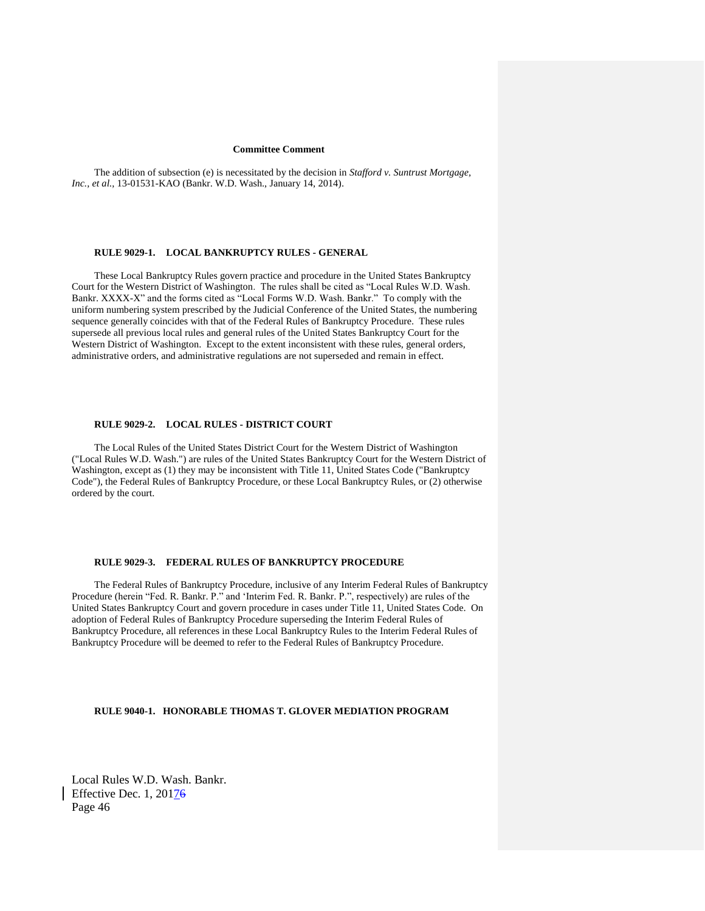#### **Committee Comment**

The addition of subsection (e) is necessitated by the decision in *Stafford v. Suntrust Mortgage, Inc., et al.,* 13-01531-KAO (Bankr. W.D. Wash., January 14, 2014).

## **RULE 9029-1. LOCAL BANKRUPTCY RULES - GENERAL**

These Local Bankruptcy Rules govern practice and procedure in the United States Bankruptcy Court for the Western District of Washington. The rules shall be cited as "Local Rules W.D. Wash. Bankr. XXXX-X" and the forms cited as "Local Forms W.D. Wash. Bankr." To comply with the uniform numbering system prescribed by the Judicial Conference of the United States, the numbering sequence generally coincides with that of the Federal Rules of Bankruptcy Procedure. These rules supersede all previous local rules and general rules of the United States Bankruptcy Court for the Western District of Washington. Except to the extent inconsistent with these rules, general orders, administrative orders, and administrative regulations are not superseded and remain in effect.

## **RULE 9029-2. LOCAL RULES - DISTRICT COURT**

The Local Rules of the United States District Court for the Western District of Washington ("Local Rules W.D. Wash.") are rules of the United States Bankruptcy Court for the Western District of Washington, except as (1) they may be inconsistent with Title 11, United States Code ("Bankruptcy Code"), the Federal Rules of Bankruptcy Procedure, or these Local Bankruptcy Rules, or (2) otherwise ordered by the court.

# **RULE 9029-3. FEDERAL RULES OF BANKRUPTCY PROCEDURE**

The Federal Rules of Bankruptcy Procedure, inclusive of any Interim Federal Rules of Bankruptcy Procedure (herein "Fed. R. Bankr. P." and 'Interim Fed. R. Bankr. P.", respectively) are rules of the United States Bankruptcy Court and govern procedure in cases under Title 11, United States Code. On adoption of Federal Rules of Bankruptcy Procedure superseding the Interim Federal Rules of Bankruptcy Procedure, all references in these Local Bankruptcy Rules to the Interim Federal Rules of Bankruptcy Procedure will be deemed to refer to the Federal Rules of Bankruptcy Procedure.

## **RULE 9040-1. HONORABLE THOMAS T. GLOVER MEDIATION PROGRAM**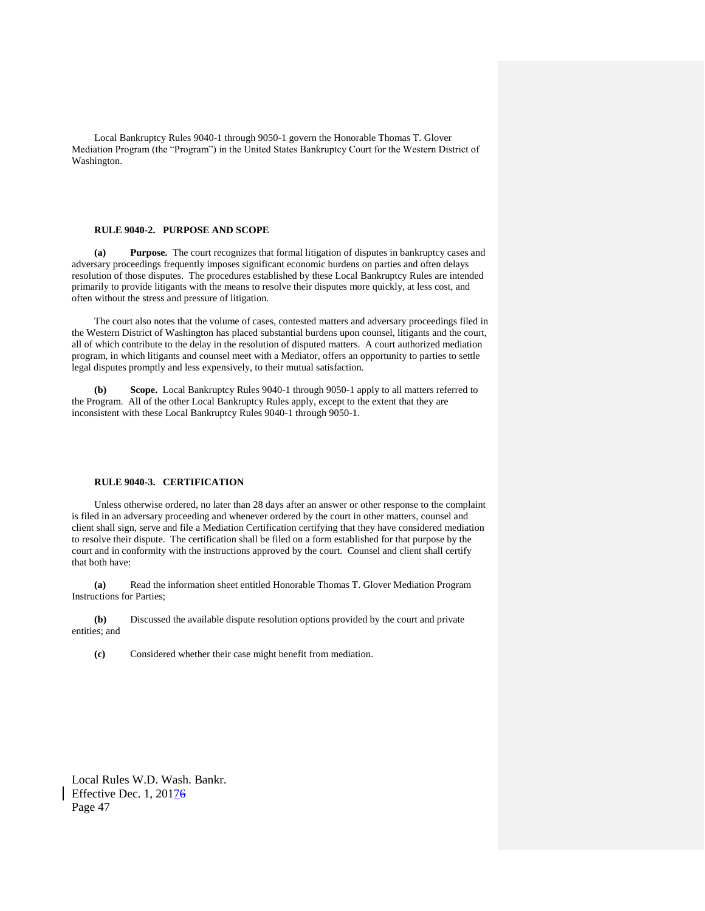Local Bankruptcy Rules 9040-1 through 9050-1 govern the Honorable Thomas T. Glover Mediation Program (the "Program") in the United States Bankruptcy Court for the Western District of Washington.

# **RULE 9040-2. PURPOSE AND SCOPE**

**(a) Purpose.** The court recognizes that formal litigation of disputes in bankruptcy cases and adversary proceedings frequently imposes significant economic burdens on parties and often delays resolution of those disputes. The procedures established by these Local Bankruptcy Rules are intended primarily to provide litigants with the means to resolve their disputes more quickly, at less cost, and often without the stress and pressure of litigation.

The court also notes that the volume of cases, contested matters and adversary proceedings filed in the Western District of Washington has placed substantial burdens upon counsel, litigants and the court, all of which contribute to the delay in the resolution of disputed matters. A court authorized mediation program, in which litigants and counsel meet with a Mediator, offers an opportunity to parties to settle legal disputes promptly and less expensively, to their mutual satisfaction.

**(b) Scope.** Local Bankruptcy Rules 9040-1 through 9050-1 apply to all matters referred to the Program. All of the other Local Bankruptcy Rules apply, except to the extent that they are inconsistent with these Local Bankruptcy Rules 9040-1 through 9050-1.

## **RULE 9040-3. CERTIFICATION**

Unless otherwise ordered, no later than 28 days after an answer or other response to the complaint is filed in an adversary proceeding and whenever ordered by the court in other matters, counsel and client shall sign, serve and file a Mediation Certification certifying that they have considered mediation to resolve their dispute. The certification shall be filed on a form established for that purpose by the court and in conformity with the instructions approved by the court. Counsel and client shall certify that both have:

**(a)** Read the information sheet entitled Honorable Thomas T. Glover Mediation Program Instructions for Parties;

**(b)** Discussed the available dispute resolution options provided by the court and private entities; and

**(c)** Considered whether their case might benefit from mediation.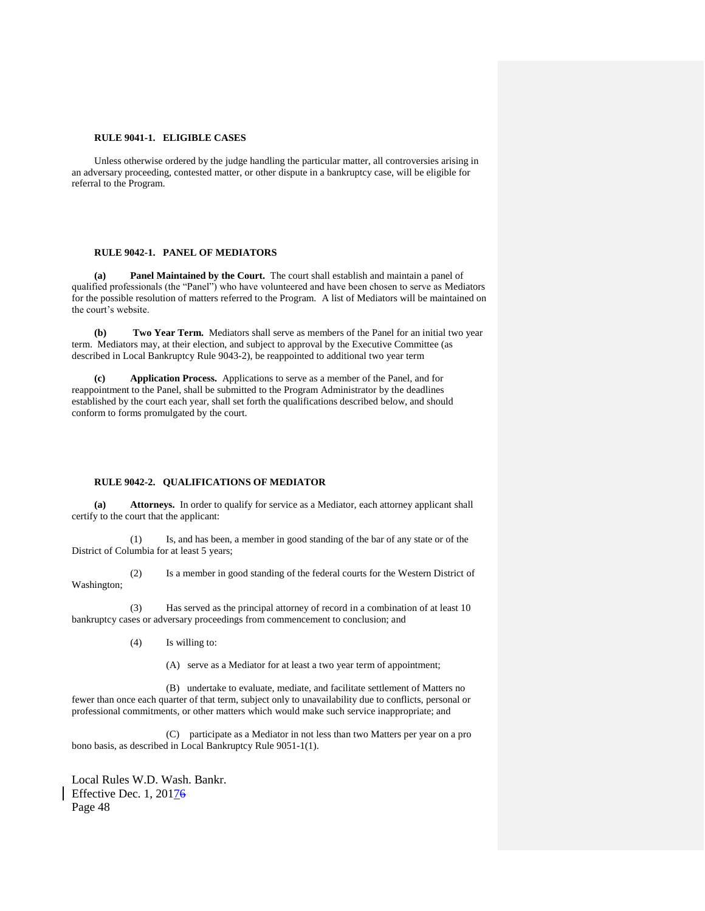## **RULE 9041-1. ELIGIBLE CASES**

Unless otherwise ordered by the judge handling the particular matter, all controversies arising in an adversary proceeding, contested matter, or other dispute in a bankruptcy case, will be eligible for referral to the Program.

# **RULE 9042-1. PANEL OF MEDIATORS**

**(a) Panel Maintained by the Court.** The court shall establish and maintain a panel of qualified professionals (the "Panel") who have volunteered and have been chosen to serve as Mediators for the possible resolution of matters referred to the Program. A list of Mediators will be maintained on the court's website.

**(b) Two Year Term.** Mediators shall serve as members of the Panel for an initial two year term. Mediators may, at their election, and subject to approval by the Executive Committee (as described in Local Bankruptcy Rule 9043-2), be reappointed to additional two year term

**(c) Application Process.** Applications to serve as a member of the Panel, and for reappointment to the Panel, shall be submitted to the Program Administrator by the deadlines established by the court each year, shall set forth the qualifications described below, and should conform to forms promulgated by the court.

#### **RULE 9042-2. QUALIFICATIONS OF MEDIATOR**

**(a) Attorneys.** In order to qualify for service as a Mediator, each attorney applicant shall certify to the court that the applicant:

(1) Is, and has been, a member in good standing of the bar of any state or of the District of Columbia for at least 5 years;

(2) Is a member in good standing of the federal courts for the Western District of Washington;

(3) Has served as the principal attorney of record in a combination of at least 10 bankruptcy cases or adversary proceedings from commencement to conclusion; and

(4) Is willing to:

(A) serve as a Mediator for at least a two year term of appointment;

(B)undertake to evaluate, mediate, and facilitate settlement of Matters no fewer than once each quarter of that term, subject only to unavailability due to conflicts, personal or professional commitments, or other matters which would make such service inappropriate; and

(C)participate as a Mediator in not less than two Matters per year on a pro bono basis, as described in Local Bankruptcy Rule 9051-1(1).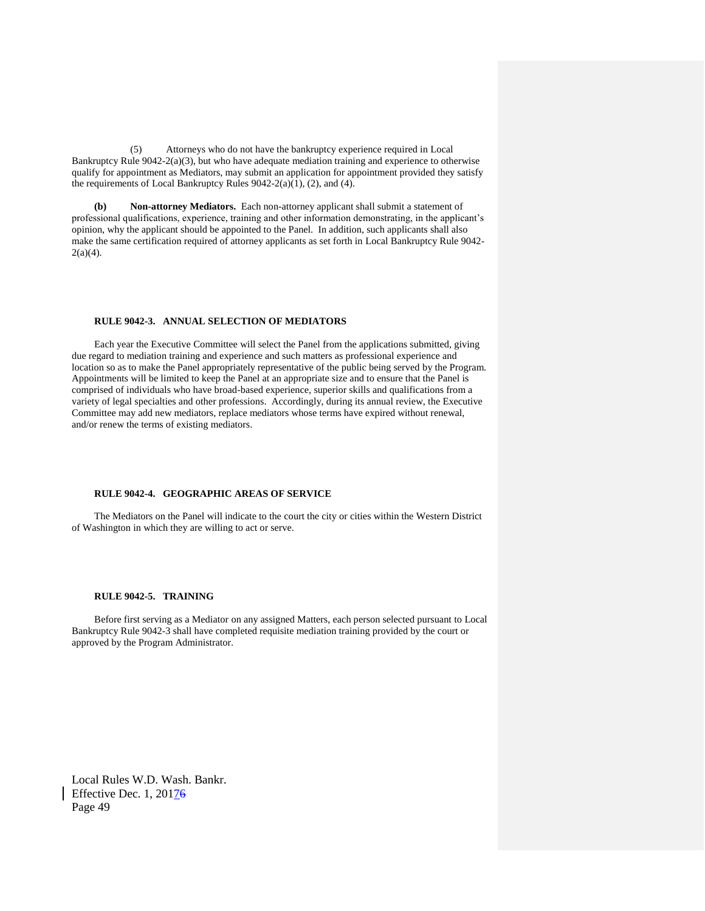(5) Attorneys who do not have the bankruptcy experience required in Local Bankruptcy Rule 9042-2(a)(3), but who have adequate mediation training and experience to otherwise qualify for appointment as Mediators, may submit an application for appointment provided they satisfy the requirements of Local Bankruptcy Rules 9042-2(a)(1), (2), and (4).

**(b) Non-attorney Mediators.** Each non-attorney applicant shall submit a statement of professional qualifications, experience, training and other information demonstrating, in the applicant's opinion, why the applicant should be appointed to the Panel. In addition, such applicants shall also make the same certification required of attorney applicants as set forth in Local Bankruptcy Rule 9042-  $2(a)(4)$ .

## **RULE 9042-3. ANNUAL SELECTION OF MEDIATORS**

Each year the Executive Committee will select the Panel from the applications submitted, giving due regard to mediation training and experience and such matters as professional experience and location so as to make the Panel appropriately representative of the public being served by the Program. Appointments will be limited to keep the Panel at an appropriate size and to ensure that the Panel is comprised of individuals who have broad-based experience, superior skills and qualifications from a variety of legal specialties and other professions. Accordingly, during its annual review, the Executive Committee may add new mediators, replace mediators whose terms have expired without renewal, and/or renew the terms of existing mediators.

# **RULE 9042-4. GEOGRAPHIC AREAS OF SERVICE**

The Mediators on the Panel will indicate to the court the city or cities within the Western District of Washington in which they are willing to act or serve.

## **RULE 9042-5. TRAINING**

Before first serving as a Mediator on any assigned Matters, each person selected pursuant to Local Bankruptcy Rule 9042-3 shall have completed requisite mediation training provided by the court or approved by the Program Administrator.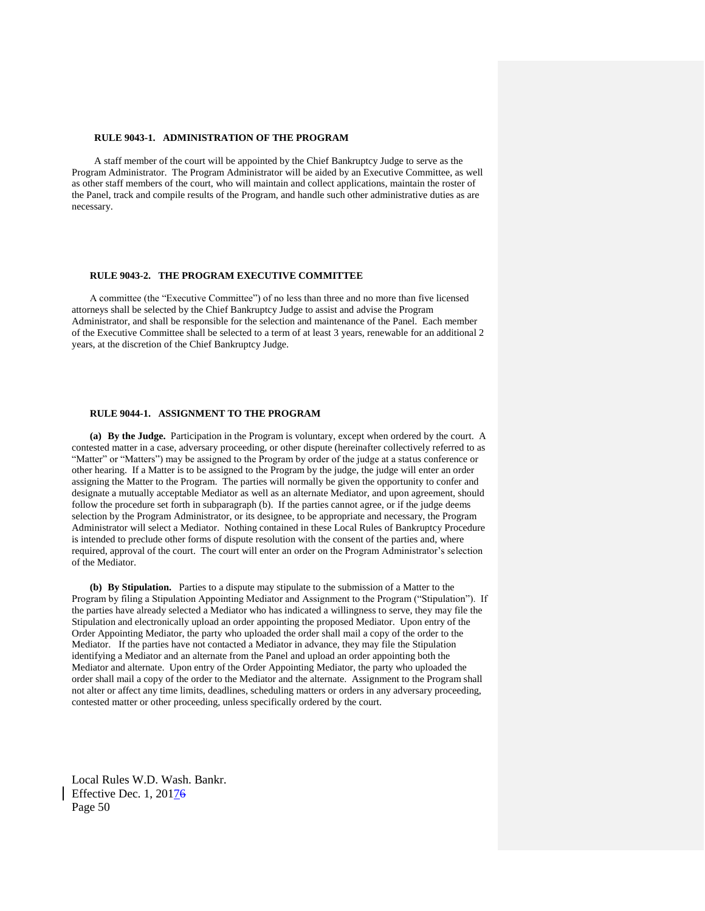## **RULE 9043-1. ADMINISTRATION OF THE PROGRAM**

A staff member of the court will be appointed by the Chief Bankruptcy Judge to serve as the Program Administrator. The Program Administrator will be aided by an Executive Committee, as well as other staff members of the court, who will maintain and collect applications, maintain the roster of the Panel, track and compile results of the Program, and handle such other administrative duties as are necessary.

# **RULE 9043-2. THE PROGRAM EXECUTIVE COMMITTEE**

A committee (the "Executive Committee") of no less than three and no more than five licensed attorneys shall be selected by the Chief Bankruptcy Judge to assist and advise the Program Administrator, and shall be responsible for the selection and maintenance of the Panel. Each member of the Executive Committee shall be selected to a term of at least 3 years, renewable for an additional 2 years, at the discretion of the Chief Bankruptcy Judge.

## **RULE 9044-1. ASSIGNMENT TO THE PROGRAM**

**(a) By the Judge.** Participation in the Program is voluntary, except when ordered by the court. A contested matter in a case, adversary proceeding, or other dispute (hereinafter collectively referred to as "Matter" or "Matters") may be assigned to the Program by order of the judge at a status conference or other hearing. If a Matter is to be assigned to the Program by the judge, the judge will enter an order assigning the Matter to the Program. The parties will normally be given the opportunity to confer and designate a mutually acceptable Mediator as well as an alternate Mediator, and upon agreement, should follow the procedure set forth in subparagraph (b). If the parties cannot agree, or if the judge deems selection by the Program Administrator, or its designee, to be appropriate and necessary, the Program Administrator will select a Mediator. Nothing contained in these Local Rules of Bankruptcy Procedure is intended to preclude other forms of dispute resolution with the consent of the parties and, where required, approval of the court. The court will enter an order on the Program Administrator's selection of the Mediator.

**(b) By Stipulation.** Parties to a dispute may stipulate to the submission of a Matter to the Program by filing a Stipulation Appointing Mediator and Assignment to the Program ("Stipulation"). If the parties have already selected a Mediator who has indicated a willingness to serve, they may file the Stipulation and electronically upload an order appointing the proposed Mediator. Upon entry of the Order Appointing Mediator, the party who uploaded the order shall mail a copy of the order to the Mediator. If the parties have not contacted a Mediator in advance, they may file the Stipulation identifying a Mediator and an alternate from the Panel and upload an order appointing both the Mediator and alternate. Upon entry of the Order Appointing Mediator, the party who uploaded the order shall mail a copy of the order to the Mediator and the alternate. Assignment to the Program shall not alter or affect any time limits, deadlines, scheduling matters or orders in any adversary proceeding, contested matter or other proceeding, unless specifically ordered by the court.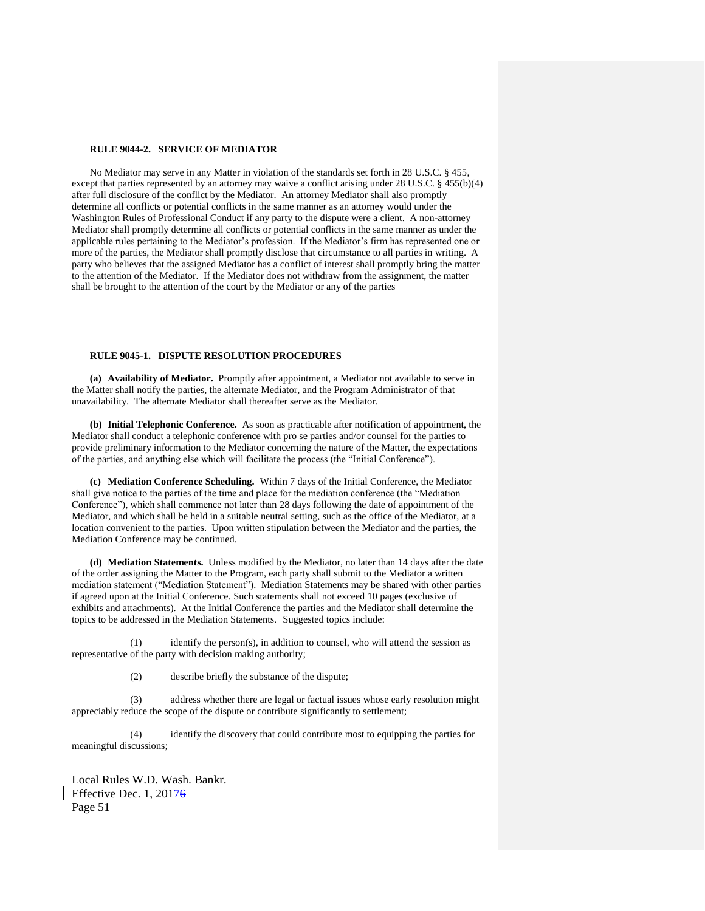#### **RULE 9044-2. SERVICE OF MEDIATOR**

No Mediator may serve in any Matter in violation of the standards set forth in 28 U.S.C. § 455, except that parties represented by an attorney may waive a conflict arising under 28 U.S.C. § 455(b)(4) after full disclosure of the conflict by the Mediator. An attorney Mediator shall also promptly determine all conflicts or potential conflicts in the same manner as an attorney would under the Washington Rules of Professional Conduct if any party to the dispute were a client. A non-attorney Mediator shall promptly determine all conflicts or potential conflicts in the same manner as under the applicable rules pertaining to the Mediator's profession. If the Mediator's firm has represented one or more of the parties, the Mediator shall promptly disclose that circumstance to all parties in writing. A party who believes that the assigned Mediator has a conflict of interest shall promptly bring the matter to the attention of the Mediator. If the Mediator does not withdraw from the assignment, the matter shall be brought to the attention of the court by the Mediator or any of the parties

## **RULE 9045-1. DISPUTE RESOLUTION PROCEDURES**

**(a) Availability of Mediator.** Promptly after appointment, a Mediator not available to serve in the Matter shall notify the parties, the alternate Mediator, and the Program Administrator of that unavailability. The alternate Mediator shall thereafter serve as the Mediator.

**(b) Initial Telephonic Conference.** As soon as practicable after notification of appointment, the Mediator shall conduct a telephonic conference with pro se parties and/or counsel for the parties to provide preliminary information to the Mediator concerning the nature of the Matter, the expectations of the parties, and anything else which will facilitate the process (the "Initial Conference").

**(c) Mediation Conference Scheduling.** Within 7 days of the Initial Conference, the Mediator shall give notice to the parties of the time and place for the mediation conference (the "Mediation Conference"), which shall commence not later than 28 days following the date of appointment of the Mediator, and which shall be held in a suitable neutral setting, such as the office of the Mediator, at a location convenient to the parties. Upon written stipulation between the Mediator and the parties, the Mediation Conference may be continued.

**(d) Mediation Statements.** Unless modified by the Mediator, no later than 14 days after the date of the order assigning the Matter to the Program, each party shall submit to the Mediator a written mediation statement ("Mediation Statement"). Mediation Statements may be shared with other parties if agreed upon at the Initial Conference. Such statements shall not exceed 10 pages (exclusive of exhibits and attachments). At the Initial Conference the parties and the Mediator shall determine the topics to be addressed in the Mediation Statements. Suggested topics include:

(1) identify the person(s), in addition to counsel, who will attend the session as representative of the party with decision making authority;

(2) describe briefly the substance of the dispute;

(3) address whether there are legal or factual issues whose early resolution might appreciably reduce the scope of the dispute or contribute significantly to settlement;

(4) identify the discovery that could contribute most to equipping the parties for meaningful discussions;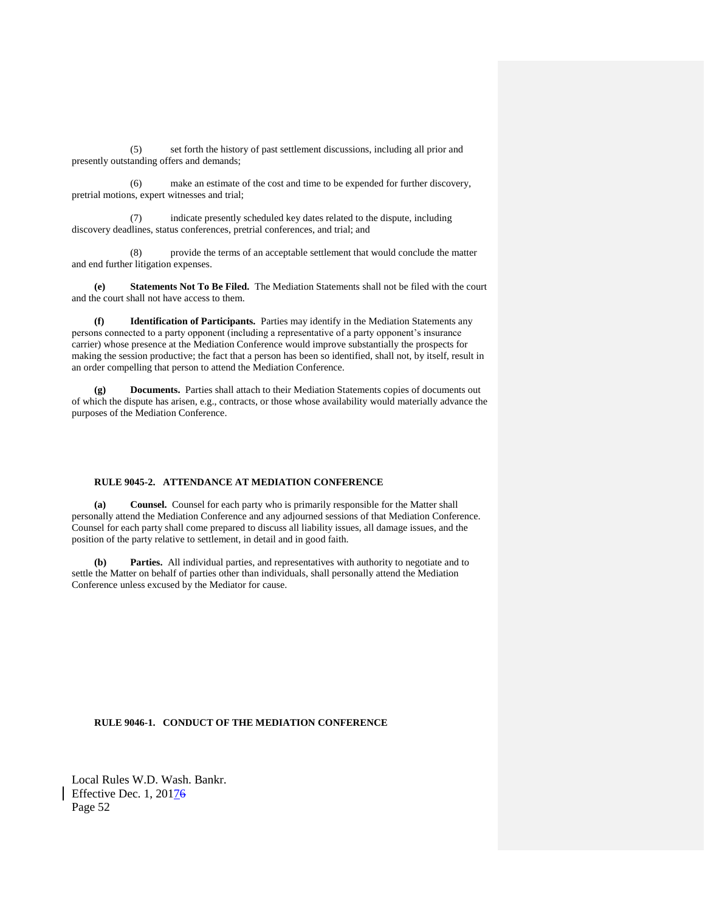(5) set forth the history of past settlement discussions, including all prior and presently outstanding offers and demands;

(6) make an estimate of the cost and time to be expended for further discovery, pretrial motions, expert witnesses and trial;

(7) indicate presently scheduled key dates related to the dispute, including discovery deadlines, status conferences, pretrial conferences, and trial; and

(8) provide the terms of an acceptable settlement that would conclude the matter and end further litigation expenses.

**(e) Statements Not To Be Filed.** The Mediation Statements shall not be filed with the court and the court shall not have access to them.

**(f) Identification of Participants.** Parties may identify in the Mediation Statements any persons connected to a party opponent (including a representative of a party opponent's insurance carrier) whose presence at the Mediation Conference would improve substantially the prospects for making the session productive; the fact that a person has been so identified, shall not, by itself, result in an order compelling that person to attend the Mediation Conference.

**(g) Documents.** Parties shall attach to their Mediation Statements copies of documents out of which the dispute has arisen, e.g., contracts, or those whose availability would materially advance the purposes of the Mediation Conference.

## **RULE 9045-2. ATTENDANCE AT MEDIATION CONFERENCE**

**(a) Counsel.** Counsel for each party who is primarily responsible for the Matter shall personally attend the Mediation Conference and any adjourned sessions of that Mediation Conference. Counsel for each party shall come prepared to discuss all liability issues, all damage issues, and the position of the party relative to settlement, in detail and in good faith.

**(b) Parties.** All individual parties, and representatives with authority to negotiate and to settle the Matter on behalf of parties other than individuals, shall personally attend the Mediation Conference unless excused by the Mediator for cause.

# **RULE 9046-1. CONDUCT OF THE MEDIATION CONFERENCE**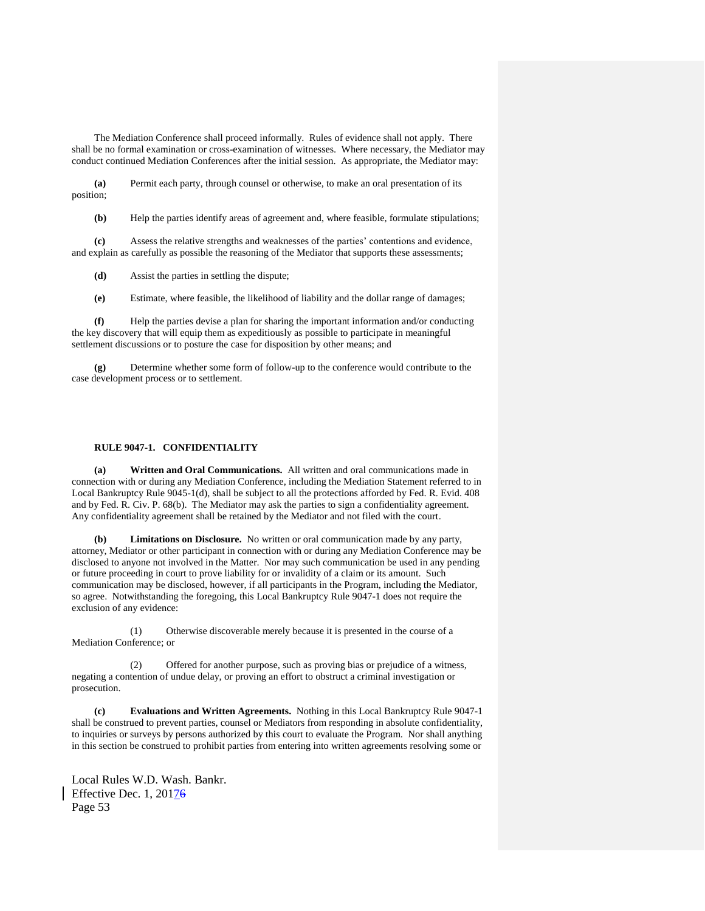The Mediation Conference shall proceed informally. Rules of evidence shall not apply. There shall be no formal examination or cross-examination of witnesses. Where necessary, the Mediator may conduct continued Mediation Conferences after the initial session. As appropriate, the Mediator may:

**(a)** Permit each party, through counsel or otherwise, to make an oral presentation of its position;

**(b)** Help the parties identify areas of agreement and, where feasible, formulate stipulations;

**(c)** Assess the relative strengths and weaknesses of the parties' contentions and evidence, and explain as carefully as possible the reasoning of the Mediator that supports these assessments;

**(d)** Assist the parties in settling the dispute;

**(e)** Estimate, where feasible, the likelihood of liability and the dollar range of damages;

**(f)** Help the parties devise a plan for sharing the important information and/or conducting the key discovery that will equip them as expeditiously as possible to participate in meaningful settlement discussions or to posture the case for disposition by other means; and

**(g)** Determine whether some form of follow-up to the conference would contribute to the case development process or to settlement.

## **RULE 9047-1. CONFIDENTIALITY**

**(a) Written and Oral Communications.** All written and oral communications made in connection with or during any Mediation Conference, including the Mediation Statement referred to in Local Bankruptcy Rule 9045-1(d), shall be subject to all the protections afforded by Fed. R. Evid. 408 and by Fed. R. Civ. P. 68(b). The Mediator may ask the parties to sign a confidentiality agreement. Any confidentiality agreement shall be retained by the Mediator and not filed with the court.

**(b) Limitations on Disclosure.** No written or oral communication made by any party, attorney, Mediator or other participant in connection with or during any Mediation Conference may be disclosed to anyone not involved in the Matter. Nor may such communication be used in any pending or future proceeding in court to prove liability for or invalidity of a claim or its amount. Such communication may be disclosed, however, if all participants in the Program, including the Mediator, so agree. Notwithstanding the foregoing, this Local Bankruptcy Rule 9047-1 does not require the exclusion of any evidence:

(1) Otherwise discoverable merely because it is presented in the course of a Mediation Conference; or

(2) Offered for another purpose, such as proving bias or prejudice of a witness, negating a contention of undue delay, or proving an effort to obstruct a criminal investigation or prosecution.

**(c) Evaluations and Written Agreements.** Nothing in this Local Bankruptcy Rule 9047-1 shall be construed to prevent parties, counsel or Mediators from responding in absolute confidentiality, to inquiries or surveys by persons authorized by this court to evaluate the Program. Nor shall anything in this section be construed to prohibit parties from entering into written agreements resolving some or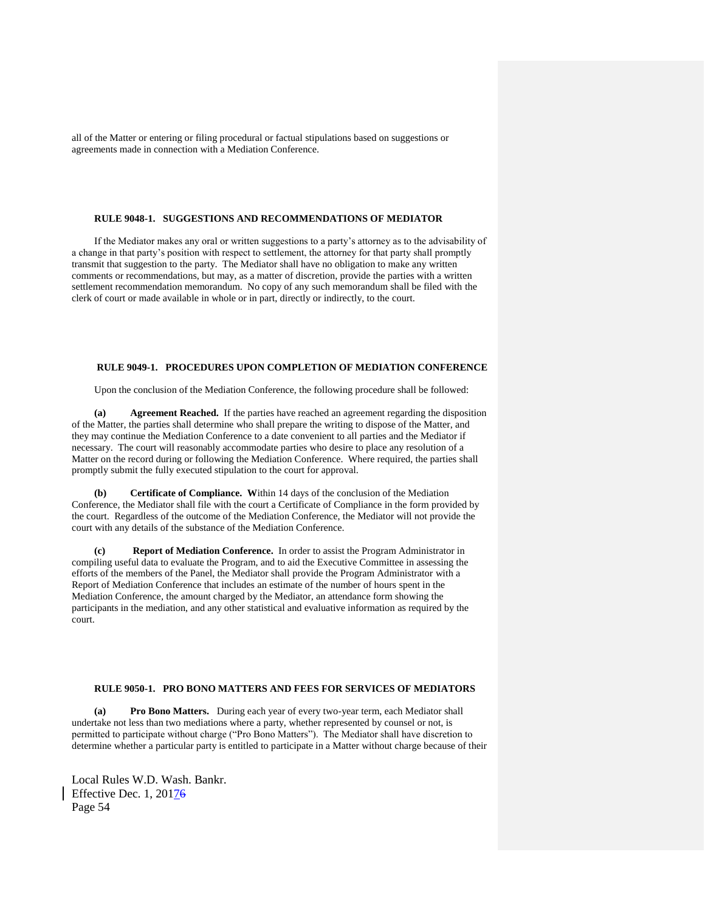all of the Matter or entering or filing procedural or factual stipulations based on suggestions or agreements made in connection with a Mediation Conference.

#### **RULE 9048-1. SUGGESTIONS AND RECOMMENDATIONS OF MEDIATOR**

If the Mediator makes any oral or written suggestions to a party's attorney as to the advisability of a change in that party's position with respect to settlement, the attorney for that party shall promptly transmit that suggestion to the party. The Mediator shall have no obligation to make any written comments or recommendations, but may, as a matter of discretion, provide the parties with a written settlement recommendation memorandum. No copy of any such memorandum shall be filed with the clerk of court or made available in whole or in part, directly or indirectly, to the court.

# **RULE 9049-1. PROCEDURES UPON COMPLETION OF MEDIATION CONFERENCE**

Upon the conclusion of the Mediation Conference, the following procedure shall be followed:

**(a) Agreement Reached.** If the parties have reached an agreement regarding the disposition of the Matter, the parties shall determine who shall prepare the writing to dispose of the Matter, and they may continue the Mediation Conference to a date convenient to all parties and the Mediator if necessary. The court will reasonably accommodate parties who desire to place any resolution of a Matter on the record during or following the Mediation Conference. Where required, the parties shall promptly submit the fully executed stipulation to the court for approval.

**(b) Certificate of Compliance. W**ithin 14 days of the conclusion of the Mediation Conference, the Mediator shall file with the court a Certificate of Compliance in the form provided by the court. Regardless of the outcome of the Mediation Conference, the Mediator will not provide the court with any details of the substance of the Mediation Conference.

**(c) Report of Mediation Conference.** In order to assist the Program Administrator in compiling useful data to evaluate the Program, and to aid the Executive Committee in assessing the efforts of the members of the Panel, the Mediator shall provide the Program Administrator with a Report of Mediation Conference that includes an estimate of the number of hours spent in the Mediation Conference, the amount charged by the Mediator, an attendance form showing the participants in the mediation, and any other statistical and evaluative information as required by the court.

## **RULE 9050-1. PRO BONO MATTERS AND FEES FOR SERVICES OF MEDIATORS**

**(a) Pro Bono Matters.** During each year of every two-year term, each Mediator shall undertake not less than two mediations where a party, whether represented by counsel or not, is permitted to participate without charge ("Pro Bono Matters"). The Mediator shall have discretion to determine whether a particular party is entitled to participate in a Matter without charge because of their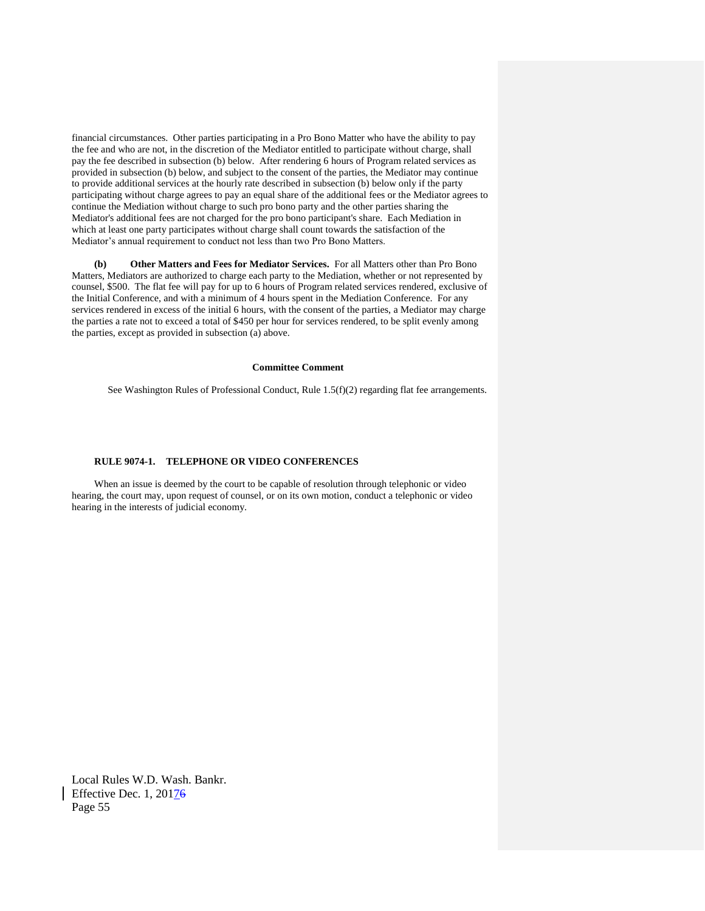financial circumstances. Other parties participating in a Pro Bono Matter who have the ability to pay the fee and who are not, in the discretion of the Mediator entitled to participate without charge, shall pay the fee described in subsection (b) below. After rendering 6 hours of Program related services as provided in subsection (b) below, and subject to the consent of the parties, the Mediator may continue to provide additional services at the hourly rate described in subsection (b) below only if the party participating without charge agrees to pay an equal share of the additional fees or the Mediator agrees to continue the Mediation without charge to such pro bono party and the other parties sharing the Mediator's additional fees are not charged for the pro bono participant's share. Each Mediation in which at least one party participates without charge shall count towards the satisfaction of the Mediator's annual requirement to conduct not less than two Pro Bono Matters.

**(b) Other Matters and Fees for Mediator Services.** For all Matters other than Pro Bono Matters, Mediators are authorized to charge each party to the Mediation, whether or not represented by counsel, \$500. The flat fee will pay for up to 6 hours of Program related services rendered, exclusive of the Initial Conference, and with a minimum of 4 hours spent in the Mediation Conference. For any services rendered in excess of the initial 6 hours, with the consent of the parties, a Mediator may charge the parties a rate not to exceed a total of \$450 per hour for services rendered, to be split evenly among the parties, except as provided in subsection (a) above.

# **Committee Comment**

See Washington Rules of Professional Conduct, Rule 1.5(f)(2) regarding flat fee arrangements.

# **RULE 9074-1. TELEPHONE OR VIDEO CONFERENCES**

When an issue is deemed by the court to be capable of resolution through telephonic or video hearing, the court may, upon request of counsel, or on its own motion, conduct a telephonic or video hearing in the interests of judicial economy.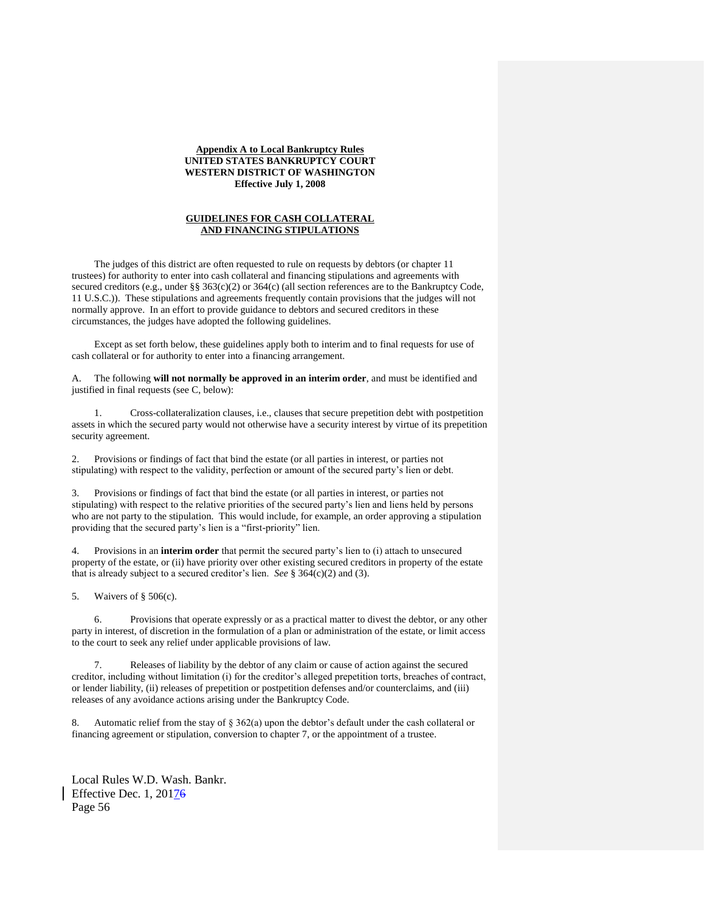## **Appendix A to Local Bankruptcy Rules UNITED STATES BANKRUPTCY COURT WESTERN DISTRICT OF WASHINGTON Effective July 1, 2008**

## **GUIDELINES FOR CASH COLLATERAL AND FINANCING STIPULATIONS**

The judges of this district are often requested to rule on requests by debtors (or chapter 11 trustees) for authority to enter into cash collateral and financing stipulations and agreements with secured creditors (e.g., under §§ 363(c)(2) or 364(c) (all section references are to the Bankruptcy Code, 11 U.S.C.)). These stipulations and agreements frequently contain provisions that the judges will not normally approve. In an effort to provide guidance to debtors and secured creditors in these circumstances, the judges have adopted the following guidelines.

Except as set forth below, these guidelines apply both to interim and to final requests for use of cash collateral or for authority to enter into a financing arrangement.

A. The following **will not normally be approved in an interim order**, and must be identified and justified in final requests (see C, below):

1. Cross-collateralization clauses, i.e., clauses that secure prepetition debt with postpetition assets in which the secured party would not otherwise have a security interest by virtue of its prepetition security agreement.

2. Provisions or findings of fact that bind the estate (or all parties in interest, or parties not stipulating) with respect to the validity, perfection or amount of the secured party's lien or debt.

3. Provisions or findings of fact that bind the estate (or all parties in interest, or parties not stipulating) with respect to the relative priorities of the secured party's lien and liens held by persons who are not party to the stipulation. This would include, for example, an order approving a stipulation providing that the secured party's lien is a "first-priority" lien.

4. Provisions in an **interim order** that permit the secured party's lien to (i) attach to unsecured property of the estate, or (ii) have priority over other existing secured creditors in property of the estate that is already subject to a secured creditor's lien. *See* § 364(c)(2) and (3).

5. Waivers of § 506(c).

6. Provisions that operate expressly or as a practical matter to divest the debtor, or any other party in interest, of discretion in the formulation of a plan or administration of the estate, or limit access to the court to seek any relief under applicable provisions of law.

7. Releases of liability by the debtor of any claim or cause of action against the secured creditor, including without limitation (i) for the creditor's alleged prepetition torts, breaches of contract, or lender liability, (ii) releases of prepetition or postpetition defenses and/or counterclaims, and (iii) releases of any avoidance actions arising under the Bankruptcy Code.

Automatic relief from the stay of  $\S 362(a)$  upon the debtor's default under the cash collateral or financing agreement or stipulation, conversion to chapter 7, or the appointment of a trustee.